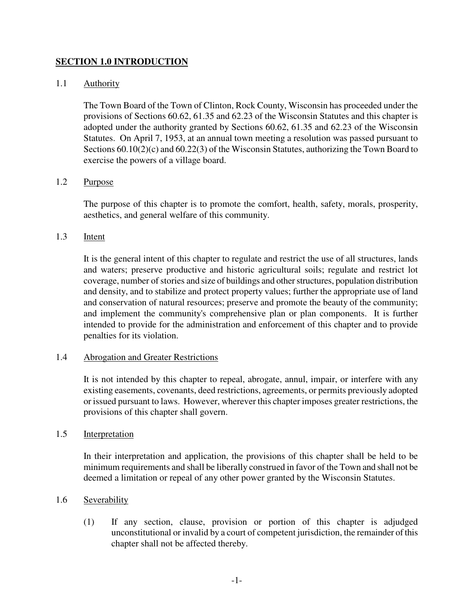## **SECTION 1.0 INTRODUCTION**

### 1.1 Authority

The Town Board of the Town of Clinton, Rock County, Wisconsin has proceeded under the provisions of Sections 60.62, 61.35 and 62.23 of the Wisconsin Statutes and this chapter is adopted under the authority granted by Sections 60.62, 61.35 and 62.23 of the Wisconsin Statutes. On April 7, 1953, at an annual town meeting a resolution was passed pursuant to Sections  $60.10(2)(c)$  and  $60.22(3)$  of the Wisconsin Statutes, authorizing the Town Board to exercise the powers of a village board.

### 1.2 Purpose

The purpose of this chapter is to promote the comfort, health, safety, morals, prosperity, aesthetics, and general welfare of this community.

### 1.3 Intent

It is the general intent of this chapter to regulate and restrict the use of all structures, lands and waters; preserve productive and historic agricultural soils; regulate and restrict lot coverage, number of stories and size of buildings and other structures, population distribution and density, and to stabilize and protect property values; further the appropriate use of land and conservation of natural resources; preserve and promote the beauty of the community; and implement the community's comprehensive plan or plan components. It is further intended to provide for the administration and enforcement of this chapter and to provide penalties for its violation.

### 1.4 Abrogation and Greater Restrictions

It is not intended by this chapter to repeal, abrogate, annul, impair, or interfere with any existing easements, covenants, deed restrictions, agreements, or permits previously adopted or issued pursuant to laws. However, wherever this chapter imposes greater restrictions, the provisions of this chapter shall govern.

## 1.5 Interpretation

In their interpretation and application, the provisions of this chapter shall be held to be minimum requirements and shall be liberally construed in favor of the Town and shall not be deemed a limitation or repeal of any other power granted by the Wisconsin Statutes.

# 1.6 Severability

(1) If any section, clause, provision or portion of this chapter is adjudged unconstitutional or invalid by a court of competent jurisdiction, the remainder of this chapter shall not be affected thereby.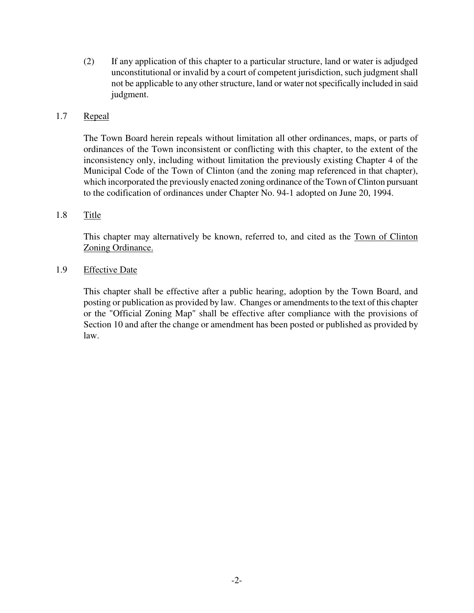(2) If any application of this chapter to a particular structure, land or water is adjudged unconstitutional or invalid by a court of competent jurisdiction, such judgment shall not be applicable to any other structure, land or water not specifically included in said judgment.

## 1.7 Repeal

The Town Board herein repeals without limitation all other ordinances, maps, or parts of ordinances of the Town inconsistent or conflicting with this chapter, to the extent of the inconsistency only, including without limitation the previously existing Chapter 4 of the Municipal Code of the Town of Clinton (and the zoning map referenced in that chapter), which incorporated the previously enacted zoning ordinance of the Town of Clinton pursuant to the codification of ordinances under Chapter No. 94-1 adopted on June 20, 1994.

## 1.8 Title

This chapter may alternatively be known, referred to, and cited as the Town of Clinton Zoning Ordinance.

## 1.9 Effective Date

This chapter shall be effective after a public hearing, adoption by the Town Board, and posting or publication as provided by law. Changes or amendments to the text of this chapter or the "Official Zoning Map" shall be effective after compliance with the provisions of Section 10 and after the change or amendment has been posted or published as provided by law.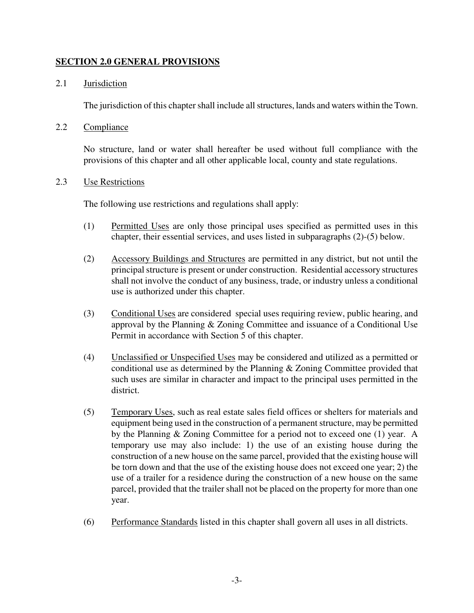## **SECTION 2.0 GENERAL PROVISIONS**

### 2.1 Jurisdiction

The jurisdiction of this chapter shall include all structures, lands and waters within the Town.

### 2.2 Compliance

No structure, land or water shall hereafter be used without full compliance with the provisions of this chapter and all other applicable local, county and state regulations.

#### 2.3 Use Restrictions

The following use restrictions and regulations shall apply:

- (1) Permitted Uses are only those principal uses specified as permitted uses in this chapter, their essential services, and uses listed in subparagraphs (2)-(5) below.
- (2) Accessory Buildings and Structures are permitted in any district, but not until the principal structure is present or under construction. Residential accessory structures shall not involve the conduct of any business, trade, or industry unless a conditional use is authorized under this chapter.
- (3) Conditional Uses are considered special uses requiring review, public hearing, and approval by the Planning & Zoning Committee and issuance of a Conditional Use Permit in accordance with Section 5 of this chapter.
- (4) Unclassified or Unspecified Uses may be considered and utilized as a permitted or conditional use as determined by the Planning & Zoning Committee provided that such uses are similar in character and impact to the principal uses permitted in the district.
- (5) Temporary Uses, such as real estate sales field offices or shelters for materials and equipment being used in the construction of a permanent structure, may be permitted by the Planning & Zoning Committee for a period not to exceed one (1) year. A temporary use may also include: 1) the use of an existing house during the construction of a new house on the same parcel, provided that the existing house will be torn down and that the use of the existing house does not exceed one year; 2) the use of a trailer for a residence during the construction of a new house on the same parcel, provided that the trailer shall not be placed on the property for more than one year.
- (6) Performance Standards listed in this chapter shall govern all uses in all districts.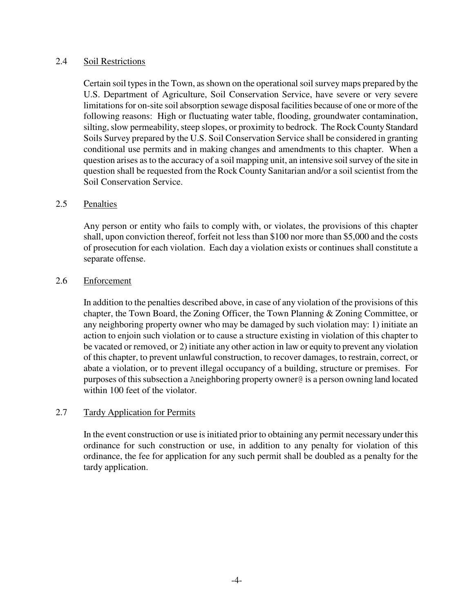## 2.4 Soil Restrictions

Certain soil types in the Town, as shown on the operational soil survey maps prepared by the U.S. Department of Agriculture, Soil Conservation Service, have severe or very severe limitations for on-site soil absorption sewage disposal facilities because of one or more of the following reasons: High or fluctuating water table, flooding, groundwater contamination, silting, slow permeability, steep slopes, or proximity to bedrock. The Rock County Standard Soils Survey prepared by the U.S. Soil Conservation Service shall be considered in granting conditional use permits and in making changes and amendments to this chapter. When a question arises as to the accuracy of a soil mapping unit, an intensive soil survey of the site in question shall be requested from the Rock County Sanitarian and/or a soil scientist from the Soil Conservation Service.

## 2.5 Penalties

Any person or entity who fails to comply with, or violates, the provisions of this chapter shall, upon conviction thereof, forfeit not less than \$100 nor more than \$5,000 and the costs of prosecution for each violation. Each day a violation exists or continues shall constitute a separate offense.

### 2.6 Enforcement

In addition to the penalties described above, in case of any violation of the provisions of this chapter, the Town Board, the Zoning Officer, the Town Planning & Zoning Committee, or any neighboring property owner who may be damaged by such violation may: 1) initiate an action to enjoin such violation or to cause a structure existing in violation of this chapter to be vacated or removed, or 2) initiate any other action in law or equity to prevent any violation of this chapter, to prevent unlawful construction, to recover damages, to restrain, correct, or abate a violation, or to prevent illegal occupancy of a building, structure or premises. For purposes of this subsection a Aneighboring property owner@ is a person owning land located within 100 feet of the violator.

### 2.7 Tardy Application for Permits

In the event construction or use is initiated prior to obtaining any permit necessary under this ordinance for such construction or use, in addition to any penalty for violation of this ordinance, the fee for application for any such permit shall be doubled as a penalty for the tardy application.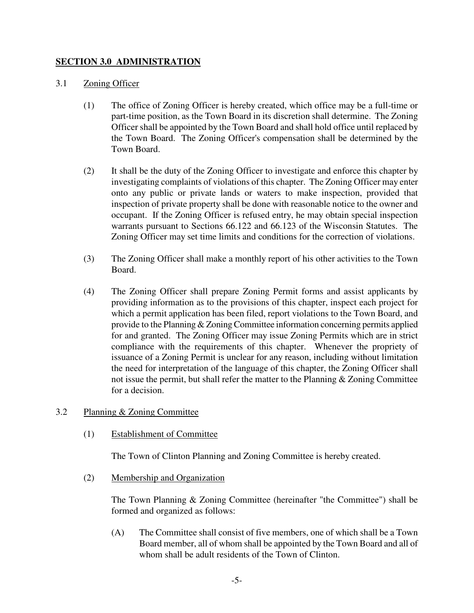# **SECTION 3.0 ADMINISTRATION**

# 3.1 Zoning Officer

- (1) The office of Zoning Officer is hereby created, which office may be a full-time or part-time position, as the Town Board in its discretion shall determine. The Zoning Officer shall be appointed by the Town Board and shall hold office until replaced by the Town Board. The Zoning Officer's compensation shall be determined by the Town Board.
- (2) It shall be the duty of the Zoning Officer to investigate and enforce this chapter by investigating complaints of violations of this chapter. The Zoning Officer may enter onto any public or private lands or waters to make inspection, provided that inspection of private property shall be done with reasonable notice to the owner and occupant. If the Zoning Officer is refused entry, he may obtain special inspection warrants pursuant to Sections 66.122 and 66.123 of the Wisconsin Statutes. The Zoning Officer may set time limits and conditions for the correction of violations.
- (3) The Zoning Officer shall make a monthly report of his other activities to the Town Board.
- (4) The Zoning Officer shall prepare Zoning Permit forms and assist applicants by providing information as to the provisions of this chapter, inspect each project for which a permit application has been filed, report violations to the Town Board, and provide to the Planning & Zoning Committee information concerning permits applied for and granted. The Zoning Officer may issue Zoning Permits which are in strict compliance with the requirements of this chapter. Whenever the propriety of issuance of a Zoning Permit is unclear for any reason, including without limitation the need for interpretation of the language of this chapter, the Zoning Officer shall not issue the permit, but shall refer the matter to the Planning & Zoning Committee for a decision.

# 3.2 Planning & Zoning Committee

(1) Establishment of Committee

The Town of Clinton Planning and Zoning Committee is hereby created.

(2) Membership and Organization

The Town Planning & Zoning Committee (hereinafter "the Committee") shall be formed and organized as follows:

(A) The Committee shall consist of five members, one of which shall be a Town Board member, all of whom shall be appointed by the Town Board and all of whom shall be adult residents of the Town of Clinton.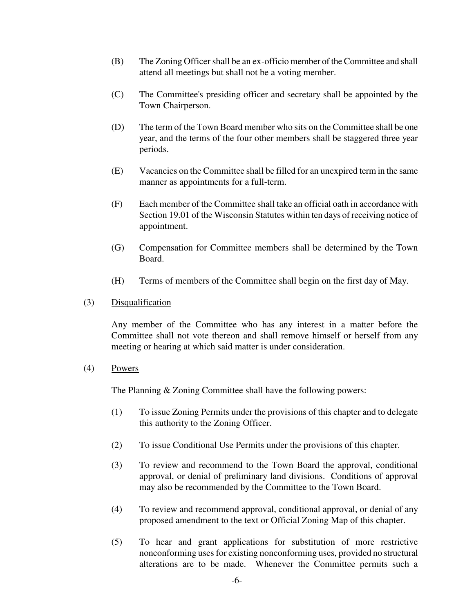- (B) The Zoning Officer shall be an ex-officio member of the Committee and shall attend all meetings but shall not be a voting member.
- (C) The Committee's presiding officer and secretary shall be appointed by the Town Chairperson.
- (D) The term of the Town Board member who sits on the Committee shall be one year, and the terms of the four other members shall be staggered three year periods.
- (E) Vacancies on the Committee shall be filled for an unexpired term in the same manner as appointments for a full-term.
- (F) Each member of the Committee shall take an official oath in accordance with Section 19.01 of the Wisconsin Statutes within ten days of receiving notice of appointment.
- (G) Compensation for Committee members shall be determined by the Town Board.
- (H) Terms of members of the Committee shall begin on the first day of May.

### (3) Disqualification

Any member of the Committee who has any interest in a matter before the Committee shall not vote thereon and shall remove himself or herself from any meeting or hearing at which said matter is under consideration.

(4) Powers

The Planning & Zoning Committee shall have the following powers:

- (1) To issue Zoning Permits under the provisions of this chapter and to delegate this authority to the Zoning Officer.
- (2) To issue Conditional Use Permits under the provisions of this chapter.
- (3) To review and recommend to the Town Board the approval, conditional approval, or denial of preliminary land divisions. Conditions of approval may also be recommended by the Committee to the Town Board.
- (4) To review and recommend approval, conditional approval, or denial of any proposed amendment to the text or Official Zoning Map of this chapter.
- (5) To hear and grant applications for substitution of more restrictive nonconforming uses for existing nonconforming uses, provided no structural alterations are to be made. Whenever the Committee permits such a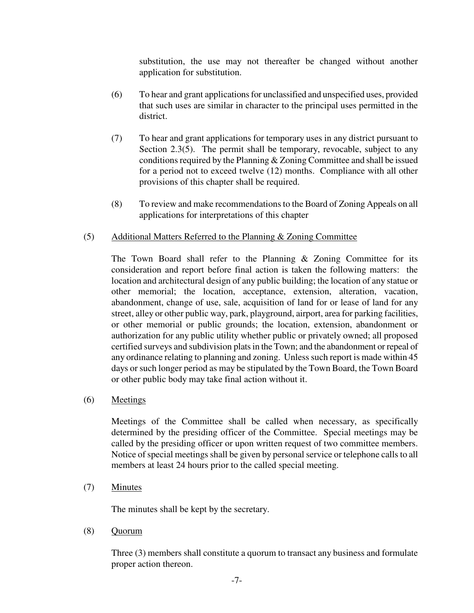substitution, the use may not thereafter be changed without another application for substitution.

- (6) To hear and grant applications for unclassified and unspecified uses, provided that such uses are similar in character to the principal uses permitted in the district.
- (7) To hear and grant applications for temporary uses in any district pursuant to Section 2.3(5). The permit shall be temporary, revocable, subject to any conditions required by the Planning  $&$  Zoning Committee and shall be issued for a period not to exceed twelve (12) months. Compliance with all other provisions of this chapter shall be required.
- (8) To review and make recommendations to the Board of Zoning Appeals on all applications for interpretations of this chapter

# (5) Additional Matters Referred to the Planning & Zoning Committee

The Town Board shall refer to the Planning & Zoning Committee for its consideration and report before final action is taken the following matters: the location and architectural design of any public building; the location of any statue or other memorial; the location, acceptance, extension, alteration, vacation, abandonment, change of use, sale, acquisition of land for or lease of land for any street, alley or other public way, park, playground, airport, area for parking facilities, or other memorial or public grounds; the location, extension, abandonment or authorization for any public utility whether public or privately owned; all proposed certified surveys and subdivision plats in the Town; and the abandonment or repeal of any ordinance relating to planning and zoning. Unless such report is made within 45 days or such longer period as may be stipulated by the Town Board, the Town Board or other public body may take final action without it.

(6) Meetings

Meetings of the Committee shall be called when necessary, as specifically determined by the presiding officer of the Committee. Special meetings may be called by the presiding officer or upon written request of two committee members. Notice of special meetings shall be given by personal service or telephone calls to all members at least 24 hours prior to the called special meeting.

(7) Minutes

The minutes shall be kept by the secretary.

(8) Quorum

Three (3) members shall constitute a quorum to transact any business and formulate proper action thereon.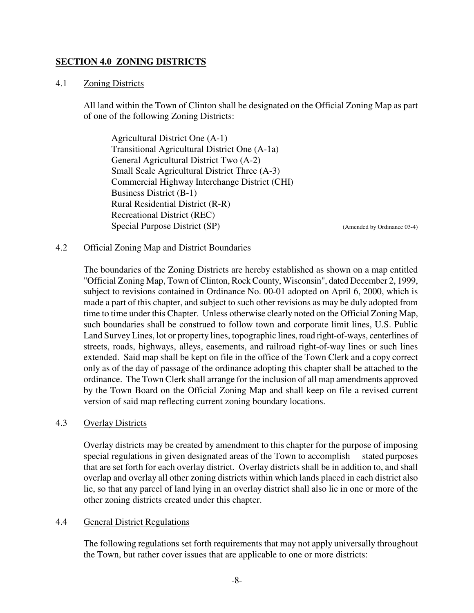## **SECTION 4.0 ZONING DISTRICTS**

### 4.1 Zoning Districts

All land within the Town of Clinton shall be designated on the Official Zoning Map as part of one of the following Zoning Districts:

Agricultural District One (A-1) Transitional Agricultural District One (A-1a) General Agricultural District Two (A-2) Small Scale Agricultural District Three (A-3) Commercial Highway Interchange District (CHI) Business District (B-1) Rural Residential District (R-R) Recreational District (REC) Special Purpose District (SP) (Amended by Ordinance 03-4)

#### 4.2 Official Zoning Map and District Boundaries

The boundaries of the Zoning Districts are hereby established as shown on a map entitled "Official Zoning Map, Town of Clinton, Rock County, Wisconsin", dated December 2, 1999, subject to revisions contained in Ordinance No. 00-01 adopted on April 6, 2000, which is made a part of this chapter, and subject to such other revisions as may be duly adopted from time to time under this Chapter. Unless otherwise clearly noted on the Official Zoning Map, such boundaries shall be construed to follow town and corporate limit lines, U.S. Public Land Survey Lines, lot or property lines, topographic lines, road right-of-ways, centerlines of streets, roads, highways, alleys, easements, and railroad right-of-way lines or such lines extended. Said map shall be kept on file in the office of the Town Clerk and a copy correct only as of the day of passage of the ordinance adopting this chapter shall be attached to the ordinance. The Town Clerk shall arrange for the inclusion of all map amendments approved by the Town Board on the Official Zoning Map and shall keep on file a revised current version of said map reflecting current zoning boundary locations.

### 4.3 Overlay Districts

Overlay districts may be created by amendment to this chapter for the purpose of imposing special regulations in given designated areas of the Town to accomplish stated purposes that are set forth for each overlay district. Overlay districts shall be in addition to, and shall overlap and overlay all other zoning districts within which lands placed in each district also lie, so that any parcel of land lying in an overlay district shall also lie in one or more of the other zoning districts created under this chapter.

### 4.4 General District Regulations

The following regulations set forth requirements that may not apply universally throughout the Town, but rather cover issues that are applicable to one or more districts: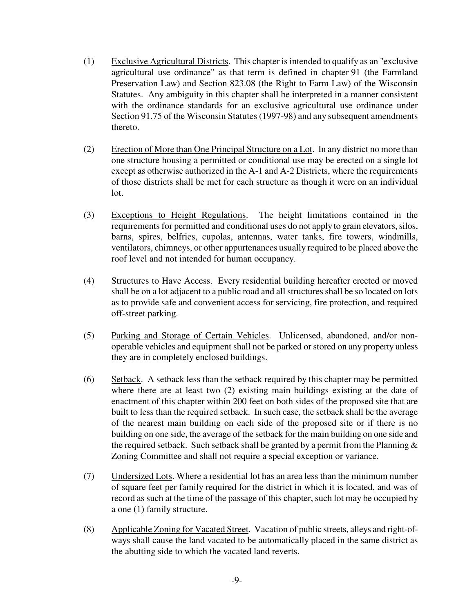- (1) Exclusive Agricultural Districts. This chapter is intended to qualify as an "exclusive agricultural use ordinance" as that term is defined in chapter 91 (the Farmland Preservation Law) and Section 823.08 (the Right to Farm Law) of the Wisconsin Statutes. Any ambiguity in this chapter shall be interpreted in a manner consistent with the ordinance standards for an exclusive agricultural use ordinance under Section 91.75 of the Wisconsin Statutes (1997-98) and any subsequent amendments thereto.
- (2) Erection of More than One Principal Structure on a Lot. In any district no more than one structure housing a permitted or conditional use may be erected on a single lot except as otherwise authorized in the A-1 and A-2 Districts, where the requirements of those districts shall be met for each structure as though it were on an individual lot.
- (3) Exceptions to Height Regulations. The height limitations contained in the requirements for permitted and conditional uses do not apply to grain elevators, silos, barns, spires, belfries, cupolas, antennas, water tanks, fire towers, windmills, ventilators, chimneys, or other appurtenances usually required to be placed above the roof level and not intended for human occupancy.
- (4) Structures to Have Access. Every residential building hereafter erected or moved shall be on a lot adjacent to a public road and all structures shall be so located on lots as to provide safe and convenient access for servicing, fire protection, and required off-street parking.
- (5) Parking and Storage of Certain Vehicles. Unlicensed, abandoned, and/or nonoperable vehicles and equipment shall not be parked or stored on any property unless they are in completely enclosed buildings.
- (6) Setback. A setback less than the setback required by this chapter may be permitted where there are at least two (2) existing main buildings existing at the date of enactment of this chapter within 200 feet on both sides of the proposed site that are built to less than the required setback. In such case, the setback shall be the average of the nearest main building on each side of the proposed site or if there is no building on one side, the average of the setback for the main building on one side and the required setback. Such setback shall be granted by a permit from the Planning  $\&$ Zoning Committee and shall not require a special exception or variance.
- (7) Undersized Lots. Where a residential lot has an area less than the minimum number of square feet per family required for the district in which it is located, and was of record as such at the time of the passage of this chapter, such lot may be occupied by a one (1) family structure.
- (8) Applicable Zoning for Vacated Street. Vacation of public streets, alleys and right-ofways shall cause the land vacated to be automatically placed in the same district as the abutting side to which the vacated land reverts.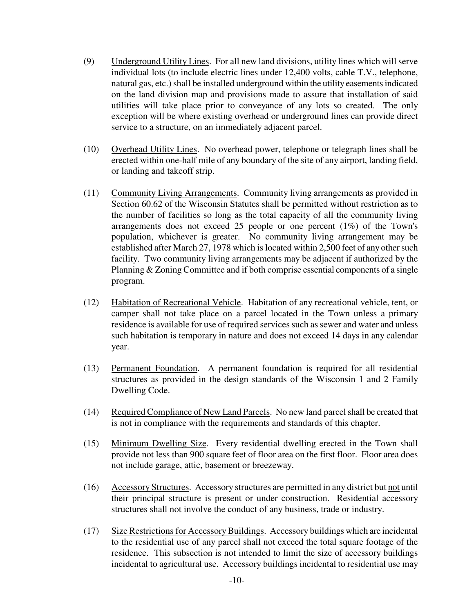- (9) Underground Utility Lines. For all new land divisions, utility lines which will serve individual lots (to include electric lines under 12,400 volts, cable T.V., telephone, natural gas, etc.) shall be installed underground within the utility easements indicated on the land division map and provisions made to assure that installation of said utilities will take place prior to conveyance of any lots so created. The only exception will be where existing overhead or underground lines can provide direct service to a structure, on an immediately adjacent parcel.
- (10) Overhead Utility Lines. No overhead power, telephone or telegraph lines shall be erected within one-half mile of any boundary of the site of any airport, landing field, or landing and takeoff strip.
- (11) Community Living Arrangements. Community living arrangements as provided in Section 60.62 of the Wisconsin Statutes shall be permitted without restriction as to the number of facilities so long as the total capacity of all the community living arrangements does not exceed 25 people or one percent (1%) of the Town's population, whichever is greater. No community living arrangement may be established after March 27, 1978 which is located within 2,500 feet of any other such facility. Two community living arrangements may be adjacent if authorized by the Planning & Zoning Committee and if both comprise essential components of a single program.
- (12) Habitation of Recreational Vehicle. Habitation of any recreational vehicle, tent, or camper shall not take place on a parcel located in the Town unless a primary residence is available for use of required services such as sewer and water and unless such habitation is temporary in nature and does not exceed 14 days in any calendar year.
- (13) Permanent Foundation. A permanent foundation is required for all residential structures as provided in the design standards of the Wisconsin 1 and 2 Family Dwelling Code.
- (14) Required Compliance of New Land Parcels. No new land parcel shall be created that is not in compliance with the requirements and standards of this chapter.
- (15) Minimum Dwelling Size. Every residential dwelling erected in the Town shall provide not less than 900 square feet of floor area on the first floor. Floor area does not include garage, attic, basement or breezeway.
- (16) Accessory Structures. Accessory structures are permitted in any district but not until their principal structure is present or under construction. Residential accessory structures shall not involve the conduct of any business, trade or industry.
- (17) Size Restrictions for Accessory Buildings. Accessory buildings which are incidental to the residential use of any parcel shall not exceed the total square footage of the residence. This subsection is not intended to limit the size of accessory buildings incidental to agricultural use. Accessory buildings incidental to residential use may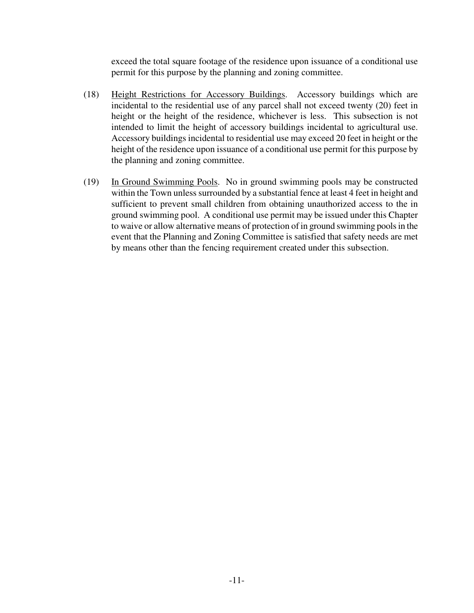exceed the total square footage of the residence upon issuance of a conditional use permit for this purpose by the planning and zoning committee.

- (18) Height Restrictions for Accessory Buildings. Accessory buildings which are incidental to the residential use of any parcel shall not exceed twenty (20) feet in height or the height of the residence, whichever is less. This subsection is not intended to limit the height of accessory buildings incidental to agricultural use. Accessory buildings incidental to residential use may exceed 20 feet in height or the height of the residence upon issuance of a conditional use permit for this purpose by the planning and zoning committee.
- (19) In Ground Swimming Pools. No in ground swimming pools may be constructed within the Town unless surrounded by a substantial fence at least 4 feet in height and sufficient to prevent small children from obtaining unauthorized access to the in ground swimming pool. A conditional use permit may be issued under this Chapter to waive or allow alternative means of protection of in ground swimming pools in the event that the Planning and Zoning Committee is satisfied that safety needs are met by means other than the fencing requirement created under this subsection.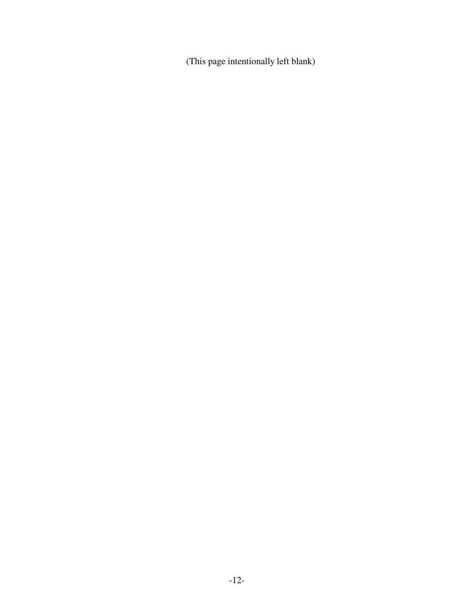(This page intentionally left blank)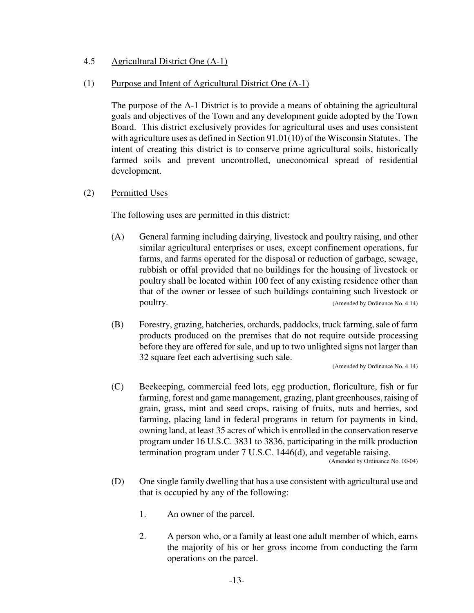# 4.5 Agricultural District One (A-1)

## (1) Purpose and Intent of Agricultural District One (A-1)

The purpose of the A-1 District is to provide a means of obtaining the agricultural goals and objectives of the Town and any development guide adopted by the Town Board. This district exclusively provides for agricultural uses and uses consistent with agriculture uses as defined in Section 91.01(10) of the Wisconsin Statutes. The intent of creating this district is to conserve prime agricultural soils, historically farmed soils and prevent uncontrolled, uneconomical spread of residential development.

(2) Permitted Uses

The following uses are permitted in this district:

- (A) General farming including dairying, livestock and poultry raising, and other similar agricultural enterprises or uses, except confinement operations, fur farms, and farms operated for the disposal or reduction of garbage, sewage, rubbish or offal provided that no buildings for the housing of livestock or poultry shall be located within 100 feet of any existing residence other than that of the owner or lessee of such buildings containing such livestock or poultry. (Amended by Ordinance No. 4.14)
- (B) Forestry, grazing, hatcheries, orchards, paddocks, truck farming, sale of farm products produced on the premises that do not require outside processing before they are offered for sale, and up to two unlighted signs not larger than 32 square feet each advertising such sale.

(Amended by Ordinance No. 4.14)

(C) Beekeeping, commercial feed lots, egg production, floriculture, fish or fur farming, forest and game management, grazing, plant greenhouses, raising of grain, grass, mint and seed crops, raising of fruits, nuts and berries, sod farming, placing land in federal programs in return for payments in kind, owning land, at least 35 acres of which is enrolled in the conservation reserve program under 16 U.S.C. 3831 to 3836, participating in the milk production termination program under 7 U.S.C. 1446(d), and vegetable raising. (Amended by Ordinance No. 00-04)

- (D) One single family dwelling that has a use consistent with agricultural use and that is occupied by any of the following:
	- 1. An owner of the parcel.
	- 2. A person who, or a family at least one adult member of which, earns the majority of his or her gross income from conducting the farm operations on the parcel.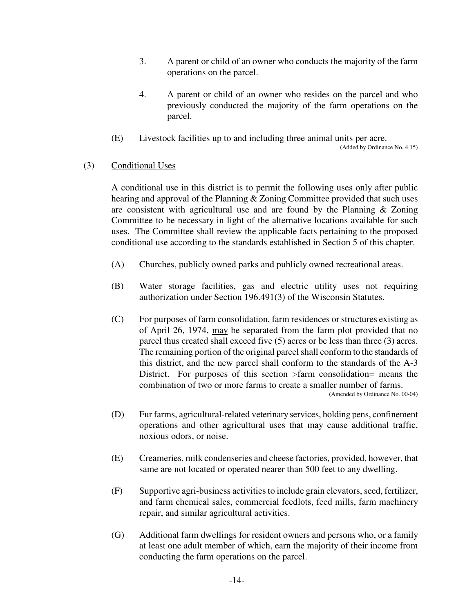- 3. A parent or child of an owner who conducts the majority of the farm operations on the parcel.
- 4. A parent or child of an owner who resides on the parcel and who previously conducted the majority of the farm operations on the parcel.
- (E) Livestock facilities up to and including three animal units per acre.

(Added by Ordinance No. 4.15)

## (3) Conditional Uses

A conditional use in this district is to permit the following uses only after public hearing and approval of the Planning & Zoning Committee provided that such uses are consistent with agricultural use and are found by the Planning & Zoning Committee to be necessary in light of the alternative locations available for such uses. The Committee shall review the applicable facts pertaining to the proposed conditional use according to the standards established in Section 5 of this chapter.

- (A) Churches, publicly owned parks and publicly owned recreational areas.
- (B) Water storage facilities, gas and electric utility uses not requiring authorization under Section 196.491(3) of the Wisconsin Statutes.
- (C) For purposes of farm consolidation, farm residences or structures existing as of April 26, 1974, may be separated from the farm plot provided that no parcel thus created shall exceed five (5) acres or be less than three (3) acres. The remaining portion of the original parcel shall conform to the standards of this district, and the new parcel shall conform to the standards of the A-3 District. For purposes of this section >farm consolidation= means the combination of two or more farms to create a smaller number of farms.

(Amended by Ordinance No. 00-04)

- (D) Fur farms, agricultural-related veterinary services, holding pens, confinement operations and other agricultural uses that may cause additional traffic, noxious odors, or noise.
- (E) Creameries, milk condenseries and cheese factories, provided, however, that same are not located or operated nearer than 500 feet to any dwelling.
- (F) Supportive agri-business activities to include grain elevators, seed, fertilizer, and farm chemical sales, commercial feedlots, feed mills, farm machinery repair, and similar agricultural activities.
- (G) Additional farm dwellings for resident owners and persons who, or a family at least one adult member of which, earn the majority of their income from conducting the farm operations on the parcel.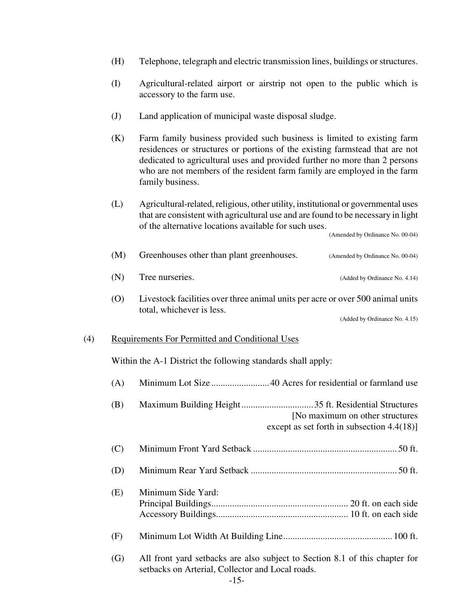- (H) Telephone, telegraph and electric transmission lines, buildings or structures.
- (I) Agricultural-related airport or airstrip not open to the public which is accessory to the farm use.
- (J) Land application of municipal waste disposal sludge.
- (K) Farm family business provided such business is limited to existing farm residences or structures or portions of the existing farmstead that are not dedicated to agricultural uses and provided further no more than 2 persons who are not members of the resident farm family are employed in the farm family business.
- (L) Agricultural-related, religious, other utility, institutional or governmental uses that are consistent with agricultural use and are found to be necessary in light of the alternative locations available for such uses.

(Amended by Ordinance No. 00-04)

| (M) | Greenhouses other than plant greenhouses. | (Amended by Ordinance No. 00-04) |
|-----|-------------------------------------------|----------------------------------|
| (N) | Tree nurseries.                           | (Added by Ordinance No. 4.14)    |

(O) Livestock facilities over three animal units per acre or over 500 animal units total, whichever is less.

(Added by Ordinance No. 4.15)

#### (4) Requirements For Permitted and Conditional Uses

Within the A-1 District the following standards shall apply:

| (A) |  |  |  |
|-----|--|--|--|
|-----|--|--|--|

| (B) |                                               |
|-----|-----------------------------------------------|
|     | [No maximum on other structures]              |
|     | except as set forth in subsection $4.4(18)$ ] |
|     |                                               |

- (C) Minimum Front Yard Setback .............................................................. 50 ft.
- (D) Minimum Rear Yard Setback ............................................................... 50 ft.
- (E) Minimum Side Yard: Principal Buildings........................................................... 20 ft. on each side Accessory Buildings......................................................... 10 ft. on each side
- (F) Minimum Lot Width At Building Line............................................... 100 ft.
- (G) All front yard setbacks are also subject to Section 8.1 of this chapter for setbacks on Arterial, Collector and Local roads.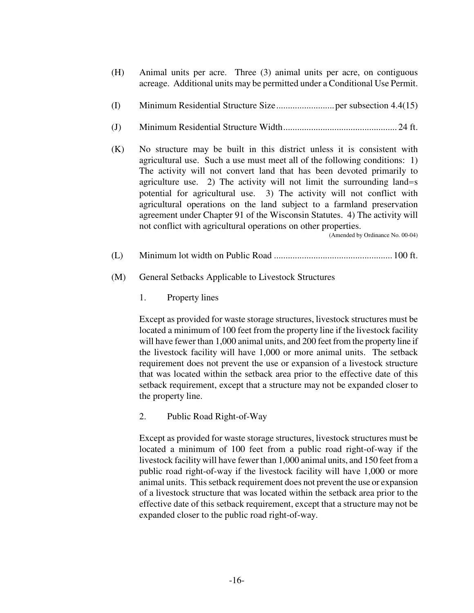- (H) Animal units per acre. Three (3) animal units per acre, on contiguous acreage. Additional units may be permitted under a Conditional Use Permit.
- (I) Minimum Residential Structure Size.........................per subsection 4.4(15)
- (J) Minimum Residential Structure Width................................................. 24 ft.
- (K) No structure may be built in this district unless it is consistent with agricultural use. Such a use must meet all of the following conditions: 1) The activity will not convert land that has been devoted primarily to agriculture use. 2) The activity will not limit the surrounding land=s potential for agricultural use. 3) The activity will not conflict with agricultural operations on the land subject to a farmland preservation agreement under Chapter 91 of the Wisconsin Statutes. 4) The activity will not conflict with agricultural operations on other properties.

(Amended by Ordinance No. 00-04)

- (L) Minimum lot width on Public Road ................................................... 100 ft.
- (M) General Setbacks Applicable to Livestock Structures
	- 1. Property lines

Except as provided for waste storage structures, livestock structures must be located a minimum of 100 feet from the property line if the livestock facility will have fewer than 1,000 animal units, and 200 feet from the property line if the livestock facility will have 1,000 or more animal units. The setback requirement does not prevent the use or expansion of a livestock structure that was located within the setback area prior to the effective date of this setback requirement, except that a structure may not be expanded closer to the property line.

2. Public Road Right-of-Way

Except as provided for waste storage structures, livestock structures must be located a minimum of 100 feet from a public road right-of-way if the livestock facility will have fewer than 1,000 animal units, and 150 feet from a public road right-of-way if the livestock facility will have 1,000 or more animal units. This setback requirement does not prevent the use or expansion of a livestock structure that was located within the setback area prior to the effective date of this setback requirement, except that a structure may not be expanded closer to the public road right-of-way.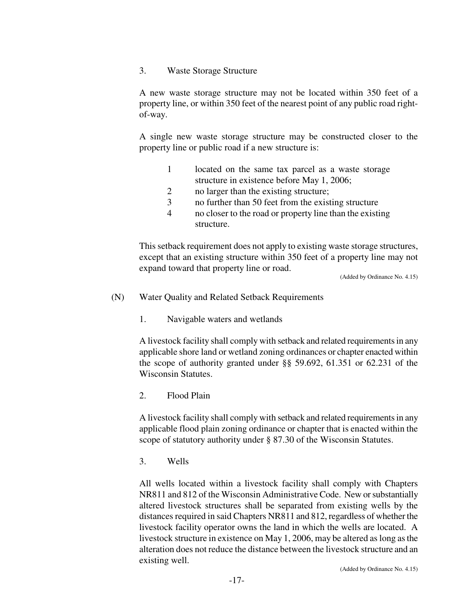3. Waste Storage Structure

A new waste storage structure may not be located within 350 feet of a property line, or within 350 feet of the nearest point of any public road rightof-way.

A single new waste storage structure may be constructed closer to the property line or public road if a new structure is:

| located on the same tax parcel as a waste storage |
|---------------------------------------------------|
| structure in existence before May 1, 2006;        |

- 2 no larger than the existing structure;
- 3 no further than 50 feet from the existing structure
- 4 no closer to the road or property line than the existing structure.

This setback requirement does not apply to existing waste storage structures, except that an existing structure within 350 feet of a property line may not expand toward that property line or road.

(Added by Ordinance No. 4.15)

- (N) Water Quality and Related Setback Requirements
	- 1. Navigable waters and wetlands

A livestock facility shall comply with setback and related requirements in any applicable shore land or wetland zoning ordinances or chapter enacted within the scope of authority granted under §§ 59.692, 61.351 or 62.231 of the Wisconsin Statutes.

2. Flood Plain

A livestock facility shall comply with setback and related requirements in any applicable flood plain zoning ordinance or chapter that is enacted within the scope of statutory authority under § 87.30 of the Wisconsin Statutes.

3. Wells

All wells located within a livestock facility shall comply with Chapters NR811 and 812 of the Wisconsin Administrative Code. New or substantially altered livestock structures shall be separated from existing wells by the distances required in said Chapters NR811 and 812, regardless of whether the livestock facility operator owns the land in which the wells are located. A livestock structure in existence on May 1, 2006, may be altered as long as the alteration does not reduce the distance between the livestock structure and an existing well.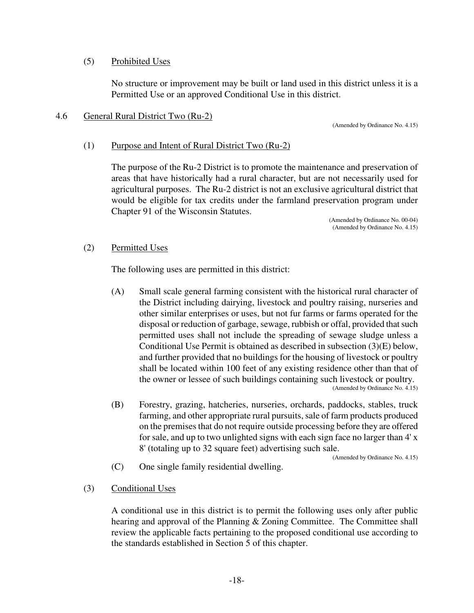## (5) Prohibited Uses

No structure or improvement may be built or land used in this district unless it is a Permitted Use or an approved Conditional Use in this district.

### 4.6 General Rural District Two (Ru-2)

(Amended by Ordinance No. 4.15)

## (1) Purpose and Intent of Rural District Two (Ru-2)

The purpose of the Ru-2 District is to promote the maintenance and preservation of areas that have historically had a rural character, but are not necessarily used for agricultural purposes. The Ru-2 district is not an exclusive agricultural district that would be eligible for tax credits under the farmland preservation program under Chapter 91 of the Wisconsin Statutes.

(Amended by Ordinance No. 00-04) (Amended by Ordinance No. 4.15)

## (2) Permitted Uses

The following uses are permitted in this district:

(A) Small scale general farming consistent with the historical rural character of the District including dairying, livestock and poultry raising, nurseries and other similar enterprises or uses, but not fur farms or farms operated for the disposal or reduction of garbage, sewage, rubbish or offal, provided that such permitted uses shall not include the spreading of sewage sludge unless a Conditional Use Permit is obtained as described in subsection (3)(E) below, and further provided that no buildings for the housing of livestock or poultry shall be located within 100 feet of any existing residence other than that of the owner or lessee of such buildings containing such livestock or poultry.

(Amended by Ordinance No. 4.15)

(B) Forestry, grazing, hatcheries, nurseries, orchards, paddocks, stables, truck farming, and other appropriate rural pursuits, sale of farm products produced on the premises that do not require outside processing before they are offered for sale, and up to two unlighted signs with each sign face no larger than 4' x 8' (totaling up to 32 square feet) advertising such sale.

(Amended by Ordinance No. 4.15)

- (C) One single family residential dwelling.
- (3) Conditional Uses

A conditional use in this district is to permit the following uses only after public hearing and approval of the Planning & Zoning Committee. The Committee shall review the applicable facts pertaining to the proposed conditional use according to the standards established in Section 5 of this chapter.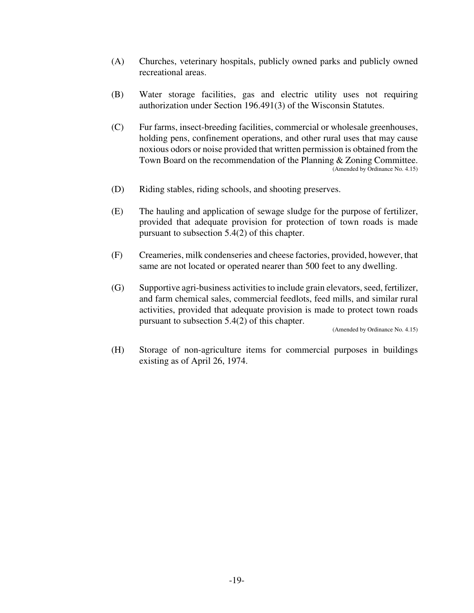- (A) Churches, veterinary hospitals, publicly owned parks and publicly owned recreational areas.
- (B) Water storage facilities, gas and electric utility uses not requiring authorization under Section 196.491(3) of the Wisconsin Statutes.
- (C) Fur farms, insect-breeding facilities, commercial or wholesale greenhouses, holding pens, confinement operations, and other rural uses that may cause noxious odors or noise provided that written permission is obtained from the Town Board on the recommendation of the Planning & Zoning Committee. (Amended by Ordinance No. 4.15)
- (D) Riding stables, riding schools, and shooting preserves.
- (E) The hauling and application of sewage sludge for the purpose of fertilizer, provided that adequate provision for protection of town roads is made pursuant to subsection 5.4(2) of this chapter.
- (F) Creameries, milk condenseries and cheese factories, provided, however, that same are not located or operated nearer than 500 feet to any dwelling.
- (G) Supportive agri-business activities to include grain elevators, seed, fertilizer, and farm chemical sales, commercial feedlots, feed mills, and similar rural activities, provided that adequate provision is made to protect town roads pursuant to subsection 5.4(2) of this chapter.

(Amended by Ordinance No. 4.15)

(H) Storage of non-agriculture items for commercial purposes in buildings existing as of April 26, 1974.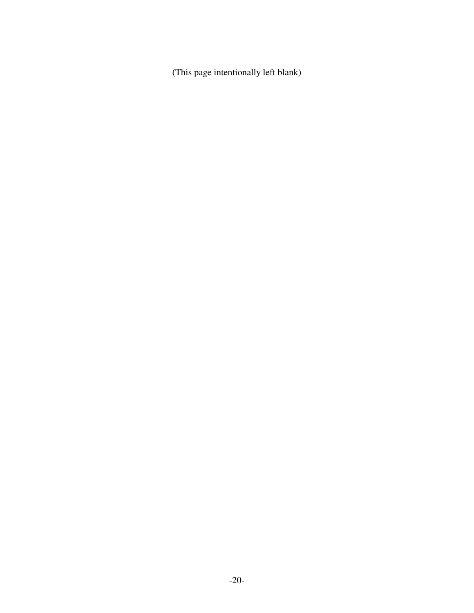(This page intentionally left blank)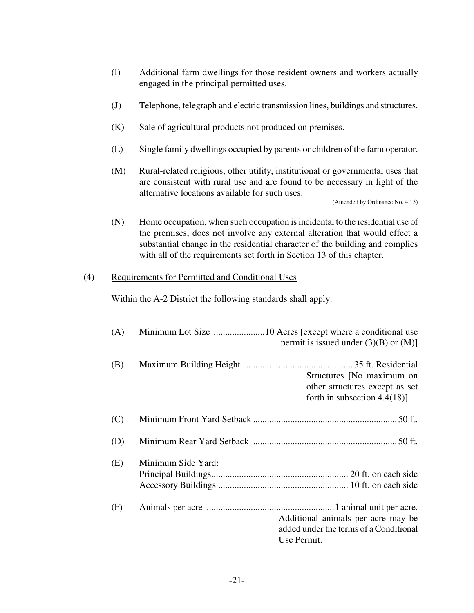- (I) Additional farm dwellings for those resident owners and workers actually engaged in the principal permitted uses.
- (J) Telephone, telegraph and electric transmission lines, buildings and structures.
- (K) Sale of agricultural products not produced on premises.
- (L) Single family dwellings occupied by parents or children of the farm operator.
- (M) Rural-related religious, other utility, institutional or governmental uses that are consistent with rural use and are found to be necessary in light of the alternative locations available for such uses.

(Amended by Ordinance No. 4.15)

(N) Home occupation, when such occupation is incidental to the residential use of the premises, does not involve any external alteration that would effect a substantial change in the residential character of the building and complies with all of the requirements set forth in Section 13 of this chapter.

### (4) Requirements for Permitted and Conditional Uses

Within the A-2 District the following standards shall apply:

| (A) |                    | permit is issued under $(3)(B)$ or $(M)$ ]                                                     |
|-----|--------------------|------------------------------------------------------------------------------------------------|
| (B) |                    | Structures [No maximum on<br>other structures except as set<br>forth in subsection $4.4(18)$ ] |
| (C) |                    |                                                                                                |
| (D) |                    |                                                                                                |
| (E) | Minimum Side Yard: |                                                                                                |
| (F) |                    | Additional animals per acre may be<br>added under the terms of a Conditional<br>Use Permit.    |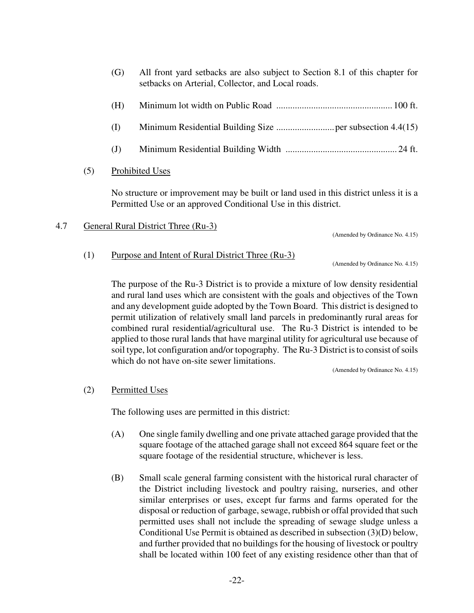- (G) All front yard setbacks are also subject to Section 8.1 of this chapter for setbacks on Arterial, Collector, and Local roads. (H) Minimum lot width on Public Road .................................................. 100 ft. (I) Minimum Residential Building Size .........................per subsection 4.4(15) (J) Minimum Residential Building Width ................................................ 24 ft.
- (5) Prohibited Uses

No structure or improvement may be built or land used in this district unless it is a Permitted Use or an approved Conditional Use in this district.

## 4.7 General Rural District Three (Ru-3)

(Amended by Ordinance No. 4.15)

(1) Purpose and Intent of Rural District Three (Ru-3)

(Amended by Ordinance No. 4.15)

The purpose of the Ru-3 District is to provide a mixture of low density residential and rural land uses which are consistent with the goals and objectives of the Town and any development guide adopted by the Town Board. This district is designed to permit utilization of relatively small land parcels in predominantly rural areas for combined rural residential/agricultural use. The Ru-3 District is intended to be applied to those rural lands that have marginal utility for agricultural use because of soil type, lot configuration and/or topography. The Ru-3 District is to consist of soils which do not have on-site sewer limitations.

(Amended by Ordinance No. 4.15)

(2) Permitted Uses

The following uses are permitted in this district:

- (A) One single family dwelling and one private attached garage provided that the square footage of the attached garage shall not exceed 864 square feet or the square footage of the residential structure, whichever is less.
- (B) Small scale general farming consistent with the historical rural character of the District including livestock and poultry raising, nurseries, and other similar enterprises or uses, except fur farms and farms operated for the disposal or reduction of garbage, sewage, rubbish or offal provided that such permitted uses shall not include the spreading of sewage sludge unless a Conditional Use Permit is obtained as described in subsection (3)(D) below, and further provided that no buildings for the housing of livestock or poultry shall be located within 100 feet of any existing residence other than that of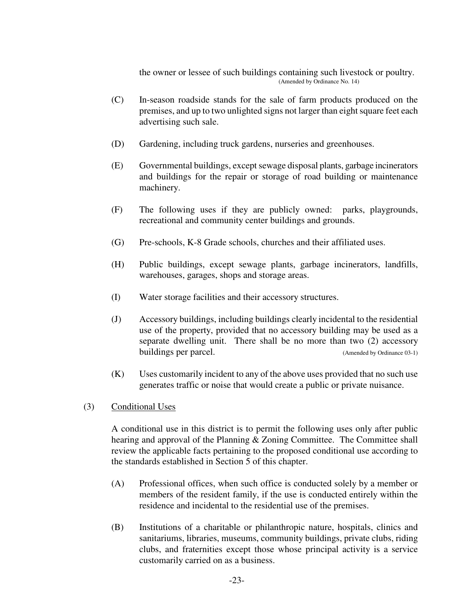the owner or lessee of such buildings containing such livestock or poultry. (Amended by Ordinance No. 14)

- (C) In-season roadside stands for the sale of farm products produced on the premises, and up to two unlighted signs not larger than eight square feet each advertising such sale.
- (D) Gardening, including truck gardens, nurseries and greenhouses.
- (E) Governmental buildings, except sewage disposal plants, garbage incinerators and buildings for the repair or storage of road building or maintenance machinery.
- (F) The following uses if they are publicly owned: parks, playgrounds, recreational and community center buildings and grounds.
- (G) Pre-schools, K-8 Grade schools, churches and their affiliated uses.
- (H) Public buildings, except sewage plants, garbage incinerators, landfills, warehouses, garages, shops and storage areas.
- (I) Water storage facilities and their accessory structures.
- (J) Accessory buildings, including buildings clearly incidental to the residential use of the property, provided that no accessory building may be used as a separate dwelling unit. There shall be no more than two (2) accessory buildings per parcel. (Amended by Ordinance 03-1)
- (K) Uses customarily incident to any of the above uses provided that no such use generates traffic or noise that would create a public or private nuisance.
- (3) Conditional Uses

A conditional use in this district is to permit the following uses only after public hearing and approval of the Planning & Zoning Committee. The Committee shall review the applicable facts pertaining to the proposed conditional use according to the standards established in Section 5 of this chapter.

- (A) Professional offices, when such office is conducted solely by a member or members of the resident family, if the use is conducted entirely within the residence and incidental to the residential use of the premises.
- (B) Institutions of a charitable or philanthropic nature, hospitals, clinics and sanitariums, libraries, museums, community buildings, private clubs, riding clubs, and fraternities except those whose principal activity is a service customarily carried on as a business.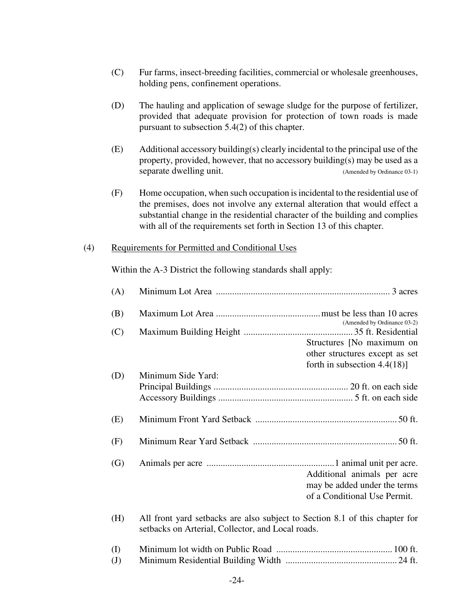- (C) Fur farms, insect-breeding facilities, commercial or wholesale greenhouses, holding pens, confinement operations.
- (D) The hauling and application of sewage sludge for the purpose of fertilizer, provided that adequate provision for protection of town roads is made pursuant to subsection 5.4(2) of this chapter.
- (E) Additional accessory building(s) clearly incidental to the principal use of the property, provided, however, that no accessory building(s) may be used as a separate dwelling unit. (Amended by Ordinance 03-1)
- (F) Home occupation, when such occupation is incidental to the residential use of the premises, does not involve any external alteration that would effect a substantial change in the residential character of the building and complies with all of the requirements set forth in Section 13 of this chapter.

#### (4) Requirements for Permitted and Conditional Uses

Within the A-3 District the following standards shall apply:

| (A)          |                                                                                                                                  |
|--------------|----------------------------------------------------------------------------------------------------------------------------------|
| (B)          | (Amended by Ordinance 03-2)                                                                                                      |
| (C)          |                                                                                                                                  |
|              | Structures [No maximum on                                                                                                        |
|              | other structures except as set                                                                                                   |
|              | forth in subsection $4.4(18)$ ]                                                                                                  |
| (D)          | Minimum Side Yard:                                                                                                               |
|              |                                                                                                                                  |
|              |                                                                                                                                  |
| (E)          |                                                                                                                                  |
| (F)          |                                                                                                                                  |
| (G)          |                                                                                                                                  |
|              | Additional animals per acre                                                                                                      |
|              | may be added under the terms                                                                                                     |
|              | of a Conditional Use Permit.                                                                                                     |
| (H)          | All front yard setbacks are also subject to Section 8.1 of this chapter for<br>setbacks on Arterial, Collector, and Local roads. |
| (I)          |                                                                                                                                  |
| $\mathrm{J}$ |                                                                                                                                  |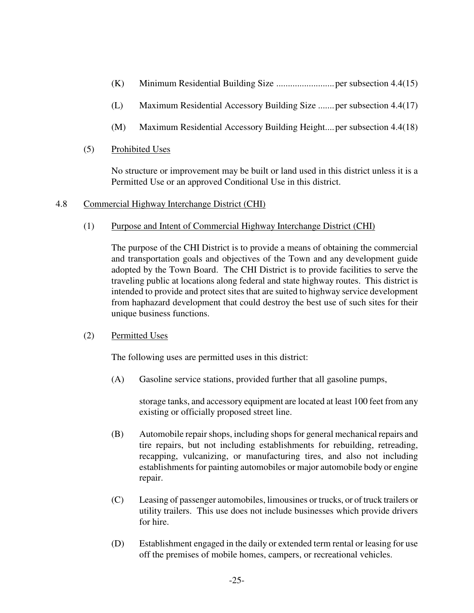- (K) Minimum Residential Building Size .........................per subsection 4.4(15)
- (L) Maximum Residential Accessory Building Size ....... per subsection 4.4(17)
- (M) Maximum Residential Accessory Building Height....per subsection 4.4(18)
- (5) Prohibited Uses

No structure or improvement may be built or land used in this district unless it is a Permitted Use or an approved Conditional Use in this district.

- 4.8 Commercial Highway Interchange District (CHI)
	- (1) Purpose and Intent of Commercial Highway Interchange District (CHI)

The purpose of the CHI District is to provide a means of obtaining the commercial and transportation goals and objectives of the Town and any development guide adopted by the Town Board. The CHI District is to provide facilities to serve the traveling public at locations along federal and state highway routes. This district is intended to provide and protect sites that are suited to highway service development from haphazard development that could destroy the best use of such sites for their unique business functions.

(2) Permitted Uses

The following uses are permitted uses in this district:

(A) Gasoline service stations, provided further that all gasoline pumps,

storage tanks, and accessory equipment are located at least 100 feet from any existing or officially proposed street line.

- (B) Automobile repair shops, including shops for general mechanical repairs and tire repairs, but not including establishments for rebuilding, retreading, recapping, vulcanizing, or manufacturing tires, and also not including establishments for painting automobiles or major automobile body or engine repair.
- (C) Leasing of passenger automobiles, limousines or trucks, or of truck trailers or utility trailers. This use does not include businesses which provide drivers for hire.
- (D) Establishment engaged in the daily or extended term rental or leasing for use off the premises of mobile homes, campers, or recreational vehicles.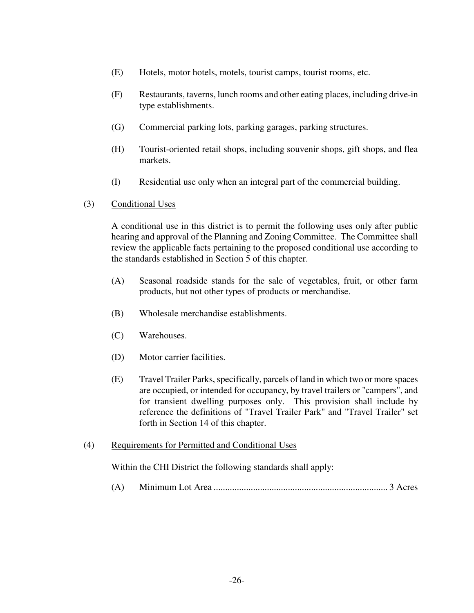- (E) Hotels, motor hotels, motels, tourist camps, tourist rooms, etc.
- (F) Restaurants, taverns, lunch rooms and other eating places, including drive-in type establishments.
- (G) Commercial parking lots, parking garages, parking structures.
- (H) Tourist-oriented retail shops, including souvenir shops, gift shops, and flea markets.
- (I) Residential use only when an integral part of the commercial building.
- (3) Conditional Uses

A conditional use in this district is to permit the following uses only after public hearing and approval of the Planning and Zoning Committee. The Committee shall review the applicable facts pertaining to the proposed conditional use according to the standards established in Section 5 of this chapter.

- (A) Seasonal roadside stands for the sale of vegetables, fruit, or other farm products, but not other types of products or merchandise.
- (B) Wholesale merchandise establishments.
- (C) Warehouses.
- (D) Motor carrier facilities.
- (E) Travel Trailer Parks, specifically, parcels of land in which two or more spaces are occupied, or intended for occupancy, by travel trailers or "campers", and for transient dwelling purposes only. This provision shall include by reference the definitions of "Travel Trailer Park" and "Travel Trailer" set forth in Section 14 of this chapter.
- (4) Requirements for Permitted and Conditional Uses

Within the CHI District the following standards shall apply:

(A) Minimum Lot Area ........................................................................... 3 Acres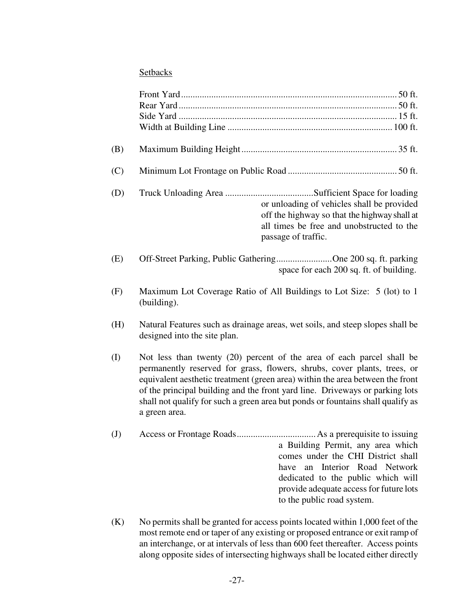### **Setbacks**

| (B)                        |                                                                                                                                                                                                                                                                                                                                                                                                                        |  |
|----------------------------|------------------------------------------------------------------------------------------------------------------------------------------------------------------------------------------------------------------------------------------------------------------------------------------------------------------------------------------------------------------------------------------------------------------------|--|
| $\left( \mathrm{C}\right)$ |                                                                                                                                                                                                                                                                                                                                                                                                                        |  |
| (D)                        | or unloading of vehicles shall be provided<br>off the highway so that the highway shall at<br>all times be free and unobstructed to the<br>passage of traffic.                                                                                                                                                                                                                                                         |  |
| (E)                        | Off-Street Parking, Public GatheringOne 200 sq. ft. parking<br>space for each 200 sq. ft. of building.                                                                                                                                                                                                                                                                                                                 |  |
| (F)                        | Maximum Lot Coverage Ratio of All Buildings to Lot Size: 5 (lot) to 1<br>(building).                                                                                                                                                                                                                                                                                                                                   |  |
| (H)                        | Natural Features such as drainage areas, wet soils, and steep slopes shall be<br>designed into the site plan.                                                                                                                                                                                                                                                                                                          |  |
| (I)                        | Not less than twenty (20) percent of the area of each parcel shall be<br>permanently reserved for grass, flowers, shrubs, cover plants, trees, or<br>equivalent aesthetic treatment (green area) within the area between the front<br>of the principal building and the front yard line. Driveways or parking lots<br>shall not qualify for such a green area but ponds or fountains shall qualify as<br>a green area. |  |
| $\overline{J}$             | a Building Permit, any area which<br>comes under the CHI District shall<br>an Interior Road Network<br>have<br>dedicated to the public which will<br>provide adequate access for future lots<br>to the public road system.                                                                                                                                                                                             |  |
| (K)                        | No permits shall be granted for access points located within 1,000 feet of the                                                                                                                                                                                                                                                                                                                                         |  |

(K) No permits shall be granted for access points located within 1,000 feet of the most remote end or taper of any existing or proposed entrance or exit ramp of an interchange, or at intervals of less than 600 feet thereafter. Access points along opposite sides of intersecting highways shall be located either directly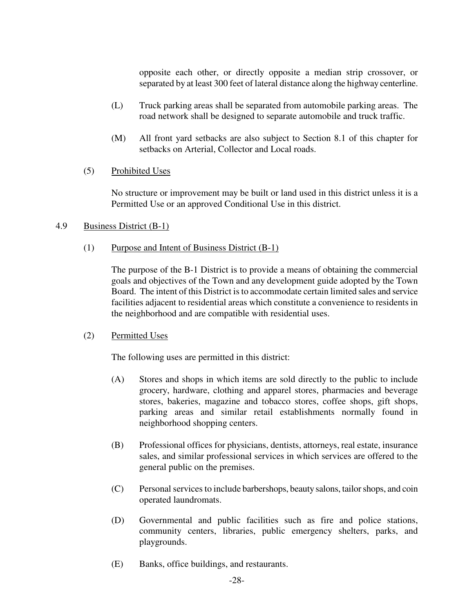opposite each other, or directly opposite a median strip crossover, or separated by at least 300 feet of lateral distance along the highway centerline.

- (L) Truck parking areas shall be separated from automobile parking areas. The road network shall be designed to separate automobile and truck traffic.
- (M) All front yard setbacks are also subject to Section 8.1 of this chapter for setbacks on Arterial, Collector and Local roads.
- (5) Prohibited Uses

No structure or improvement may be built or land used in this district unless it is a Permitted Use or an approved Conditional Use in this district.

## 4.9 Business District (B-1)

## (1) Purpose and Intent of Business District (B-1)

The purpose of the B-1 District is to provide a means of obtaining the commercial goals and objectives of the Town and any development guide adopted by the Town Board. The intent of this District is to accommodate certain limited sales and service facilities adjacent to residential areas which constitute a convenience to residents in the neighborhood and are compatible with residential uses.

# (2) Permitted Uses

The following uses are permitted in this district:

- (A) Stores and shops in which items are sold directly to the public to include grocery, hardware, clothing and apparel stores, pharmacies and beverage stores, bakeries, magazine and tobacco stores, coffee shops, gift shops, parking areas and similar retail establishments normally found in neighborhood shopping centers.
- (B) Professional offices for physicians, dentists, attorneys, real estate, insurance sales, and similar professional services in which services are offered to the general public on the premises.
- (C) Personal services to include barbershops, beauty salons, tailor shops, and coin operated laundromats.
- (D) Governmental and public facilities such as fire and police stations, community centers, libraries, public emergency shelters, parks, and playgrounds.
- (E) Banks, office buildings, and restaurants.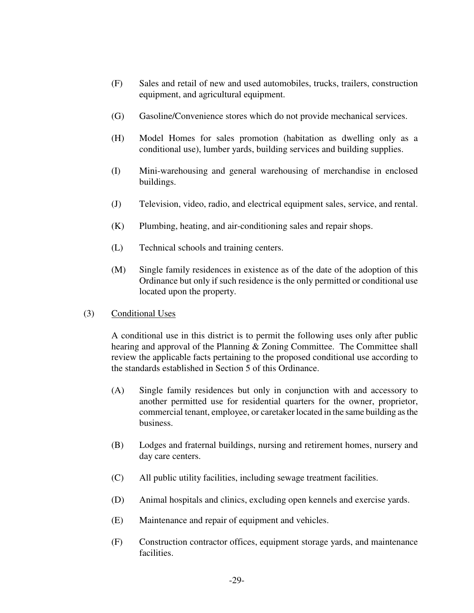- (F) Sales and retail of new and used automobiles, trucks, trailers, construction equipment, and agricultural equipment.
- (G) Gasoline/Convenience stores which do not provide mechanical services.
- (H) Model Homes for sales promotion (habitation as dwelling only as a conditional use), lumber yards, building services and building supplies.
- (I) Mini-warehousing and general warehousing of merchandise in enclosed buildings.
- (J) Television, video, radio, and electrical equipment sales, service, and rental.
- (K) Plumbing, heating, and air-conditioning sales and repair shops.
- (L) Technical schools and training centers.
- (M) Single family residences in existence as of the date of the adoption of this Ordinance but only if such residence is the only permitted or conditional use located upon the property.
- (3) Conditional Uses

A conditional use in this district is to permit the following uses only after public hearing and approval of the Planning & Zoning Committee. The Committee shall review the applicable facts pertaining to the proposed conditional use according to the standards established in Section 5 of this Ordinance.

- (A) Single family residences but only in conjunction with and accessory to another permitted use for residential quarters for the owner, proprietor, commercial tenant, employee, or caretaker located in the same building as the business.
- (B) Lodges and fraternal buildings, nursing and retirement homes, nursery and day care centers.
- (C) All public utility facilities, including sewage treatment facilities.
- (D) Animal hospitals and clinics, excluding open kennels and exercise yards.
- (E) Maintenance and repair of equipment and vehicles.
- (F) Construction contractor offices, equipment storage yards, and maintenance facilities.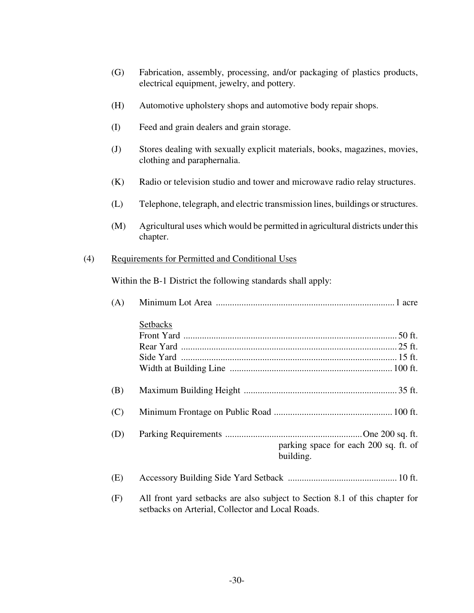- (G) Fabrication, assembly, processing, and/or packaging of plastics products, electrical equipment, jewelry, and pottery.
- (H) Automotive upholstery shops and automotive body repair shops.
- (I) Feed and grain dealers and grain storage.
- (J) Stores dealing with sexually explicit materials, books, magazines, movies, clothing and paraphernalia.
- (K) Radio or television studio and tower and microwave radio relay structures.
- (L) Telephone, telegraph, and electric transmission lines, buildings or structures.
- (M) Agricultural uses which would be permitted in agricultural districts under this chapter.

#### (4) Requirements for Permitted and Conditional Uses

Within the B-1 District the following standards shall apply:

| (A) |                 |                                                                             |
|-----|-----------------|-----------------------------------------------------------------------------|
|     | <b>Setbacks</b> |                                                                             |
|     |                 |                                                                             |
|     |                 |                                                                             |
|     |                 |                                                                             |
|     |                 |                                                                             |
| (B) |                 |                                                                             |
| (C) |                 |                                                                             |
| (D) |                 | parking space for each 200 sq. ft. of<br>building.                          |
| (E) |                 |                                                                             |
| (F) |                 | All front yard setbacks are also subject to Section 8.1 of this chapter for |

(F) All front yard setbacks are also subject to Section 8.1 of this chapter for setbacks on Arterial, Collector and Local Roads.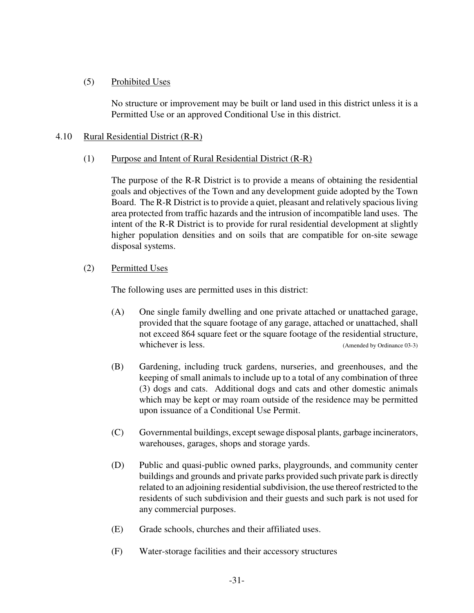# (5) Prohibited Uses

No structure or improvement may be built or land used in this district unless it is a Permitted Use or an approved Conditional Use in this district.

## 4.10 Rural Residential District (R-R)

## (1) Purpose and Intent of Rural Residential District (R-R)

The purpose of the R-R District is to provide a means of obtaining the residential goals and objectives of the Town and any development guide adopted by the Town Board. The R-R District is to provide a quiet, pleasant and relatively spacious living area protected from traffic hazards and the intrusion of incompatible land uses. The intent of the R-R District is to provide for rural residential development at slightly higher population densities and on soils that are compatible for on-site sewage disposal systems.

(2) Permitted Uses

The following uses are permitted uses in this district:

- (A) One single family dwelling and one private attached or unattached garage, provided that the square footage of any garage, attached or unattached, shall not exceed 864 square feet or the square footage of the residential structure, whichever is less. (Amended by Ordinance 03-3)
- (B) Gardening, including truck gardens, nurseries, and greenhouses, and the keeping of small animals to include up to a total of any combination of three (3) dogs and cats. Additional dogs and cats and other domestic animals which may be kept or may roam outside of the residence may be permitted upon issuance of a Conditional Use Permit.
- (C) Governmental buildings, except sewage disposal plants, garbage incinerators, warehouses, garages, shops and storage yards.
- (D) Public and quasi-public owned parks, playgrounds, and community center buildings and grounds and private parks provided such private park is directly related to an adjoining residential subdivision, the use thereof restricted to the residents of such subdivision and their guests and such park is not used for any commercial purposes.
- (E) Grade schools, churches and their affiliated uses.
- (F) Water-storage facilities and their accessory structures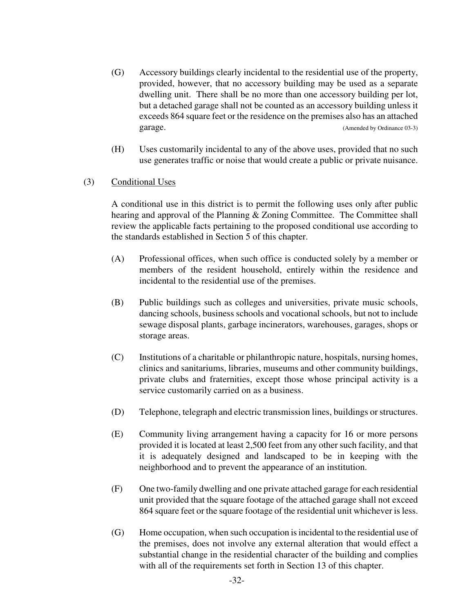- (G) Accessory buildings clearly incidental to the residential use of the property, provided, however, that no accessory building may be used as a separate dwelling unit. There shall be no more than one accessory building per lot, but a detached garage shall not be counted as an accessory building unless it exceeds 864 square feet or the residence on the premises also has an attached garage. (Amended by Ordinance 03-3)
- (H) Uses customarily incidental to any of the above uses, provided that no such use generates traffic or noise that would create a public or private nuisance.
- (3) Conditional Uses

A conditional use in this district is to permit the following uses only after public hearing and approval of the Planning & Zoning Committee. The Committee shall review the applicable facts pertaining to the proposed conditional use according to the standards established in Section 5 of this chapter.

- (A) Professional offices, when such office is conducted solely by a member or members of the resident household, entirely within the residence and incidental to the residential use of the premises.
- (B) Public buildings such as colleges and universities, private music schools, dancing schools, business schools and vocational schools, but not to include sewage disposal plants, garbage incinerators, warehouses, garages, shops or storage areas.
- (C) Institutions of a charitable or philanthropic nature, hospitals, nursing homes, clinics and sanitariums, libraries, museums and other community buildings, private clubs and fraternities, except those whose principal activity is a service customarily carried on as a business.
- (D) Telephone, telegraph and electric transmission lines, buildings or structures.
- (E) Community living arrangement having a capacity for 16 or more persons provided it is located at least 2,500 feet from any other such facility, and that it is adequately designed and landscaped to be in keeping with the neighborhood and to prevent the appearance of an institution.
- (F) One two-family dwelling and one private attached garage for each residential unit provided that the square footage of the attached garage shall not exceed 864 square feet or the square footage of the residential unit whichever is less.
- (G) Home occupation, when such occupation is incidental to the residential use of the premises, does not involve any external alteration that would effect a substantial change in the residential character of the building and complies with all of the requirements set forth in Section 13 of this chapter.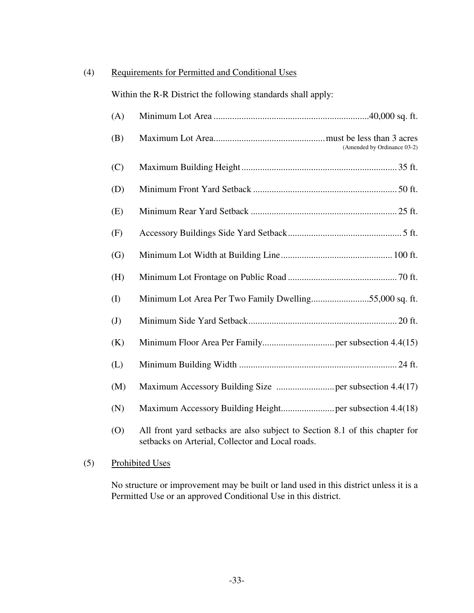## (4) Requirements for Permitted and Conditional Uses

Within the R-R District the following standards shall apply:

| (A)          |                                                                                                                                 |
|--------------|---------------------------------------------------------------------------------------------------------------------------------|
| (B)          | (Amended by Ordinance 03-2)                                                                                                     |
| (C)          |                                                                                                                                 |
| (D)          |                                                                                                                                 |
| (E)          |                                                                                                                                 |
| (F)          |                                                                                                                                 |
| (G)          |                                                                                                                                 |
| (H)          |                                                                                                                                 |
| (I)          | Minimum Lot Area Per Two Family Dwelling55,000 sq. ft.                                                                          |
| $\mathrm{J}$ |                                                                                                                                 |
| (K)          |                                                                                                                                 |
| (L)          |                                                                                                                                 |
| (M)          |                                                                                                                                 |
| (N)          |                                                                                                                                 |
| (0)          | All front yard setbacks are also subject to Section 8.1 of this chapter for<br>setbacks on Arterial, Collector and Local roads. |

## (5) Prohibited Uses

No structure or improvement may be built or land used in this district unless it is a Permitted Use or an approved Conditional Use in this district.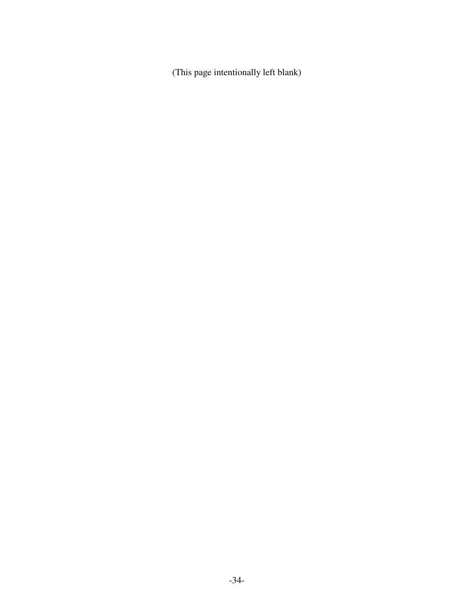(This page intentionally left blank)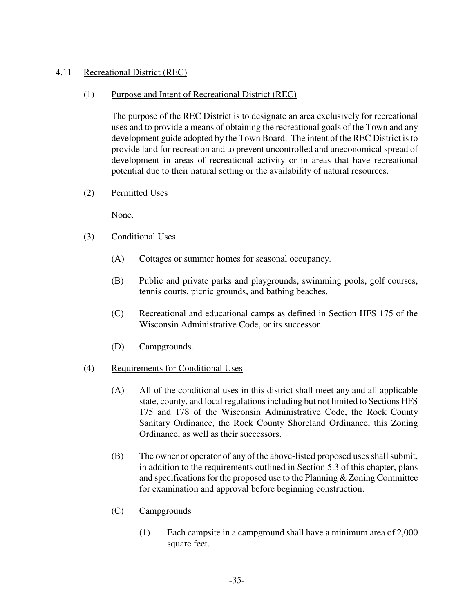# 4.11 Recreational District (REC)

## (1) Purpose and Intent of Recreational District (REC)

The purpose of the REC District is to designate an area exclusively for recreational uses and to provide a means of obtaining the recreational goals of the Town and any development guide adopted by the Town Board. The intent of the REC District is to provide land for recreation and to prevent uncontrolled and uneconomical spread of development in areas of recreational activity or in areas that have recreational potential due to their natural setting or the availability of natural resources.

(2) Permitted Uses

None.

- (3) Conditional Uses
	- (A) Cottages or summer homes for seasonal occupancy.
	- (B) Public and private parks and playgrounds, swimming pools, golf courses, tennis courts, picnic grounds, and bathing beaches.
	- (C) Recreational and educational camps as defined in Section HFS 175 of the Wisconsin Administrative Code, or its successor.
	- (D) Campgrounds.

### (4) Requirements for Conditional Uses

- (A) All of the conditional uses in this district shall meet any and all applicable state, county, and local regulations including but not limited to Sections HFS 175 and 178 of the Wisconsin Administrative Code, the Rock County Sanitary Ordinance, the Rock County Shoreland Ordinance, this Zoning Ordinance, as well as their successors.
- (B) The owner or operator of any of the above-listed proposed uses shall submit, in addition to the requirements outlined in Section 5.3 of this chapter, plans and specifications for the proposed use to the Planning & Zoning Committee for examination and approval before beginning construction.
- (C) Campgrounds
	- (1) Each campsite in a campground shall have a minimum area of 2,000 square feet.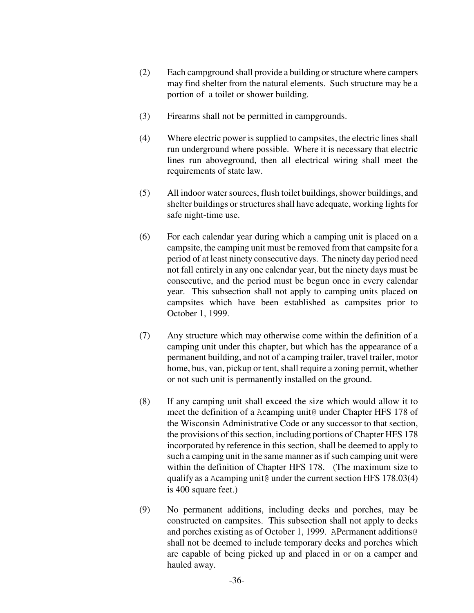- (2) Each campground shall provide a building or structure where campers may find shelter from the natural elements. Such structure may be a portion of a toilet or shower building.
- (3) Firearms shall not be permitted in campgrounds.
- (4) Where electric power is supplied to campsites, the electric lines shall run underground where possible. Where it is necessary that electric lines run aboveground, then all electrical wiring shall meet the requirements of state law.
- (5) All indoor water sources, flush toilet buildings, shower buildings, and shelter buildings or structures shall have adequate, working lights for safe night-time use.
- (6) For each calendar year during which a camping unit is placed on a campsite, the camping unit must be removed from that campsite for a period of at least ninety consecutive days. The ninety day period need not fall entirely in any one calendar year, but the ninety days must be consecutive, and the period must be begun once in every calendar year. This subsection shall not apply to camping units placed on campsites which have been established as campsites prior to October 1, 1999.
- (7) Any structure which may otherwise come within the definition of a camping unit under this chapter, but which has the appearance of a permanent building, and not of a camping trailer, travel trailer, motor home, bus, van, pickup or tent, shall require a zoning permit, whether or not such unit is permanently installed on the ground.
- (8) If any camping unit shall exceed the size which would allow it to meet the definition of a Acamping unit@ under Chapter HFS 178 of the Wisconsin Administrative Code or any successor to that section, the provisions of this section, including portions of Chapter HFS 178 incorporated by reference in this section, shall be deemed to apply to such a camping unit in the same manner as if such camping unit were within the definition of Chapter HFS 178. (The maximum size to qualify as a Acamping unit@ under the current section HFS 178.03(4) is 400 square feet.)
- (9) No permanent additions, including decks and porches, may be constructed on campsites. This subsection shall not apply to decks and porches existing as of October 1, 1999. APermanent additions@ shall not be deemed to include temporary decks and porches which are capable of being picked up and placed in or on a camper and hauled away.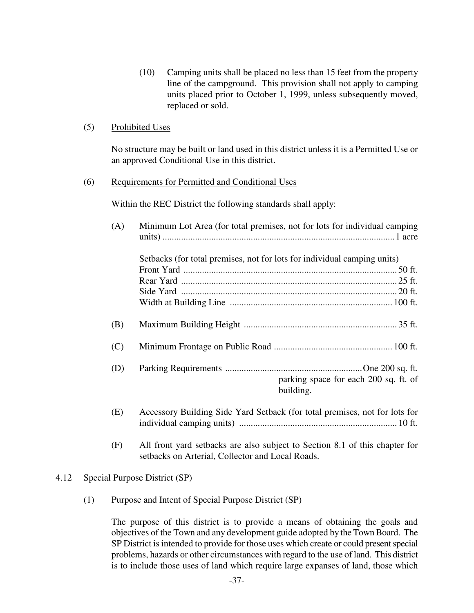(10) Camping units shall be placed no less than 15 feet from the property line of the campground. This provision shall not apply to camping units placed prior to October 1, 1999, unless subsequently moved, replaced or sold.

### (5) Prohibited Uses

No structure may be built or land used in this district unless it is a Permitted Use or an approved Conditional Use in this district.

### (6) Requirements for Permitted and Conditional Uses

Within the REC District the following standards shall apply:

| (A) |                                                                          | Minimum Lot Area (for total premises, not for lots for individual camping |
|-----|--------------------------------------------------------------------------|---------------------------------------------------------------------------|
|     | Setbacks (for total premises, not for lots for individual camping units) |                                                                           |
|     |                                                                          |                                                                           |
|     |                                                                          |                                                                           |
|     |                                                                          |                                                                           |
|     |                                                                          |                                                                           |
| (B) |                                                                          |                                                                           |
| (C) |                                                                          |                                                                           |
| (D) |                                                                          |                                                                           |
|     |                                                                          | parking space for each 200 sq. ft. of<br>building.                        |
| (F) |                                                                          | Accessory Building Side Yard Setback (for total premises not for lots for |

- (E) Accessory Building Side Yard Setback (for total premises, not for lots for individual camping units) .................................................................... 10 ft.
- (F) All front yard setbacks are also subject to Section 8.1 of this chapter for setbacks on Arterial, Collector and Local Roads.

### 4.12 Special Purpose District (SP)

### (1) Purpose and Intent of Special Purpose District (SP)

The purpose of this district is to provide a means of obtaining the goals and objectives of the Town and any development guide adopted by the Town Board. The SP District is intended to provide for those uses which create or could present special problems, hazards or other circumstances with regard to the use of land. This district is to include those uses of land which require large expanses of land, those which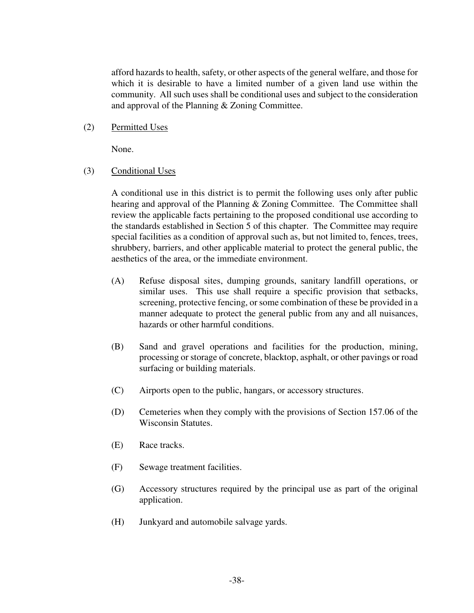afford hazards to health, safety, or other aspects of the general welfare, and those for which it is desirable to have a limited number of a given land use within the community. All such uses shall be conditional uses and subject to the consideration and approval of the Planning & Zoning Committee.

(2) Permitted Uses

None.

(3) Conditional Uses

A conditional use in this district is to permit the following uses only after public hearing and approval of the Planning & Zoning Committee. The Committee shall review the applicable facts pertaining to the proposed conditional use according to the standards established in Section 5 of this chapter. The Committee may require special facilities as a condition of approval such as, but not limited to, fences, trees, shrubbery, barriers, and other applicable material to protect the general public, the aesthetics of the area, or the immediate environment.

- (A) Refuse disposal sites, dumping grounds, sanitary landfill operations, or similar uses. This use shall require a specific provision that setbacks, screening, protective fencing, or some combination of these be provided in a manner adequate to protect the general public from any and all nuisances, hazards or other harmful conditions.
- (B) Sand and gravel operations and facilities for the production, mining, processing or storage of concrete, blacktop, asphalt, or other pavings or road surfacing or building materials.
- (C) Airports open to the public, hangars, or accessory structures.
- (D) Cemeteries when they comply with the provisions of Section 157.06 of the Wisconsin Statutes.
- (E) Race tracks.
- (F) Sewage treatment facilities.
- (G) Accessory structures required by the principal use as part of the original application.
- (H) Junkyard and automobile salvage yards.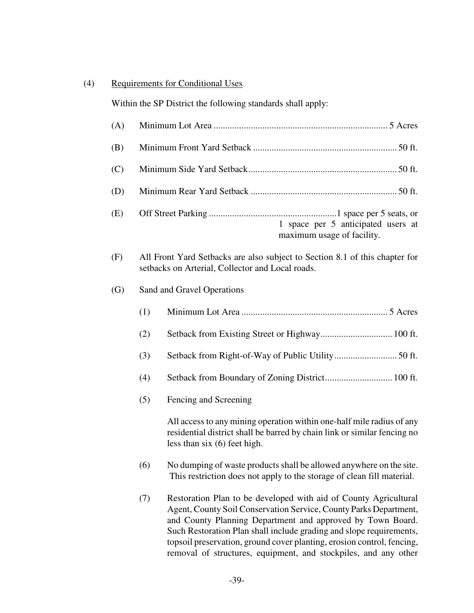## (4) Requirements for Conditional Uses

Within the SP District the following standards shall apply:

| (A) |                                                                                                                                 |                                                                                                                                                                                    |  |
|-----|---------------------------------------------------------------------------------------------------------------------------------|------------------------------------------------------------------------------------------------------------------------------------------------------------------------------------|--|
| (B) |                                                                                                                                 |                                                                                                                                                                                    |  |
| (C) |                                                                                                                                 |                                                                                                                                                                                    |  |
| (D) |                                                                                                                                 |                                                                                                                                                                                    |  |
| (E) |                                                                                                                                 | 1 space per 5 anticipated users at<br>maximum usage of facility.                                                                                                                   |  |
| (F) | All Front Yard Setbacks are also subject to Section 8.1 of this chapter for<br>setbacks on Arterial, Collector and Local roads. |                                                                                                                                                                                    |  |
| (G) | Sand and Gravel Operations                                                                                                      |                                                                                                                                                                                    |  |
|     | (1)                                                                                                                             |                                                                                                                                                                                    |  |
|     | (2)                                                                                                                             | Setback from Existing Street or Highway 100 ft.                                                                                                                                    |  |
|     | (3)                                                                                                                             |                                                                                                                                                                                    |  |
|     | (4)                                                                                                                             |                                                                                                                                                                                    |  |
|     | (5)                                                                                                                             | Fencing and Screening                                                                                                                                                              |  |
|     |                                                                                                                                 | All access to any mining operation within one-half mile radius of any<br>residential district shall be barred by chain link or similar fencing no<br>less than $six(6)$ feet high. |  |
|     | (6)                                                                                                                             | No dumping of waste products shall be allowed anywhere on the site.<br>This restriction does not apply to the storage of clean fill material.                                      |  |
|     | (7)                                                                                                                             | Restoration Plan to be developed with aid of County Agricultural                                                                                                                   |  |

Agent, County Soil Conservation Service, County Parks Department, and County Planning Department and approved by Town Board. Such Restoration Plan shall include grading and slope requirements, topsoil preservation, ground cover planting, erosion control, fencing, removal of structures, equipment, and stockpiles, and any other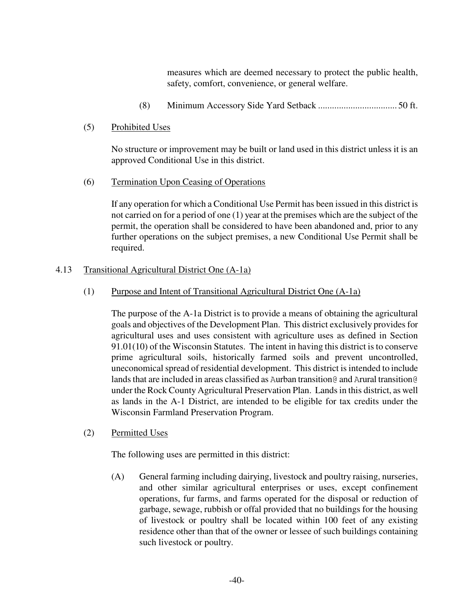measures which are deemed necessary to protect the public health, safety, comfort, convenience, or general welfare.

(8) Minimum Accessory Side Yard Setback .................................. 50 ft.

# (5) Prohibited Uses

No structure or improvement may be built or land used in this district unless it is an approved Conditional Use in this district.

(6) Termination Upon Ceasing of Operations

If any operation for which a Conditional Use Permit has been issued in this district is not carried on for a period of one (1) year at the premises which are the subject of the permit, the operation shall be considered to have been abandoned and, prior to any further operations on the subject premises, a new Conditional Use Permit shall be required.

# 4.13 Transitional Agricultural District One (A-1a)

(1) Purpose and Intent of Transitional Agricultural District One (A-1a)

The purpose of the A-1a District is to provide a means of obtaining the agricultural goals and objectives of the Development Plan. This district exclusively provides for agricultural uses and uses consistent with agriculture uses as defined in Section 91.01(10) of the Wisconsin Statutes. The intent in having this district is to conserve prime agricultural soils, historically farmed soils and prevent uncontrolled, uneconomical spread of residential development. This district is intended to include lands that are included in areas classified as Aurban transition@ and Arural transition@ under the Rock County Agricultural Preservation Plan. Lands in this district, as well as lands in the A-1 District, are intended to be eligible for tax credits under the Wisconsin Farmland Preservation Program.

(2) Permitted Uses

The following uses are permitted in this district:

(A) General farming including dairying, livestock and poultry raising, nurseries, and other similar agricultural enterprises or uses, except confinement operations, fur farms, and farms operated for the disposal or reduction of garbage, sewage, rubbish or offal provided that no buildings for the housing of livestock or poultry shall be located within 100 feet of any existing residence other than that of the owner or lessee of such buildings containing such livestock or poultry.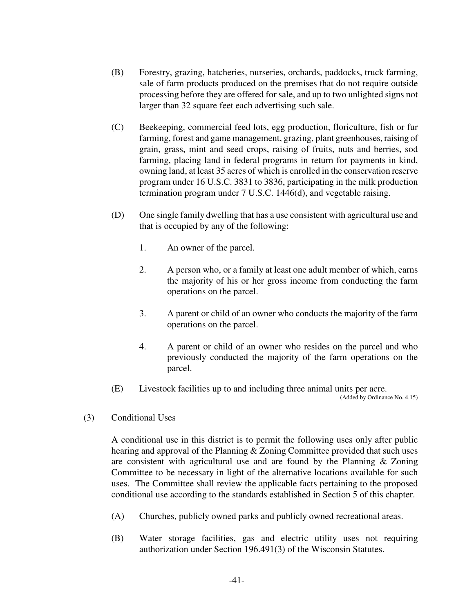- (B) Forestry, grazing, hatcheries, nurseries, orchards, paddocks, truck farming, sale of farm products produced on the premises that do not require outside processing before they are offered for sale, and up to two unlighted signs not larger than 32 square feet each advertising such sale.
- (C) Beekeeping, commercial feed lots, egg production, floriculture, fish or fur farming, forest and game management, grazing, plant greenhouses, raising of grain, grass, mint and seed crops, raising of fruits, nuts and berries, sod farming, placing land in federal programs in return for payments in kind, owning land, at least 35 acres of which is enrolled in the conservation reserve program under 16 U.S.C. 3831 to 3836, participating in the milk production termination program under 7 U.S.C. 1446(d), and vegetable raising.
- (D) One single family dwelling that has a use consistent with agricultural use and that is occupied by any of the following:
	- 1. An owner of the parcel.
	- 2. A person who, or a family at least one adult member of which, earns the majority of his or her gross income from conducting the farm operations on the parcel.
	- 3. A parent or child of an owner who conducts the majority of the farm operations on the parcel.
	- 4. A parent or child of an owner who resides on the parcel and who previously conducted the majority of the farm operations on the parcel.
- (E) Livestock facilities up to and including three animal units per acre.

(Added by Ordinance No. 4.15)

(3) Conditional Uses

A conditional use in this district is to permit the following uses only after public hearing and approval of the Planning & Zoning Committee provided that such uses are consistent with agricultural use and are found by the Planning & Zoning Committee to be necessary in light of the alternative locations available for such uses. The Committee shall review the applicable facts pertaining to the proposed conditional use according to the standards established in Section 5 of this chapter.

- (A) Churches, publicly owned parks and publicly owned recreational areas.
- (B) Water storage facilities, gas and electric utility uses not requiring authorization under Section 196.491(3) of the Wisconsin Statutes.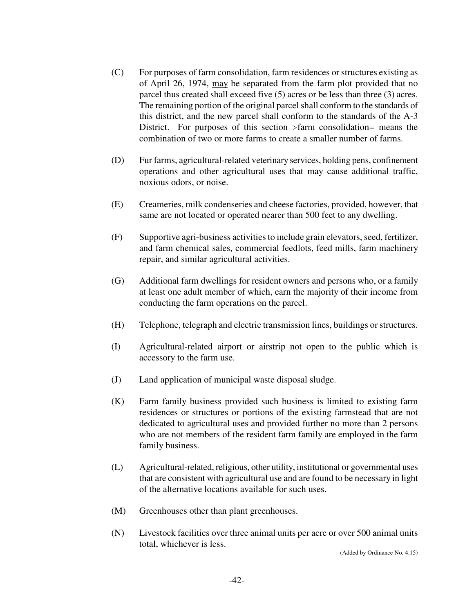- (C) For purposes of farm consolidation, farm residences or structures existing as of April 26, 1974, may be separated from the farm plot provided that no parcel thus created shall exceed five (5) acres or be less than three (3) acres. The remaining portion of the original parcel shall conform to the standards of this district, and the new parcel shall conform to the standards of the A-3 District. For purposes of this section >farm consolidation= means the combination of two or more farms to create a smaller number of farms.
- (D) Fur farms, agricultural-related veterinary services, holding pens, confinement operations and other agricultural uses that may cause additional traffic, noxious odors, or noise.
- (E) Creameries, milk condenseries and cheese factories, provided, however, that same are not located or operated nearer than 500 feet to any dwelling.
- (F) Supportive agri-business activities to include grain elevators, seed, fertilizer, and farm chemical sales, commercial feedlots, feed mills, farm machinery repair, and similar agricultural activities.
- (G) Additional farm dwellings for resident owners and persons who, or a family at least one adult member of which, earn the majority of their income from conducting the farm operations on the parcel.
- (H) Telephone, telegraph and electric transmission lines, buildings or structures.
- (I) Agricultural-related airport or airstrip not open to the public which is accessory to the farm use.
- (J) Land application of municipal waste disposal sludge.
- (K) Farm family business provided such business is limited to existing farm residences or structures or portions of the existing farmstead that are not dedicated to agricultural uses and provided further no more than 2 persons who are not members of the resident farm family are employed in the farm family business.
- (L) Agricultural-related, religious, other utility, institutional or governmental uses that are consistent with agricultural use and are found to be necessary in light of the alternative locations available for such uses.
- (M) Greenhouses other than plant greenhouses.
- (N) Livestock facilities over three animal units per acre or over 500 animal units total, whichever is less.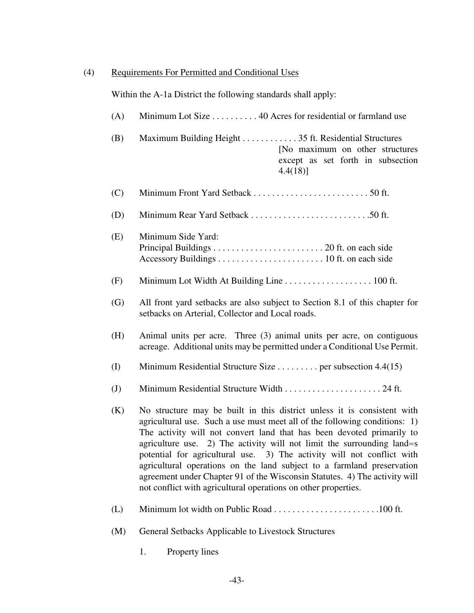## (4) Requirements For Permitted and Conditional Uses

Within the A-1a District the following standards shall apply:

(A) Minimum Lot Size . . . . . . . . . . 40 Acres for residential or farmland use

| (B) | Maximum Building Height 35 ft. Residential Structures<br>[No maximum on other structures]<br>except as set forth in subsection<br>$4.4(18)$ ]                                                                                                                                                                                                                                                                                                                                                                                                                                                                   |  |
|-----|-----------------------------------------------------------------------------------------------------------------------------------------------------------------------------------------------------------------------------------------------------------------------------------------------------------------------------------------------------------------------------------------------------------------------------------------------------------------------------------------------------------------------------------------------------------------------------------------------------------------|--|
| (C) |                                                                                                                                                                                                                                                                                                                                                                                                                                                                                                                                                                                                                 |  |
| (D) |                                                                                                                                                                                                                                                                                                                                                                                                                                                                                                                                                                                                                 |  |
| (E) | Minimum Side Yard:                                                                                                                                                                                                                                                                                                                                                                                                                                                                                                                                                                                              |  |
| (F) | Minimum Lot Width At Building Line 100 ft.                                                                                                                                                                                                                                                                                                                                                                                                                                                                                                                                                                      |  |
| (G) | All front yard setbacks are also subject to Section 8.1 of this chapter for<br>setbacks on Arterial, Collector and Local roads.                                                                                                                                                                                                                                                                                                                                                                                                                                                                                 |  |
| (H) | Animal units per acre. Three (3) animal units per acre, on contiguous<br>acreage. Additional units may be permitted under a Conditional Use Permit.                                                                                                                                                                                                                                                                                                                                                                                                                                                             |  |
| (I) | Minimum Residential Structure Size per subsection 4.4(15)                                                                                                                                                                                                                                                                                                                                                                                                                                                                                                                                                       |  |
| (J) |                                                                                                                                                                                                                                                                                                                                                                                                                                                                                                                                                                                                                 |  |
| (K) | No structure may be built in this district unless it is consistent with<br>agricultural use. Such a use must meet all of the following conditions: 1)<br>The activity will not convert land that has been devoted primarily to<br>agriculture use. 2) The activity will not limit the surrounding land= $s$<br>potential for agricultural use. 3) The activity will not conflict with<br>agricultural operations on the land subject to a farmland preservation<br>agreement under Chapter 91 of the Wisconsin Statutes. 4) The activity will<br>not conflict with agricultural operations on other properties. |  |
| (L) | Minimum lot width on Public Road 100 ft.                                                                                                                                                                                                                                                                                                                                                                                                                                                                                                                                                                        |  |

- (M) General Setbacks Applicable to Livestock Structures
	- 1. Property lines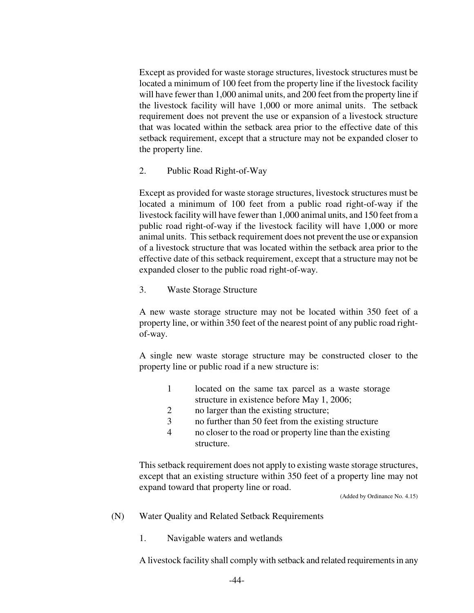Except as provided for waste storage structures, livestock structures must be located a minimum of 100 feet from the property line if the livestock facility will have fewer than 1,000 animal units, and 200 feet from the property line if the livestock facility will have 1,000 or more animal units. The setback requirement does not prevent the use or expansion of a livestock structure that was located within the setback area prior to the effective date of this setback requirement, except that a structure may not be expanded closer to the property line.

2. Public Road Right-of-Way

Except as provided for waste storage structures, livestock structures must be located a minimum of 100 feet from a public road right-of-way if the livestock facility will have fewer than 1,000 animal units, and 150 feet from a public road right-of-way if the livestock facility will have 1,000 or more animal units. This setback requirement does not prevent the use or expansion of a livestock structure that was located within the setback area prior to the effective date of this setback requirement, except that a structure may not be expanded closer to the public road right-of-way.

3. Waste Storage Structure

A new waste storage structure may not be located within 350 feet of a property line, or within 350 feet of the nearest point of any public road rightof-way.

A single new waste storage structure may be constructed closer to the property line or public road if a new structure is:

| located on the same tax parcel as a waste storage |  |  |  |
|---------------------------------------------------|--|--|--|
| structure in existence before May 1, 2006;        |  |  |  |

- 2 no larger than the existing structure;
- 3 no further than 50 feet from the existing structure
- 4 no closer to the road or property line than the existing structure.

This setback requirement does not apply to existing waste storage structures, except that an existing structure within 350 feet of a property line may not expand toward that property line or road.

(Added by Ordinance No. 4.15)

- (N) Water Quality and Related Setback Requirements
	- 1. Navigable waters and wetlands

A livestock facility shall comply with setback and related requirements in any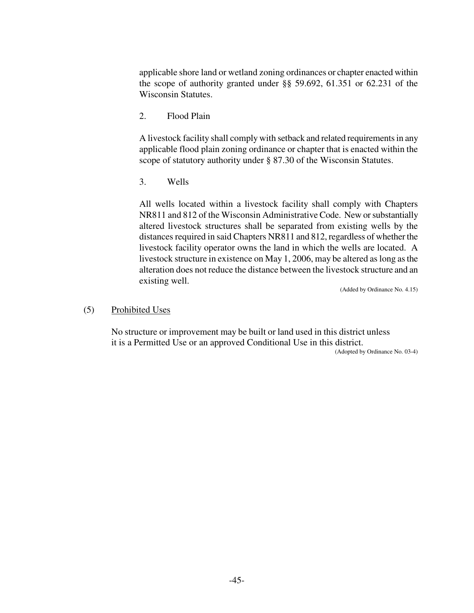applicable shore land or wetland zoning ordinances or chapter enacted within the scope of authority granted under §§ 59.692, 61.351 or 62.231 of the Wisconsin Statutes.

2. Flood Plain

A livestock facility shall comply with setback and related requirements in any applicable flood plain zoning ordinance or chapter that is enacted within the scope of statutory authority under § 87.30 of the Wisconsin Statutes.

3. Wells

All wells located within a livestock facility shall comply with Chapters NR811 and 812 of the Wisconsin Administrative Code. New or substantially altered livestock structures shall be separated from existing wells by the distances required in said Chapters NR811 and 812, regardless of whether the livestock facility operator owns the land in which the wells are located. A livestock structure in existence on May 1, 2006, may be altered as long as the alteration does not reduce the distance between the livestock structure and an existing well.

(Added by Ordinance No. 4.15)

#### (5) Prohibited Uses

No structure or improvement may be built or land used in this district unless it is a Permitted Use or an approved Conditional Use in this district. (Adopted by Ordinance No. 03-4)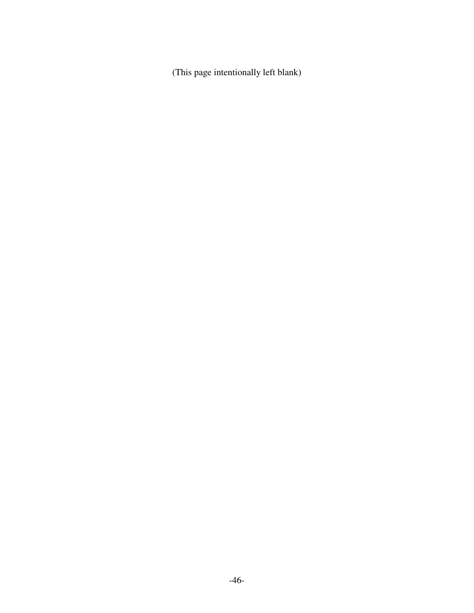(This page intentionally left blank)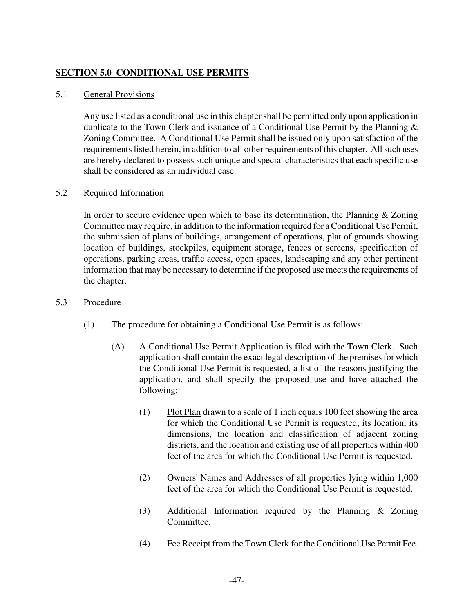# **SECTION 5.0 CONDITIONAL USE PERMITS**

## 5.1 General Provisions

Any use listed as a conditional use in this chapter shall be permitted only upon application in duplicate to the Town Clerk and issuance of a Conditional Use Permit by the Planning & Zoning Committee. A Conditional Use Permit shall be issued only upon satisfaction of the requirements listed herein, in addition to all other requirements of this chapter. All such uses are hereby declared to possess such unique and special characteristics that each specific use shall be considered as an individual case.

## 5.2 Required Information

In order to secure evidence upon which to base its determination, the Planning & Zoning Committee may require, in addition to the information required for a Conditional Use Permit, the submission of plans of buildings, arrangement of operations, plat of grounds showing location of buildings, stockpiles, equipment storage, fences or screens, specification of operations, parking areas, traffic access, open spaces, landscaping and any other pertinent information that may be necessary to determine if the proposed use meets the requirements of the chapter.

### 5.3 Procedure

- (1) The procedure for obtaining a Conditional Use Permit is as follows:
	- (A) A Conditional Use Permit Application is filed with the Town Clerk. Such application shall contain the exact legal description of the premises for which the Conditional Use Permit is requested, a list of the reasons justifying the application, and shall specify the proposed use and have attached the following:
		- (1) Plot Plan drawn to a scale of 1 inch equals 100 feet showing the area for which the Conditional Use Permit is requested, its location, its dimensions, the location and classification of adjacent zoning districts, and the location and existing use of all properties within 400 feet of the area for which the Conditional Use Permit is requested.
		- (2) Owners' Names and Addresses of all properties lying within 1,000 feet of the area for which the Conditional Use Permit is requested.
		- (3) Additional Information required by the Planning & Zoning Committee.
		- (4) Fee Receipt from the Town Clerk for the Conditional Use Permit Fee.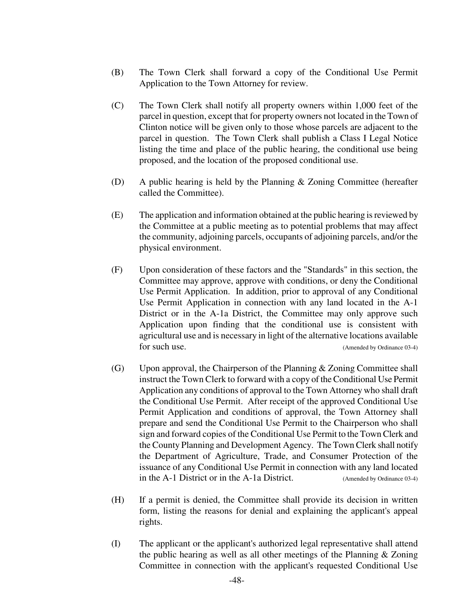- (B) The Town Clerk shall forward a copy of the Conditional Use Permit Application to the Town Attorney for review.
- (C) The Town Clerk shall notify all property owners within 1,000 feet of the parcel in question, except that for property owners not located in the Town of Clinton notice will be given only to those whose parcels are adjacent to the parcel in question. The Town Clerk shall publish a Class I Legal Notice listing the time and place of the public hearing, the conditional use being proposed, and the location of the proposed conditional use.
- (D) A public hearing is held by the Planning & Zoning Committee (hereafter called the Committee).
- (E) The application and information obtained at the public hearing is reviewed by the Committee at a public meeting as to potential problems that may affect the community, adjoining parcels, occupants of adjoining parcels, and/or the physical environment.
- (F) Upon consideration of these factors and the "Standards" in this section, the Committee may approve, approve with conditions, or deny the Conditional Use Permit Application. In addition, prior to approval of any Conditional Use Permit Application in connection with any land located in the A-1 District or in the A-1a District, the Committee may only approve such Application upon finding that the conditional use is consistent with agricultural use and is necessary in light of the alternative locations available for such use. (Amended by Ordinance 03-4)
- (G) Upon approval, the Chairperson of the Planning & Zoning Committee shall instruct the Town Clerk to forward with a copy of the Conditional Use Permit Application any conditions of approval to the Town Attorney who shall draft the Conditional Use Permit. After receipt of the approved Conditional Use Permit Application and conditions of approval, the Town Attorney shall prepare and send the Conditional Use Permit to the Chairperson who shall sign and forward copies of the Conditional Use Permit to the Town Clerk and the County Planning and Development Agency. The Town Clerk shall notify the Department of Agriculture, Trade, and Consumer Protection of the issuance of any Conditional Use Permit in connection with any land located in the A-1 District or in the A-1a District. (Amended by Ordinance 03-4)
- (H) If a permit is denied, the Committee shall provide its decision in written form, listing the reasons for denial and explaining the applicant's appeal rights.
- (I) The applicant or the applicant's authorized legal representative shall attend the public hearing as well as all other meetings of the Planning & Zoning Committee in connection with the applicant's requested Conditional Use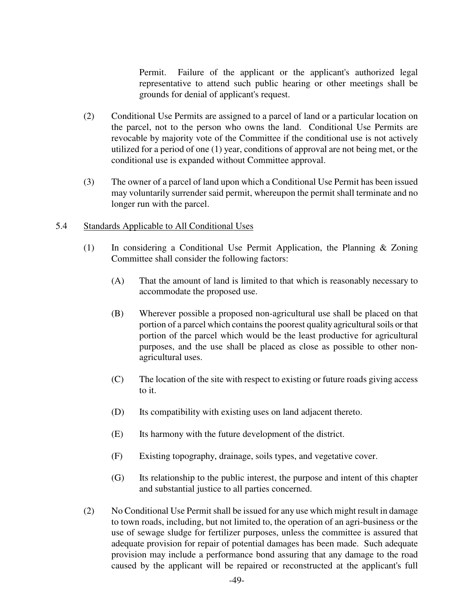Permit. Failure of the applicant or the applicant's authorized legal representative to attend such public hearing or other meetings shall be grounds for denial of applicant's request.

- (2) Conditional Use Permits are assigned to a parcel of land or a particular location on the parcel, not to the person who owns the land. Conditional Use Permits are revocable by majority vote of the Committee if the conditional use is not actively utilized for a period of one (1) year, conditions of approval are not being met, or the conditional use is expanded without Committee approval.
- (3) The owner of a parcel of land upon which a Conditional Use Permit has been issued may voluntarily surrender said permit, whereupon the permit shall terminate and no longer run with the parcel.

## 5.4 Standards Applicable to All Conditional Uses

- (1) In considering a Conditional Use Permit Application, the Planning & Zoning Committee shall consider the following factors:
	- (A) That the amount of land is limited to that which is reasonably necessary to accommodate the proposed use.
	- (B) Wherever possible a proposed non-agricultural use shall be placed on that portion of a parcel which contains the poorest quality agricultural soils or that portion of the parcel which would be the least productive for agricultural purposes, and the use shall be placed as close as possible to other nonagricultural uses.
	- (C) The location of the site with respect to existing or future roads giving access to it.
	- (D) Its compatibility with existing uses on land adjacent thereto.
	- (E) Its harmony with the future development of the district.
	- (F) Existing topography, drainage, soils types, and vegetative cover.
	- (G) Its relationship to the public interest, the purpose and intent of this chapter and substantial justice to all parties concerned.
- (2) No Conditional Use Permit shall be issued for any use which might result in damage to town roads, including, but not limited to, the operation of an agri-business or the use of sewage sludge for fertilizer purposes, unless the committee is assured that adequate provision for repair of potential damages has been made. Such adequate provision may include a performance bond assuring that any damage to the road caused by the applicant will be repaired or reconstructed at the applicant's full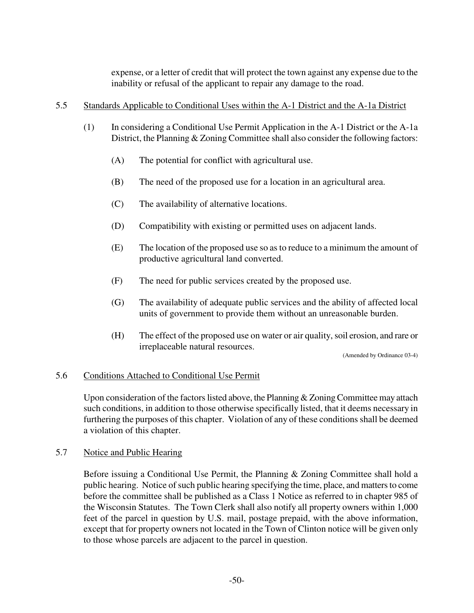expense, or a letter of credit that will protect the town against any expense due to the inability or refusal of the applicant to repair any damage to the road.

- 5.5 Standards Applicable to Conditional Uses within the A-1 District and the A-1a District
	- (1) In considering a Conditional Use Permit Application in the A-1 District or the A-1a District, the Planning & Zoning Committee shall also consider the following factors:
		- (A) The potential for conflict with agricultural use.
		- (B) The need of the proposed use for a location in an agricultural area.
		- (C) The availability of alternative locations.
		- (D) Compatibility with existing or permitted uses on adjacent lands.
		- (E) The location of the proposed use so as to reduce to a minimum the amount of productive agricultural land converted.
		- (F) The need for public services created by the proposed use.
		- (G) The availability of adequate public services and the ability of affected local units of government to provide them without an unreasonable burden.
		- (H) The effect of the proposed use on water or air quality, soil erosion, and rare or irreplaceable natural resources.

(Amended by Ordinance 03-4)

# 5.6 Conditions Attached to Conditional Use Permit

Upon consideration of the factors listed above, the Planning  $&$  Zoning Committee may attach such conditions, in addition to those otherwise specifically listed, that it deems necessary in furthering the purposes of this chapter. Violation of any of these conditions shall be deemed a violation of this chapter.

# 5.7 Notice and Public Hearing

Before issuing a Conditional Use Permit, the Planning & Zoning Committee shall hold a public hearing. Notice of such public hearing specifying the time, place, and matters to come before the committee shall be published as a Class 1 Notice as referred to in chapter 985 of the Wisconsin Statutes. The Town Clerk shall also notify all property owners within 1,000 feet of the parcel in question by U.S. mail, postage prepaid, with the above information, except that for property owners not located in the Town of Clinton notice will be given only to those whose parcels are adjacent to the parcel in question.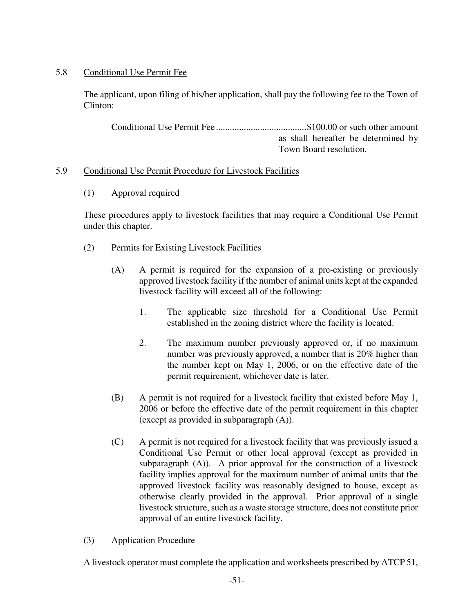# 5.8 Conditional Use Permit Fee

The applicant, upon filing of his/her application, shall pay the following fee to the Town of Clinton:

Conditional Use Permit Fee.......................................\$100.00 or such other amount as shall hereafter be determined by Town Board resolution.

# 5.9 Conditional Use Permit Procedure for Livestock Facilities

(1) Approval required

These procedures apply to livestock facilities that may require a Conditional Use Permit under this chapter.

- (2) Permits for Existing Livestock Facilities
	- (A) A permit is required for the expansion of a pre-existing or previously approved livestock facility if the number of animal units kept at the expanded livestock facility will exceed all of the following:
		- 1. The applicable size threshold for a Conditional Use Permit established in the zoning district where the facility is located.
		- 2. The maximum number previously approved or, if no maximum number was previously approved, a number that is 20% higher than the number kept on May 1, 2006, or on the effective date of the permit requirement, whichever date is later.
	- (B) A permit is not required for a livestock facility that existed before May 1, 2006 or before the effective date of the permit requirement in this chapter (except as provided in subparagraph (A)).
	- (C) A permit is not required for a livestock facility that was previously issued a Conditional Use Permit or other local approval (except as provided in subparagraph (A)). A prior approval for the construction of a livestock facility implies approval for the maximum number of animal units that the approved livestock facility was reasonably designed to house, except as otherwise clearly provided in the approval. Prior approval of a single livestock structure, such as a waste storage structure, does not constitute prior approval of an entire livestock facility.
- (3) Application Procedure

A livestock operator must complete the application and worksheets prescribed by ATCP 51,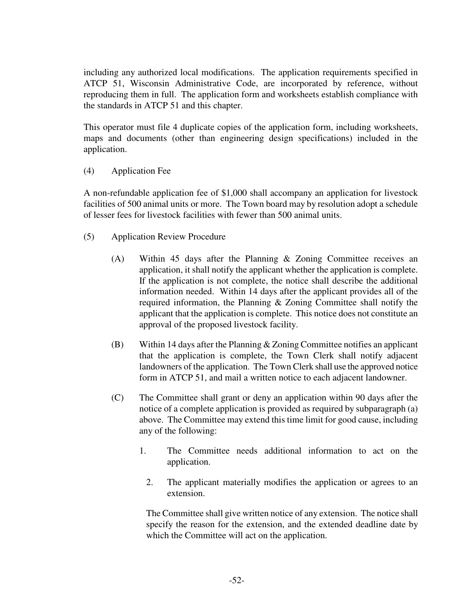including any authorized local modifications. The application requirements specified in ATCP 51, Wisconsin Administrative Code, are incorporated by reference, without reproducing them in full. The application form and worksheets establish compliance with the standards in ATCP 51 and this chapter.

This operator must file 4 duplicate copies of the application form, including worksheets, maps and documents (other than engineering design specifications) included in the application.

(4) Application Fee

A non-refundable application fee of \$1,000 shall accompany an application for livestock facilities of 500 animal units or more. The Town board may by resolution adopt a schedule of lesser fees for livestock facilities with fewer than 500 animal units.

- (5) Application Review Procedure
	- (A) Within 45 days after the Planning & Zoning Committee receives an application, it shall notify the applicant whether the application is complete. If the application is not complete, the notice shall describe the additional information needed. Within 14 days after the applicant provides all of the required information, the Planning & Zoning Committee shall notify the applicant that the application is complete. This notice does not constitute an approval of the proposed livestock facility.
	- (B) Within 14 days after the Planning & Zoning Committee notifies an applicant that the application is complete, the Town Clerk shall notify adjacent landowners of the application. The Town Clerk shall use the approved notice form in ATCP 51, and mail a written notice to each adjacent landowner.
	- (C) The Committee shall grant or deny an application within 90 days after the notice of a complete application is provided as required by subparagraph (a) above. The Committee may extend this time limit for good cause, including any of the following:
		- 1. The Committee needs additional information to act on the application.
			- 2. The applicant materially modifies the application or agrees to an extension.

The Committee shall give written notice of any extension. The notice shall specify the reason for the extension, and the extended deadline date by which the Committee will act on the application.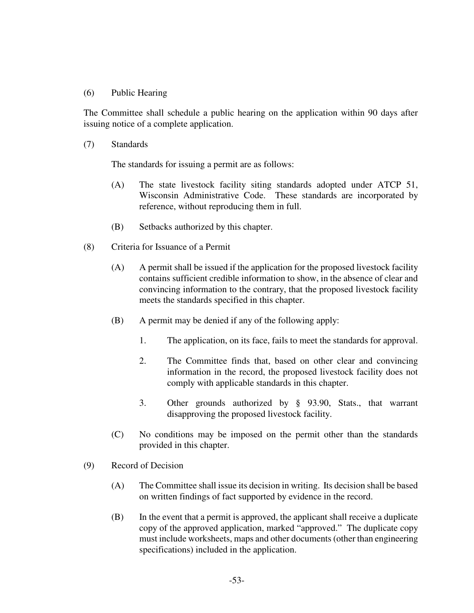### (6) Public Hearing

The Committee shall schedule a public hearing on the application within 90 days after issuing notice of a complete application.

(7) Standards

The standards for issuing a permit are as follows:

- (A) The state livestock facility siting standards adopted under ATCP 51, Wisconsin Administrative Code. These standards are incorporated by reference, without reproducing them in full.
- (B) Setbacks authorized by this chapter.
- (8) Criteria for Issuance of a Permit
	- (A) A permit shall be issued if the application for the proposed livestock facility contains sufficient credible information to show, in the absence of clear and convincing information to the contrary, that the proposed livestock facility meets the standards specified in this chapter.
	- (B) A permit may be denied if any of the following apply:
		- 1. The application, on its face, fails to meet the standards for approval.
		- 2. The Committee finds that, based on other clear and convincing information in the record, the proposed livestock facility does not comply with applicable standards in this chapter.
		- 3. Other grounds authorized by § 93.90, Stats., that warrant disapproving the proposed livestock facility.
	- (C) No conditions may be imposed on the permit other than the standards provided in this chapter.
- (9) Record of Decision
	- (A) The Committee shall issue its decision in writing. Its decision shall be based on written findings of fact supported by evidence in the record.
	- (B) In the event that a permit is approved, the applicant shall receive a duplicate copy of the approved application, marked "approved." The duplicate copy must include worksheets, maps and other documents (other than engineering specifications) included in the application.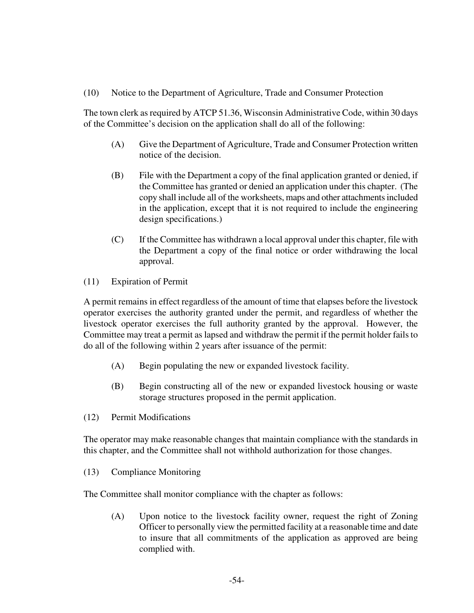(10) Notice to the Department of Agriculture, Trade and Consumer Protection

The town clerk as required by ATCP 51.36, Wisconsin Administrative Code, within 30 days of the Committee's decision on the application shall do all of the following:

- (A) Give the Department of Agriculture, Trade and Consumer Protection written notice of the decision.
- (B) File with the Department a copy of the final application granted or denied, if the Committee has granted or denied an application under this chapter. (The copy shall include all of the worksheets, maps and other attachments included in the application, except that it is not required to include the engineering design specifications.)
- (C) If the Committee has withdrawn a local approval under this chapter, file with the Department a copy of the final notice or order withdrawing the local approval.
- (11) Expiration of Permit

A permit remains in effect regardless of the amount of time that elapses before the livestock operator exercises the authority granted under the permit, and regardless of whether the livestock operator exercises the full authority granted by the approval. However, the Committee may treat a permit as lapsed and withdraw the permit if the permit holder fails to do all of the following within 2 years after issuance of the permit:

- (A) Begin populating the new or expanded livestock facility.
- (B) Begin constructing all of the new or expanded livestock housing or waste storage structures proposed in the permit application.
- (12) Permit Modifications

The operator may make reasonable changes that maintain compliance with the standards in this chapter, and the Committee shall not withhold authorization for those changes.

(13) Compliance Monitoring

The Committee shall monitor compliance with the chapter as follows:

(A) Upon notice to the livestock facility owner, request the right of Zoning Officer to personally view the permitted facility at a reasonable time and date to insure that all commitments of the application as approved are being complied with.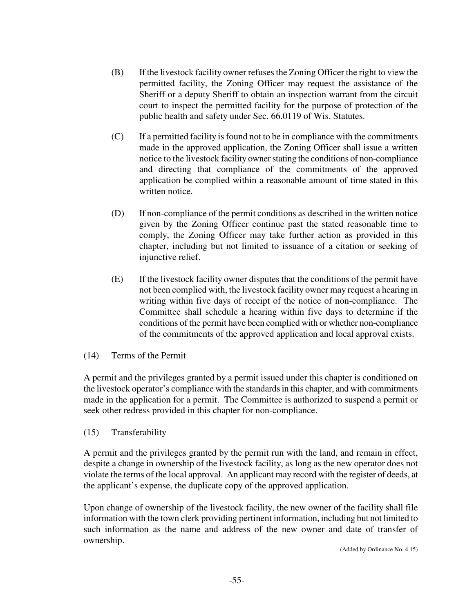- (B) If the livestock facility owner refuses the Zoning Officer the right to view the permitted facility, the Zoning Officer may request the assistance of the Sheriff or a deputy Sheriff to obtain an inspection warrant from the circuit court to inspect the permitted facility for the purpose of protection of the public health and safety under Sec. 66.0119 of Wis. Statutes.
- (C) If a permitted facility is found not to be in compliance with the commitments made in the approved application, the Zoning Officer shall issue a written notice to the livestock facility owner stating the conditions of non-compliance and directing that compliance of the commitments of the approved application be complied within a reasonable amount of time stated in this written notice.
- (D) If non-compliance of the permit conditions as described in the written notice given by the Zoning Officer continue past the stated reasonable time to comply, the Zoning Officer may take further action as provided in this chapter, including but not limited to issuance of a citation or seeking of injunctive relief.
- (E) If the livestock facility owner disputes that the conditions of the permit have not been complied with, the livestock facility owner may request a hearing in writing within five days of receipt of the notice of non-compliance. The Committee shall schedule a hearing within five days to determine if the conditions of the permit have been complied with or whether non-compliance of the commitments of the approved application and local approval exists.
- (14) Terms of the Permit

A permit and the privileges granted by a permit issued under this chapter is conditioned on the livestock operator's compliance with the standards in this chapter, and with commitments made in the application for a permit. The Committee is authorized to suspend a permit or seek other redress provided in this chapter for non-compliance.

(15) Transferability

A permit and the privileges granted by the permit run with the land, and remain in effect, despite a change in ownership of the livestock facility, as long as the new operator does not violate the terms of the local approval. An applicant may record with the register of deeds, at the applicant's expense, the duplicate copy of the approved application.

Upon change of ownership of the livestock facility, the new owner of the facility shall file information with the town clerk providing pertinent information, including but not limited to such information as the name and address of the new owner and date of transfer of ownership.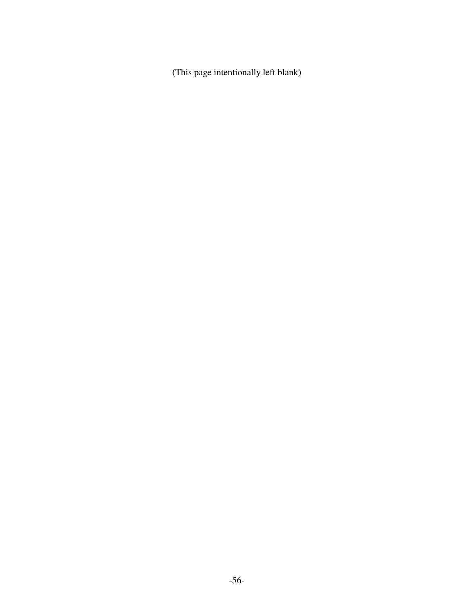(This page intentionally left blank)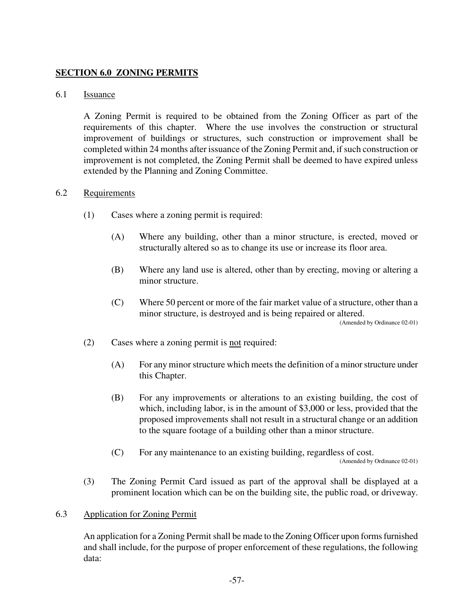# **SECTION 6.0 ZONING PERMITS**

## 6.1 Issuance

A Zoning Permit is required to be obtained from the Zoning Officer as part of the requirements of this chapter. Where the use involves the construction or structural improvement of buildings or structures, such construction or improvement shall be completed within 24 months after issuance of the Zoning Permit and, if such construction or improvement is not completed, the Zoning Permit shall be deemed to have expired unless extended by the Planning and Zoning Committee.

## 6.2 Requirements

- (1) Cases where a zoning permit is required:
	- (A) Where any building, other than a minor structure, is erected, moved or structurally altered so as to change its use or increase its floor area.
	- (B) Where any land use is altered, other than by erecting, moving or altering a minor structure.
	- (C) Where 50 percent or more of the fair market value of a structure, other than a minor structure, is destroyed and is being repaired or altered.

(Amended by Ordinance 02-01)

- (2) Cases where a zoning permit is not required:
	- (A) For any minor structure which meets the definition of a minor structure under this Chapter.
	- (B) For any improvements or alterations to an existing building, the cost of which, including labor, is in the amount of \$3,000 or less, provided that the proposed improvements shall not result in a structural change or an addition to the square footage of a building other than a minor structure.
	- (C) For any maintenance to an existing building, regardless of cost.

(Amended by Ordinance 02-01)

(3) The Zoning Permit Card issued as part of the approval shall be displayed at a prominent location which can be on the building site, the public road, or driveway.

### 6.3 Application for Zoning Permit

An application for a Zoning Permit shall be made to the Zoning Officer upon forms furnished and shall include, for the purpose of proper enforcement of these regulations, the following data: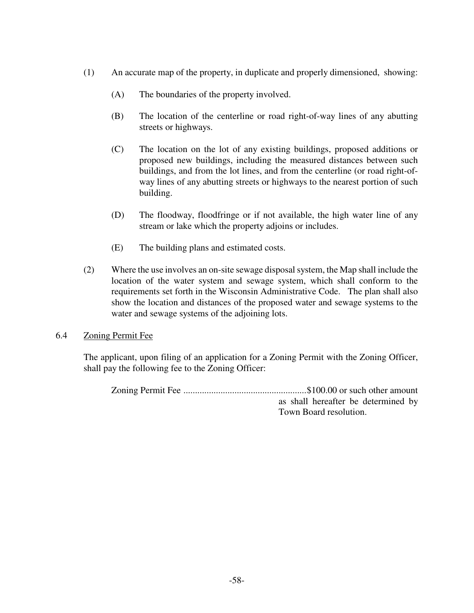- (1) An accurate map of the property, in duplicate and properly dimensioned, showing:
	- (A) The boundaries of the property involved.
	- (B) The location of the centerline or road right-of-way lines of any abutting streets or highways.
	- (C) The location on the lot of any existing buildings, proposed additions or proposed new buildings, including the measured distances between such buildings, and from the lot lines, and from the centerline (or road right-ofway lines of any abutting streets or highways to the nearest portion of such building.
	- (D) The floodway, floodfringe or if not available, the high water line of any stream or lake which the property adjoins or includes.
	- (E) The building plans and estimated costs.
- (2) Where the use involves an on-site sewage disposal system, the Map shall include the location of the water system and sewage system, which shall conform to the requirements set forth in the Wisconsin Administrative Code. The plan shall also show the location and distances of the proposed water and sewage systems to the water and sewage systems of the adjoining lots.

### 6.4 Zoning Permit Fee

The applicant, upon filing of an application for a Zoning Permit with the Zoning Officer, shall pay the following fee to the Zoning Officer:

Zoning Permit Fee .....................................................\$100.00 or such other amount as shall hereafter be determined by Town Board resolution.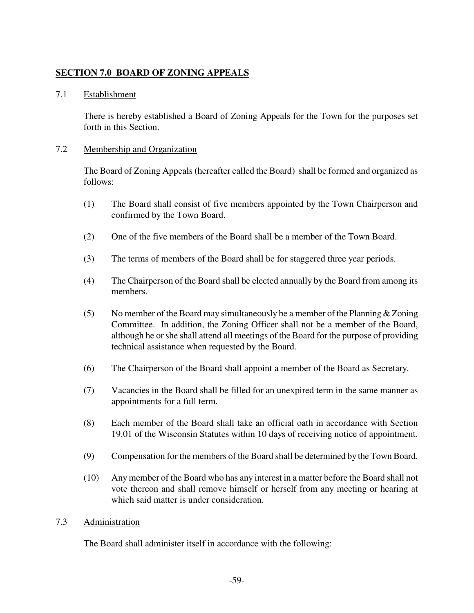# **SECTION 7.0 BOARD OF ZONING APPEALS**

### 7.1 Establishment

There is hereby established a Board of Zoning Appeals for the Town for the purposes set forth in this Section.

## 7.2 Membership and Organization

The Board of Zoning Appeals (hereafter called the Board) shall be formed and organized as follows:

- (1) The Board shall consist of five members appointed by the Town Chairperson and confirmed by the Town Board.
- (2) One of the five members of the Board shall be a member of the Town Board.
- (3) The terms of members of the Board shall be for staggered three year periods.
- (4) The Chairperson of the Board shall be elected annually by the Board from among its members.
- (5) No member of the Board may simultaneously be a member of the Planning & Zoning Committee. In addition, the Zoning Officer shall not be a member of the Board, although he or she shall attend all meetings of the Board for the purpose of providing technical assistance when requested by the Board.
- (6) The Chairperson of the Board shall appoint a member of the Board as Secretary.
- (7) Vacancies in the Board shall be filled for an unexpired term in the same manner as appointments for a full term.
- (8) Each member of the Board shall take an official oath in accordance with Section 19.01 of the Wisconsin Statutes within 10 days of receiving notice of appointment.
- (9) Compensation for the members of the Board shall be determined by the Town Board.
- (10) Any member of the Board who has any interest in a matter before the Board shall not vote thereon and shall remove himself or herself from any meeting or hearing at which said matter is under consideration.

### 7.3 Administration

The Board shall administer itself in accordance with the following: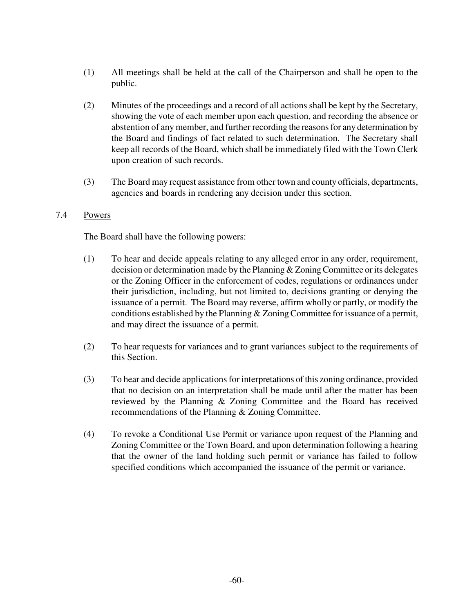- (1) All meetings shall be held at the call of the Chairperson and shall be open to the public.
- (2) Minutes of the proceedings and a record of all actions shall be kept by the Secretary, showing the vote of each member upon each question, and recording the absence or abstention of any member, and further recording the reasons for any determination by the Board and findings of fact related to such determination. The Secretary shall keep all records of the Board, which shall be immediately filed with the Town Clerk upon creation of such records.
- (3) The Board may request assistance from other town and county officials, departments, agencies and boards in rendering any decision under this section.

# 7.4 Powers

The Board shall have the following powers:

- (1) To hear and decide appeals relating to any alleged error in any order, requirement, decision or determination made by the Planning & Zoning Committee or its delegates or the Zoning Officer in the enforcement of codes, regulations or ordinances under their jurisdiction, including, but not limited to, decisions granting or denying the issuance of a permit. The Board may reverse, affirm wholly or partly, or modify the conditions established by the Planning & Zoning Committee for issuance of a permit, and may direct the issuance of a permit.
- (2) To hear requests for variances and to grant variances subject to the requirements of this Section.
- (3) To hear and decide applications for interpretations of this zoning ordinance, provided that no decision on an interpretation shall be made until after the matter has been reviewed by the Planning & Zoning Committee and the Board has received recommendations of the Planning & Zoning Committee.
- (4) To revoke a Conditional Use Permit or variance upon request of the Planning and Zoning Committee or the Town Board, and upon determination following a hearing that the owner of the land holding such permit or variance has failed to follow specified conditions which accompanied the issuance of the permit or variance.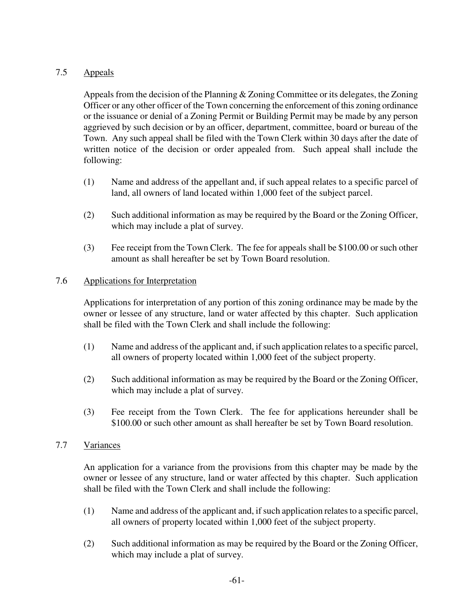# 7.5 Appeals

Appeals from the decision of the Planning & Zoning Committee or its delegates, the Zoning Officer or any other officer of the Town concerning the enforcement of this zoning ordinance or the issuance or denial of a Zoning Permit or Building Permit may be made by any person aggrieved by such decision or by an officer, department, committee, board or bureau of the Town. Any such appeal shall be filed with the Town Clerk within 30 days after the date of written notice of the decision or order appealed from. Such appeal shall include the following:

- (1) Name and address of the appellant and, if such appeal relates to a specific parcel of land, all owners of land located within 1,000 feet of the subject parcel.
- (2) Such additional information as may be required by the Board or the Zoning Officer, which may include a plat of survey.
- (3) Fee receipt from the Town Clerk. The fee for appeals shall be \$100.00 or such other amount as shall hereafter be set by Town Board resolution.

# 7.6 Applications for Interpretation

Applications for interpretation of any portion of this zoning ordinance may be made by the owner or lessee of any structure, land or water affected by this chapter. Such application shall be filed with the Town Clerk and shall include the following:

- (1) Name and address of the applicant and, if such application relates to a specific parcel, all owners of property located within 1,000 feet of the subject property.
- (2) Such additional information as may be required by the Board or the Zoning Officer, which may include a plat of survey.
- (3) Fee receipt from the Town Clerk. The fee for applications hereunder shall be \$100.00 or such other amount as shall hereafter be set by Town Board resolution.

# 7.7 Variances

An application for a variance from the provisions from this chapter may be made by the owner or lessee of any structure, land or water affected by this chapter. Such application shall be filed with the Town Clerk and shall include the following:

- (1) Name and address of the applicant and, if such application relates to a specific parcel, all owners of property located within 1,000 feet of the subject property.
- (2) Such additional information as may be required by the Board or the Zoning Officer, which may include a plat of survey.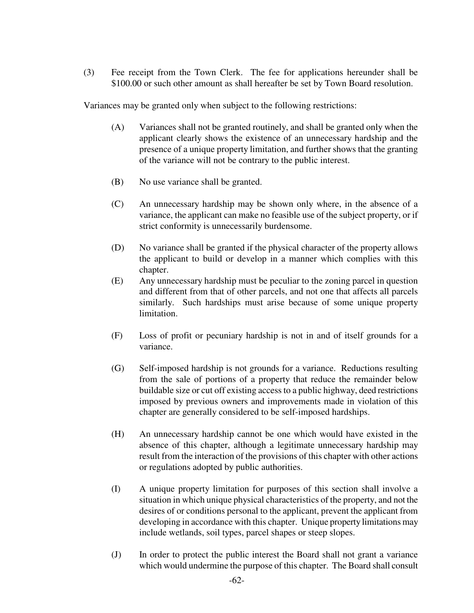(3) Fee receipt from the Town Clerk. The fee for applications hereunder shall be \$100.00 or such other amount as shall hereafter be set by Town Board resolution.

Variances may be granted only when subject to the following restrictions:

- (A) Variances shall not be granted routinely, and shall be granted only when the applicant clearly shows the existence of an unnecessary hardship and the presence of a unique property limitation, and further shows that the granting of the variance will not be contrary to the public interest.
- (B) No use variance shall be granted.
- (C) An unnecessary hardship may be shown only where, in the absence of a variance, the applicant can make no feasible use of the subject property, or if strict conformity is unnecessarily burdensome.
- (D) No variance shall be granted if the physical character of the property allows the applicant to build or develop in a manner which complies with this chapter.
- (E) Any unnecessary hardship must be peculiar to the zoning parcel in question and different from that of other parcels, and not one that affects all parcels similarly. Such hardships must arise because of some unique property limitation.
- (F) Loss of profit or pecuniary hardship is not in and of itself grounds for a variance.
- (G) Self-imposed hardship is not grounds for a variance. Reductions resulting from the sale of portions of a property that reduce the remainder below buildable size or cut off existing access to a public highway, deed restrictions imposed by previous owners and improvements made in violation of this chapter are generally considered to be self-imposed hardships.
- (H) An unnecessary hardship cannot be one which would have existed in the absence of this chapter, although a legitimate unnecessary hardship may result from the interaction of the provisions of this chapter with other actions or regulations adopted by public authorities.
- (I) A unique property limitation for purposes of this section shall involve a situation in which unique physical characteristics of the property, and not the desires of or conditions personal to the applicant, prevent the applicant from developing in accordance with this chapter. Unique property limitations may include wetlands, soil types, parcel shapes or steep slopes.
- (J) In order to protect the public interest the Board shall not grant a variance which would undermine the purpose of this chapter. The Board shall consult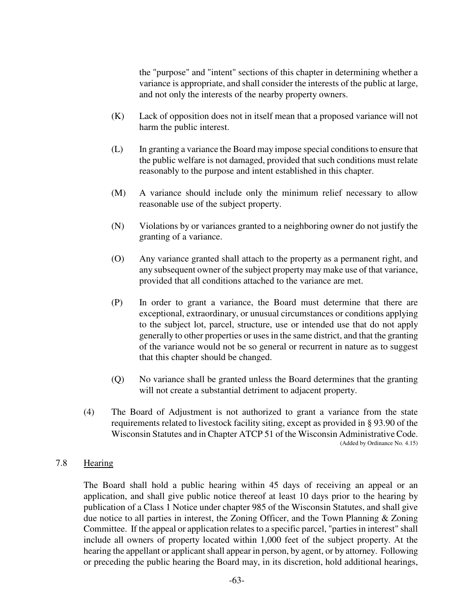the "purpose" and "intent" sections of this chapter in determining whether a variance is appropriate, and shall consider the interests of the public at large, and not only the interests of the nearby property owners.

- (K) Lack of opposition does not in itself mean that a proposed variance will not harm the public interest.
- (L) In granting a variance the Board may impose special conditions to ensure that the public welfare is not damaged, provided that such conditions must relate reasonably to the purpose and intent established in this chapter.
- (M) A variance should include only the minimum relief necessary to allow reasonable use of the subject property.
- (N) Violations by or variances granted to a neighboring owner do not justify the granting of a variance.
- (O) Any variance granted shall attach to the property as a permanent right, and any subsequent owner of the subject property may make use of that variance, provided that all conditions attached to the variance are met.
- (P) In order to grant a variance, the Board must determine that there are exceptional, extraordinary, or unusual circumstances or conditions applying to the subject lot, parcel, structure, use or intended use that do not apply generally to other properties or uses in the same district, and that the granting of the variance would not be so general or recurrent in nature as to suggest that this chapter should be changed.
- (Q) No variance shall be granted unless the Board determines that the granting will not create a substantial detriment to adjacent property.
- (4) The Board of Adjustment is not authorized to grant a variance from the state requirements related to livestock facility siting, except as provided in § 93.90 of the Wisconsin Statutes and in Chapter ATCP 51 of the Wisconsin Administrative Code. (Added by Ordinance No. 4.15)

### 7.8 Hearing

The Board shall hold a public hearing within 45 days of receiving an appeal or an application, and shall give public notice thereof at least 10 days prior to the hearing by publication of a Class 1 Notice under chapter 985 of the Wisconsin Statutes, and shall give due notice to all parties in interest, the Zoning Officer, and the Town Planning & Zoning Committee. If the appeal or application relates to a specific parcel, "parties in interest" shall include all owners of property located within 1,000 feet of the subject property. At the hearing the appellant or applicant shall appear in person, by agent, or by attorney. Following or preceding the public hearing the Board may, in its discretion, hold additional hearings,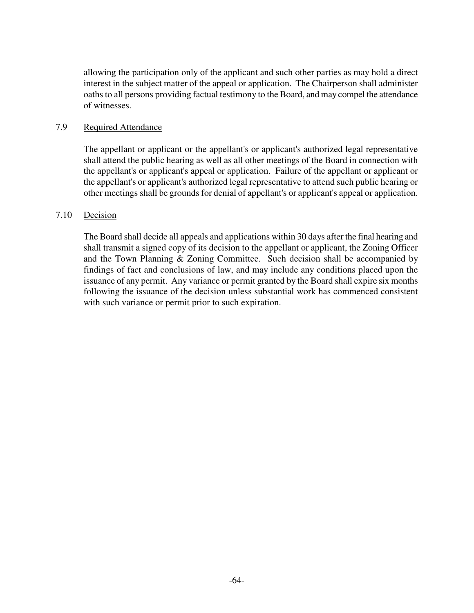allowing the participation only of the applicant and such other parties as may hold a direct interest in the subject matter of the appeal or application. The Chairperson shall administer oaths to all persons providing factual testimony to the Board, and may compel the attendance of witnesses.

### 7.9 Required Attendance

The appellant or applicant or the appellant's or applicant's authorized legal representative shall attend the public hearing as well as all other meetings of the Board in connection with the appellant's or applicant's appeal or application. Failure of the appellant or applicant or the appellant's or applicant's authorized legal representative to attend such public hearing or other meetings shall be grounds for denial of appellant's or applicant's appeal or application.

## 7.10 Decision

The Board shall decide all appeals and applications within 30 days after the final hearing and shall transmit a signed copy of its decision to the appellant or applicant, the Zoning Officer and the Town Planning & Zoning Committee. Such decision shall be accompanied by findings of fact and conclusions of law, and may include any conditions placed upon the issuance of any permit. Any variance or permit granted by the Board shall expire six months following the issuance of the decision unless substantial work has commenced consistent with such variance or permit prior to such expiration.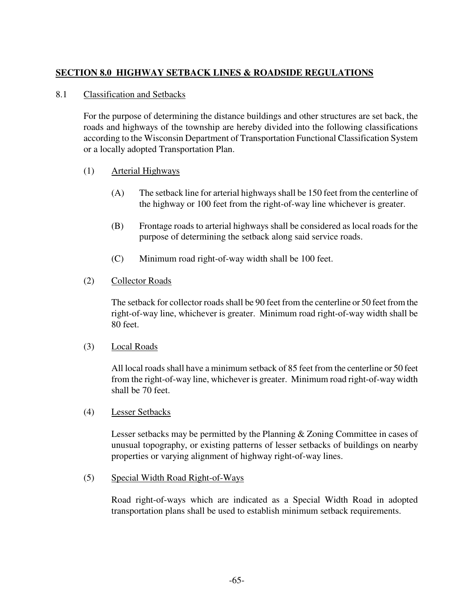# **SECTION 8.0 HIGHWAY SETBACK LINES & ROADSIDE REGULATIONS**

## 8.1 Classification and Setbacks

For the purpose of determining the distance buildings and other structures are set back, the roads and highways of the township are hereby divided into the following classifications according to the Wisconsin Department of Transportation Functional Classification System or a locally adopted Transportation Plan.

## (1) Arterial Highways

- (A) The setback line for arterial highways shall be 150 feet from the centerline of the highway or 100 feet from the right-of-way line whichever is greater.
- (B) Frontage roads to arterial highways shall be considered as local roads for the purpose of determining the setback along said service roads.
- (C) Minimum road right-of-way width shall be 100 feet.

## (2) Collector Roads

The setback for collector roads shall be 90 feet from the centerline or 50 feet from the right-of-way line, whichever is greater. Minimum road right-of-way width shall be 80 feet.

### (3) Local Roads

All local roads shall have a minimum setback of 85 feet from the centerline or 50 feet from the right-of-way line, whichever is greater. Minimum road right-of-way width shall be 70 feet.

### (4) Lesser Setbacks

Lesser setbacks may be permitted by the Planning & Zoning Committee in cases of unusual topography, or existing patterns of lesser setbacks of buildings on nearby properties or varying alignment of highway right-of-way lines.

### (5) Special Width Road Right-of-Ways

Road right-of-ways which are indicated as a Special Width Road in adopted transportation plans shall be used to establish minimum setback requirements.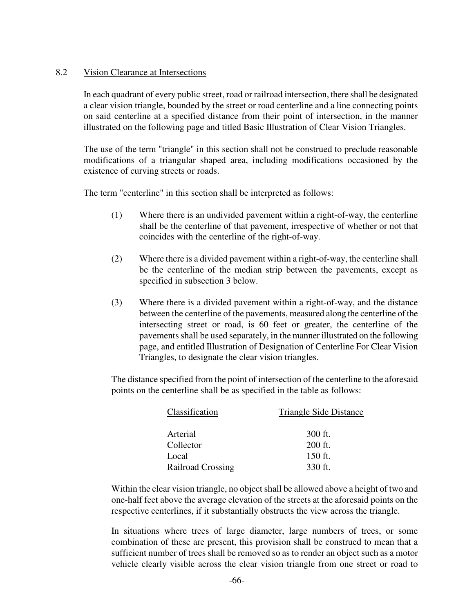### 8.2 Vision Clearance at Intersections

In each quadrant of every public street, road or railroad intersection, there shall be designated a clear vision triangle, bounded by the street or road centerline and a line connecting points on said centerline at a specified distance from their point of intersection, in the manner illustrated on the following page and titled Basic Illustration of Clear Vision Triangles.

The use of the term "triangle" in this section shall not be construed to preclude reasonable modifications of a triangular shaped area, including modifications occasioned by the existence of curving streets or roads.

The term "centerline" in this section shall be interpreted as follows:

- (1) Where there is an undivided pavement within a right-of-way, the centerline shall be the centerline of that pavement, irrespective of whether or not that coincides with the centerline of the right-of-way.
- (2) Where there is a divided pavement within a right-of-way, the centerline shall be the centerline of the median strip between the pavements, except as specified in subsection 3 below.
- (3) Where there is a divided pavement within a right-of-way, and the distance between the centerline of the pavements, measured along the centerline of the intersecting street or road, is 60 feet or greater, the centerline of the pavements shall be used separately, in the manner illustrated on the following page, and entitled Illustration of Designation of Centerline For Clear Vision Triangles, to designate the clear vision triangles.

The distance specified from the point of intersection of the centerline to the aforesaid points on the centerline shall be as specified in the table as follows:

| Classification           | <b>Triangle Side Distance</b> |
|--------------------------|-------------------------------|
|                          |                               |
| Arterial                 | 300 ft.                       |
| Collector                | 200 ft.                       |
| Local                    | 150 ft.                       |
| <b>Railroad Crossing</b> | 330 ft.                       |

Within the clear vision triangle, no object shall be allowed above a height of two and one-half feet above the average elevation of the streets at the aforesaid points on the respective centerlines, if it substantially obstructs the view across the triangle.

In situations where trees of large diameter, large numbers of trees, or some combination of these are present, this provision shall be construed to mean that a sufficient number of trees shall be removed so as to render an object such as a motor vehicle clearly visible across the clear vision triangle from one street or road to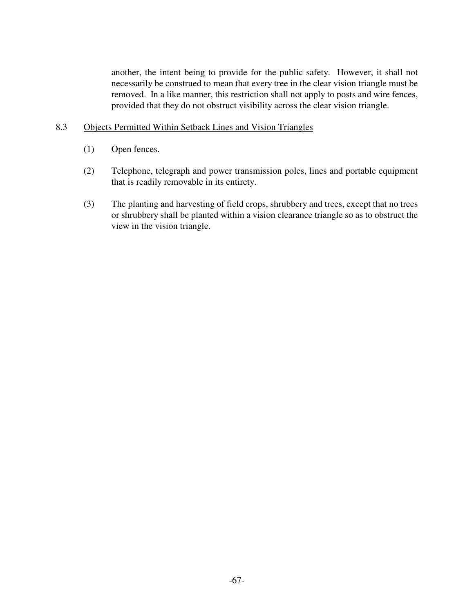another, the intent being to provide for the public safety. However, it shall not necessarily be construed to mean that every tree in the clear vision triangle must be removed. In a like manner, this restriction shall not apply to posts and wire fences, provided that they do not obstruct visibility across the clear vision triangle.

## 8.3 Objects Permitted Within Setback Lines and Vision Triangles

- (1) Open fences.
- (2) Telephone, telegraph and power transmission poles, lines and portable equipment that is readily removable in its entirety.
- (3) The planting and harvesting of field crops, shrubbery and trees, except that no trees or shrubbery shall be planted within a vision clearance triangle so as to obstruct the view in the vision triangle.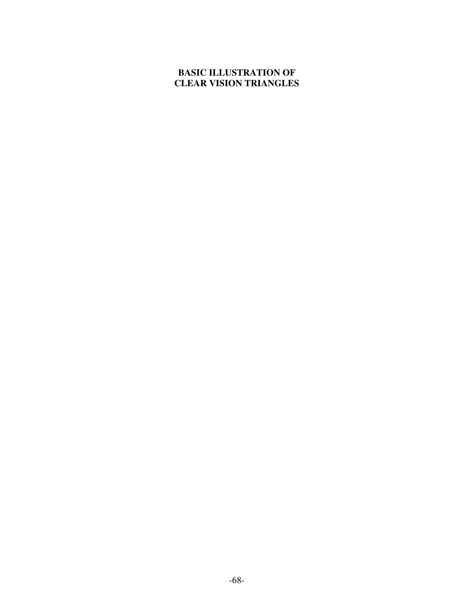# **BASIC ILLUSTRATION OF CLEAR VISION TRIANGLES**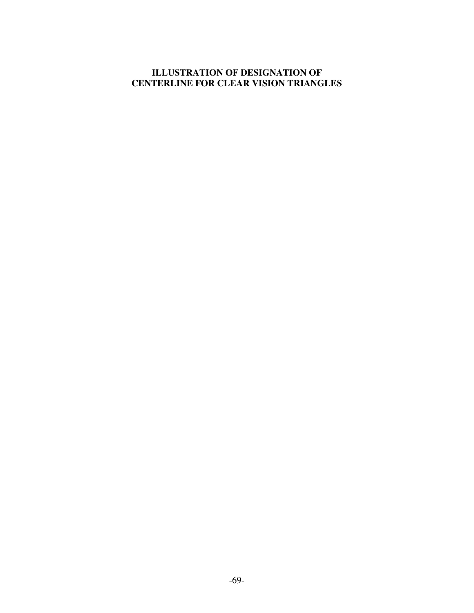# **ILLUSTRATION OF DESIGNATION OF CENTERLINE FOR CLEAR VISION TRIANGLES**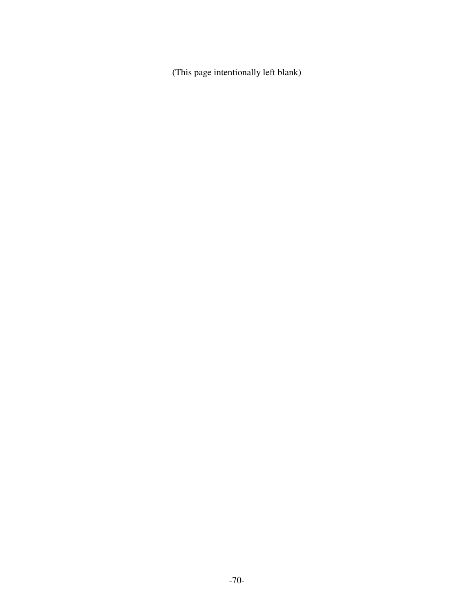(This page intentionally left blank)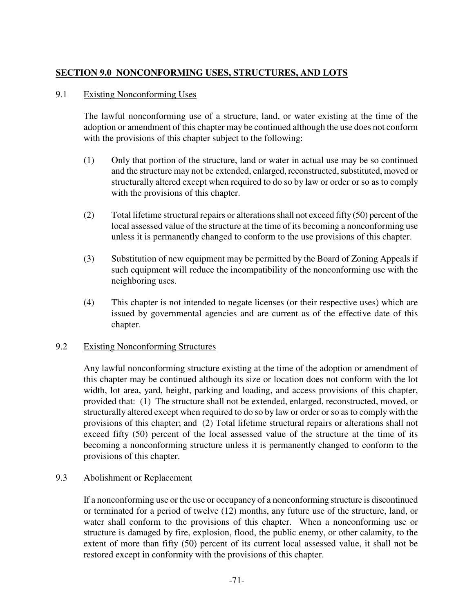# **SECTION 9.0 NONCONFORMING USES, STRUCTURES, AND LOTS**

# 9.1 Existing Nonconforming Uses

The lawful nonconforming use of a structure, land, or water existing at the time of the adoption or amendment of this chapter may be continued although the use does not conform with the provisions of this chapter subject to the following:

- (1) Only that portion of the structure, land or water in actual use may be so continued and the structure may not be extended, enlarged, reconstructed, substituted, moved or structurally altered except when required to do so by law or order or so as to comply with the provisions of this chapter.
- (2) Total lifetime structural repairs or alterations shall not exceed fifty (50) percent of the local assessed value of the structure at the time of its becoming a nonconforming use unless it is permanently changed to conform to the use provisions of this chapter.
- (3) Substitution of new equipment may be permitted by the Board of Zoning Appeals if such equipment will reduce the incompatibility of the nonconforming use with the neighboring uses.
- (4) This chapter is not intended to negate licenses (or their respective uses) which are issued by governmental agencies and are current as of the effective date of this chapter.

# 9.2 Existing Nonconforming Structures

Any lawful nonconforming structure existing at the time of the adoption or amendment of this chapter may be continued although its size or location does not conform with the lot width, lot area, yard, height, parking and loading, and access provisions of this chapter, provided that: (1) The structure shall not be extended, enlarged, reconstructed, moved, or structurally altered except when required to do so by law or order or so as to comply with the provisions of this chapter; and (2) Total lifetime structural repairs or alterations shall not exceed fifty (50) percent of the local assessed value of the structure at the time of its becoming a nonconforming structure unless it is permanently changed to conform to the provisions of this chapter.

# 9.3 Abolishment or Replacement

If a nonconforming use or the use or occupancy of a nonconforming structure is discontinued or terminated for a period of twelve (12) months, any future use of the structure, land, or water shall conform to the provisions of this chapter. When a nonconforming use or structure is damaged by fire, explosion, flood, the public enemy, or other calamity, to the extent of more than fifty (50) percent of its current local assessed value, it shall not be restored except in conformity with the provisions of this chapter.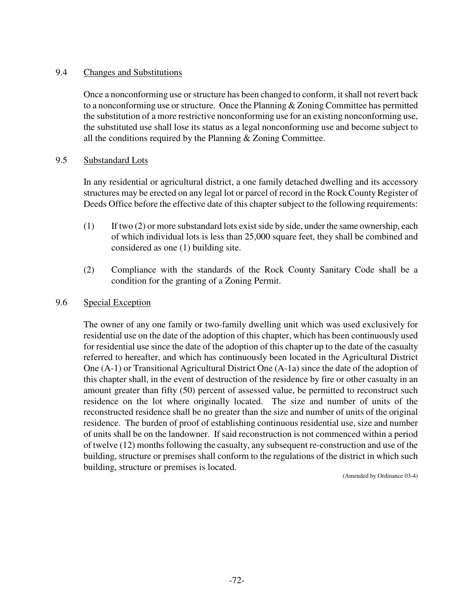## 9.4 Changes and Substitutions

Once a nonconforming use or structure has been changed to conform, it shall not revert back to a nonconforming use or structure. Once the Planning & Zoning Committee has permitted the substitution of a more restrictive nonconforming use for an existing nonconforming use, the substituted use shall lose its status as a legal nonconforming use and become subject to all the conditions required by the Planning & Zoning Committee.

### 9.5 Substandard Lots

In any residential or agricultural district, a one family detached dwelling and its accessory structures may be erected on any legal lot or parcel of record in the Rock County Register of Deeds Office before the effective date of this chapter subject to the following requirements:

- (1) If two (2) or more substandard lots exist side by side, under the same ownership, each of which individual lots is less than 25,000 square feet, they shall be combined and considered as one (1) building site.
- (2) Compliance with the standards of the Rock County Sanitary Code shall be a condition for the granting of a Zoning Permit.

## 9.6 Special Exception

The owner of any one family or two-family dwelling unit which was used exclusively for residential use on the date of the adoption of this chapter, which has been continuously used for residential use since the date of the adoption of this chapter up to the date of the casualty referred to hereafter, and which has continuously been located in the Agricultural District One (A-1) or Transitional Agricultural District One (A-1a) since the date of the adoption of this chapter shall, in the event of destruction of the residence by fire or other casualty in an amount greater than fifty (50) percent of assessed value, be permitted to reconstruct such residence on the lot where originally located. The size and number of units of the reconstructed residence shall be no greater than the size and number of units of the original residence. The burden of proof of establishing continuous residential use, size and number of units shall be on the landowner. If said reconstruction is not commenced within a period of twelve (12) months following the casualty, any subsequent re-construction and use of the building, structure or premises shall conform to the regulations of the district in which such building, structure or premises is located.

(Amended by Ordinance 03-4)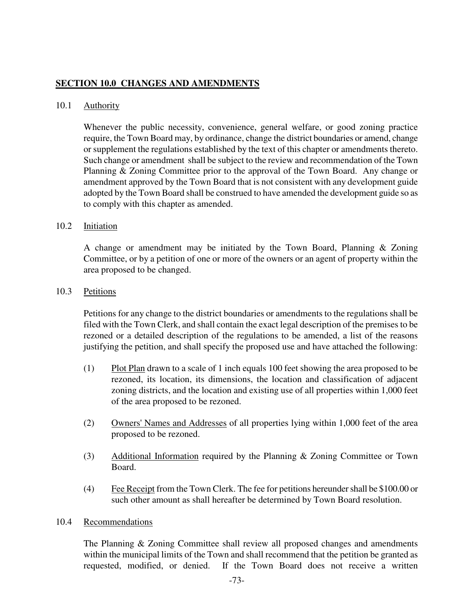# **SECTION 10.0 CHANGES AND AMENDMENTS**

### 10.1 Authority

Whenever the public necessity, convenience, general welfare, or good zoning practice require, the Town Board may, by ordinance, change the district boundaries or amend, change or supplement the regulations established by the text of this chapter or amendments thereto. Such change or amendment shall be subject to the review and recommendation of the Town Planning & Zoning Committee prior to the approval of the Town Board. Any change or amendment approved by the Town Board that is not consistent with any development guide adopted by the Town Board shall be construed to have amended the development guide so as to comply with this chapter as amended.

### 10.2 Initiation

A change or amendment may be initiated by the Town Board, Planning & Zoning Committee, or by a petition of one or more of the owners or an agent of property within the area proposed to be changed.

### 10.3 Petitions

Petitions for any change to the district boundaries or amendments to the regulations shall be filed with the Town Clerk, and shall contain the exact legal description of the premises to be rezoned or a detailed description of the regulations to be amended, a list of the reasons justifying the petition, and shall specify the proposed use and have attached the following:

- (1) Plot Plan drawn to a scale of 1 inch equals 100 feet showing the area proposed to be rezoned, its location, its dimensions, the location and classification of adjacent zoning districts, and the location and existing use of all properties within 1,000 feet of the area proposed to be rezoned.
- (2) Owners' Names and Addresses of all properties lying within 1,000 feet of the area proposed to be rezoned.
- (3) Additional Information required by the Planning & Zoning Committee or Town Board.
- (4) Fee Receipt from the Town Clerk. The fee for petitions hereunder shall be \$100.00 or such other amount as shall hereafter be determined by Town Board resolution.

#### 10.4 Recommendations

The Planning & Zoning Committee shall review all proposed changes and amendments within the municipal limits of the Town and shall recommend that the petition be granted as requested, modified, or denied. If the Town Board does not receive a written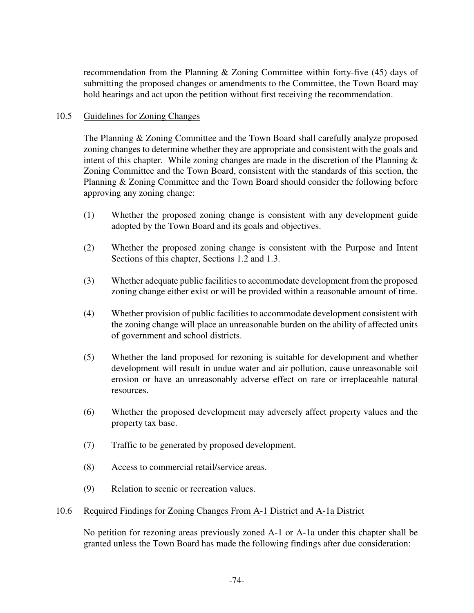recommendation from the Planning & Zoning Committee within forty-five (45) days of submitting the proposed changes or amendments to the Committee, the Town Board may hold hearings and act upon the petition without first receiving the recommendation.

## 10.5 Guidelines for Zoning Changes

The Planning & Zoning Committee and the Town Board shall carefully analyze proposed zoning changes to determine whether they are appropriate and consistent with the goals and intent of this chapter. While zoning changes are made in the discretion of the Planning  $\&$ Zoning Committee and the Town Board, consistent with the standards of this section, the Planning & Zoning Committee and the Town Board should consider the following before approving any zoning change:

- (1) Whether the proposed zoning change is consistent with any development guide adopted by the Town Board and its goals and objectives.
- (2) Whether the proposed zoning change is consistent with the Purpose and Intent Sections of this chapter, Sections 1.2 and 1.3.
- (3) Whether adequate public facilities to accommodate development from the proposed zoning change either exist or will be provided within a reasonable amount of time.
- (4) Whether provision of public facilities to accommodate development consistent with the zoning change will place an unreasonable burden on the ability of affected units of government and school districts.
- (5) Whether the land proposed for rezoning is suitable for development and whether development will result in undue water and air pollution, cause unreasonable soil erosion or have an unreasonably adverse effect on rare or irreplaceable natural resources.
- (6) Whether the proposed development may adversely affect property values and the property tax base.
- (7) Traffic to be generated by proposed development.
- (8) Access to commercial retail/service areas.
- (9) Relation to scenic or recreation values.

# 10.6 Required Findings for Zoning Changes From A-1 District and A-1a District

No petition for rezoning areas previously zoned A-1 or A-1a under this chapter shall be granted unless the Town Board has made the following findings after due consideration: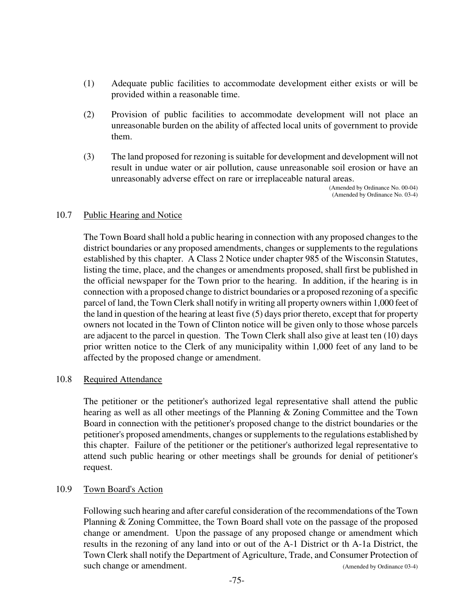- (1) Adequate public facilities to accommodate development either exists or will be provided within a reasonable time.
- (2) Provision of public facilities to accommodate development will not place an unreasonable burden on the ability of affected local units of government to provide them.
- (3) The land proposed for rezoning is suitable for development and development will not result in undue water or air pollution, cause unreasonable soil erosion or have an unreasonably adverse effect on rare or irreplaceable natural areas.

(Amended by Ordinance No. 00-04) (Amended by Ordinance No. 03-4)

### 10.7 Public Hearing and Notice

The Town Board shall hold a public hearing in connection with any proposed changes to the district boundaries or any proposed amendments, changes or supplements to the regulations established by this chapter. A Class 2 Notice under chapter 985 of the Wisconsin Statutes, listing the time, place, and the changes or amendments proposed, shall first be published in the official newspaper for the Town prior to the hearing. In addition, if the hearing is in connection with a proposed change to district boundaries or a proposed rezoning of a specific parcel of land, the Town Clerk shall notify in writing all property owners within 1,000 feet of the land in question of the hearing at least five (5) days prior thereto, except that for property owners not located in the Town of Clinton notice will be given only to those whose parcels are adjacent to the parcel in question. The Town Clerk shall also give at least ten (10) days prior written notice to the Clerk of any municipality within 1,000 feet of any land to be affected by the proposed change or amendment.

#### 10.8 Required Attendance

The petitioner or the petitioner's authorized legal representative shall attend the public hearing as well as all other meetings of the Planning & Zoning Committee and the Town Board in connection with the petitioner's proposed change to the district boundaries or the petitioner's proposed amendments, changes or supplements to the regulations established by this chapter. Failure of the petitioner or the petitioner's authorized legal representative to attend such public hearing or other meetings shall be grounds for denial of petitioner's request.

### 10.9 Town Board's Action

Following such hearing and after careful consideration of the recommendations of the Town Planning & Zoning Committee, the Town Board shall vote on the passage of the proposed change or amendment. Upon the passage of any proposed change or amendment which results in the rezoning of any land into or out of the A-1 District or th A-1a District, the Town Clerk shall notify the Department of Agriculture, Trade, and Consumer Protection of such change or amendment. (Amended by Ordinance 03-4)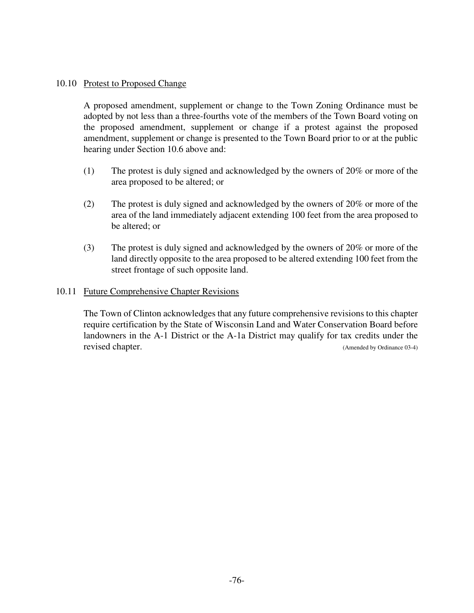### 10.10 Protest to Proposed Change

A proposed amendment, supplement or change to the Town Zoning Ordinance must be adopted by not less than a three-fourths vote of the members of the Town Board voting on the proposed amendment, supplement or change if a protest against the proposed amendment, supplement or change is presented to the Town Board prior to or at the public hearing under Section 10.6 above and:

- (1) The protest is duly signed and acknowledged by the owners of 20% or more of the area proposed to be altered; or
- (2) The protest is duly signed and acknowledged by the owners of 20% or more of the area of the land immediately adjacent extending 100 feet from the area proposed to be altered; or
- (3) The protest is duly signed and acknowledged by the owners of 20% or more of the land directly opposite to the area proposed to be altered extending 100 feet from the street frontage of such opposite land.

### 10.11 Future Comprehensive Chapter Revisions

The Town of Clinton acknowledges that any future comprehensive revisions to this chapter require certification by the State of Wisconsin Land and Water Conservation Board before landowners in the A-1 District or the A-1a District may qualify for tax credits under the revised chapter. (Amended by Ordinance 03-4)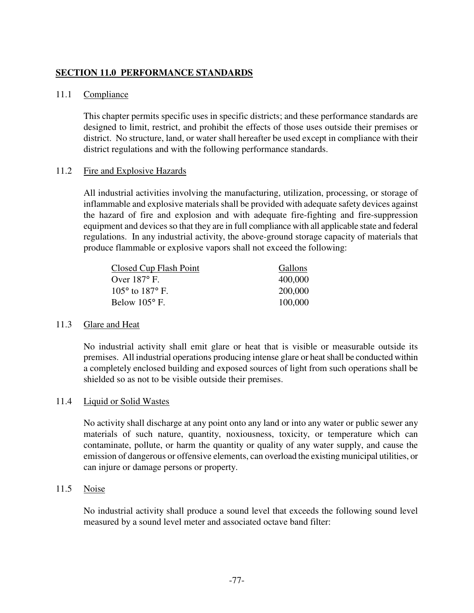# **SECTION 11.0 PERFORMANCE STANDARDS**

## 11.1 Compliance

This chapter permits specific uses in specific districts; and these performance standards are designed to limit, restrict, and prohibit the effects of those uses outside their premises or district. No structure, land, or water shall hereafter be used except in compliance with their district regulations and with the following performance standards.

## 11.2 Fire and Explosive Hazards

All industrial activities involving the manufacturing, utilization, processing, or storage of inflammable and explosive materials shall be provided with adequate safety devices against the hazard of fire and explosion and with adequate fire-fighting and fire-suppression equipment and devices so that they are in full compliance with all applicable state and federal regulations. In any industrial activity, the above-ground storage capacity of materials that produce flammable or explosive vapors shall not exceed the following:

| Closed Cup Flash Point              | Gallons |
|-------------------------------------|---------|
| Over $187^\circ$ F.                 | 400,000 |
| 105 $^{\circ}$ to 187 $^{\circ}$ F. | 200,000 |
| Below $105^{\circ}$ F.              | 100,000 |

### 11.3 Glare and Heat

No industrial activity shall emit glare or heat that is visible or measurable outside its premises. All industrial operations producing intense glare or heat shall be conducted within a completely enclosed building and exposed sources of light from such operations shall be shielded so as not to be visible outside their premises.

### 11.4 Liquid or Solid Wastes

No activity shall discharge at any point onto any land or into any water or public sewer any materials of such nature, quantity, noxiousness, toxicity, or temperature which can contaminate, pollute, or harm the quantity or quality of any water supply, and cause the emission of dangerous or offensive elements, can overload the existing municipal utilities, or can injure or damage persons or property.

### 11.5 Noise

No industrial activity shall produce a sound level that exceeds the following sound level measured by a sound level meter and associated octave band filter: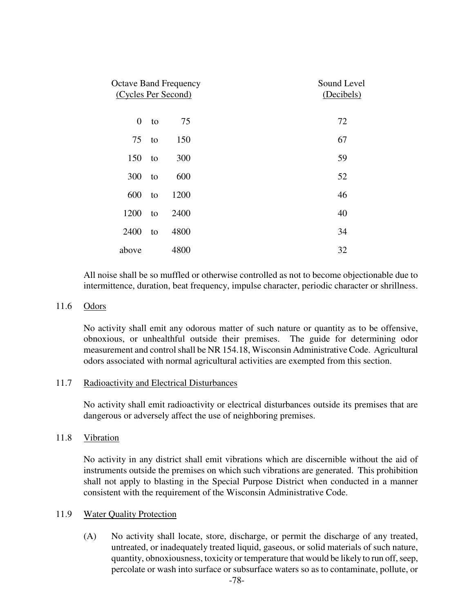| <b>Octave Band Frequency</b><br>(Cycles Per Second) |    | Sound Level<br>(Decibels) |    |
|-----------------------------------------------------|----|---------------------------|----|
| $\theta$                                            | to | 75                        | 72 |
| 75                                                  | to | 150                       | 67 |
| 150                                                 | to | 300                       | 59 |
| 300                                                 | to | 600                       | 52 |
| 600                                                 | to | 1200                      | 46 |
| 1200                                                | to | 2400                      | 40 |
| 2400                                                | to | 4800                      | 34 |
| above                                               |    | 4800                      | 32 |

All noise shall be so muffled or otherwise controlled as not to become objectionable due to intermittence, duration, beat frequency, impulse character, periodic character or shrillness.

### 11.6 Odors

No activity shall emit any odorous matter of such nature or quantity as to be offensive, obnoxious, or unhealthful outside their premises. The guide for determining odor measurement and control shall be NR 154.18, Wisconsin Administrative Code. Agricultural odors associated with normal agricultural activities are exempted from this section.

## 11.7 Radioactivity and Electrical Disturbances

No activity shall emit radioactivity or electrical disturbances outside its premises that are dangerous or adversely affect the use of neighboring premises.

### 11.8 Vibration

No activity in any district shall emit vibrations which are discernible without the aid of instruments outside the premises on which such vibrations are generated. This prohibition shall not apply to blasting in the Special Purpose District when conducted in a manner consistent with the requirement of the Wisconsin Administrative Code.

### 11.9 Water Quality Protection

(A) No activity shall locate, store, discharge, or permit the discharge of any treated, untreated, or inadequately treated liquid, gaseous, or solid materials of such nature, quantity, obnoxiousness, toxicity or temperature that would be likely to run off, seep, percolate or wash into surface or subsurface waters so as to contaminate, pollute, or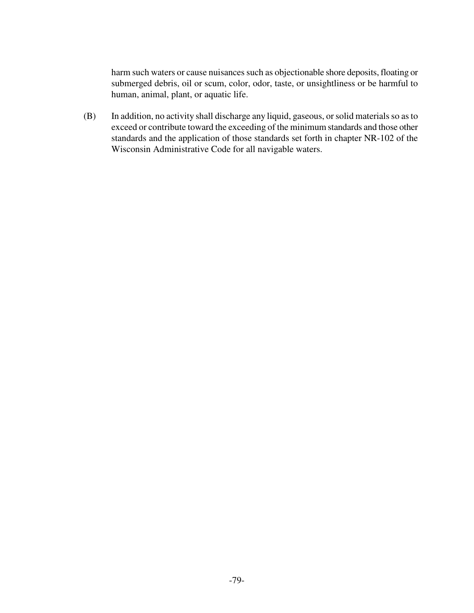harm such waters or cause nuisances such as objectionable shore deposits, floating or submerged debris, oil or scum, color, odor, taste, or unsightliness or be harmful to human, animal, plant, or aquatic life.

(B) In addition, no activity shall discharge any liquid, gaseous, or solid materials so as to exceed or contribute toward the exceeding of the minimum standards and those other standards and the application of those standards set forth in chapter NR-102 of the Wisconsin Administrative Code for all navigable waters.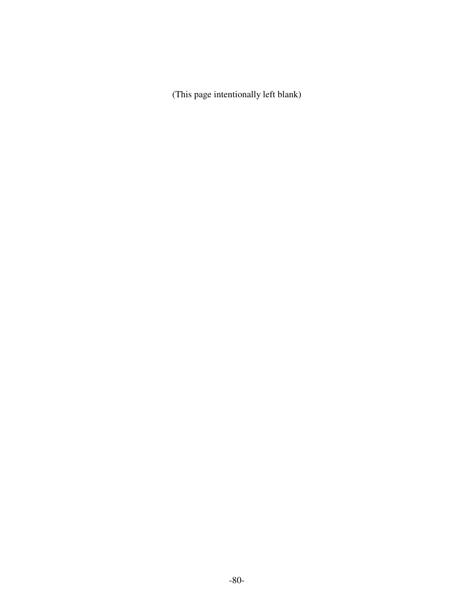(This page intentionally left blank)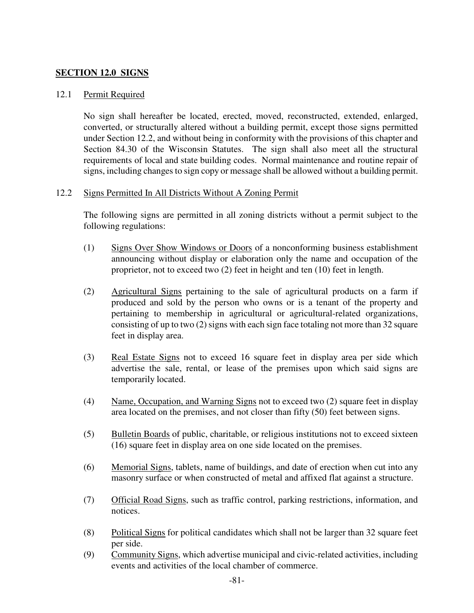## **SECTION 12.0 SIGNS**

### 12.1 Permit Required

No sign shall hereafter be located, erected, moved, reconstructed, extended, enlarged, converted, or structurally altered without a building permit, except those signs permitted under Section 12.2, and without being in conformity with the provisions of this chapter and Section 84.30 of the Wisconsin Statutes. The sign shall also meet all the structural requirements of local and state building codes. Normal maintenance and routine repair of signs, including changes to sign copy or message shall be allowed without a building permit.

### 12.2 Signs Permitted In All Districts Without A Zoning Permit

The following signs are permitted in all zoning districts without a permit subject to the following regulations:

- (1) Signs Over Show Windows or Doors of a nonconforming business establishment announcing without display or elaboration only the name and occupation of the proprietor, not to exceed two (2) feet in height and ten (10) feet in length.
- (2) Agricultural Signs pertaining to the sale of agricultural products on a farm if produced and sold by the person who owns or is a tenant of the property and pertaining to membership in agricultural or agricultural-related organizations, consisting of up to two (2) signs with each sign face totaling not more than 32 square feet in display area.
- (3) Real Estate Signs not to exceed 16 square feet in display area per side which advertise the sale, rental, or lease of the premises upon which said signs are temporarily located.
- (4) Name, Occupation, and Warning Signs not to exceed two (2) square feet in display area located on the premises, and not closer than fifty (50) feet between signs.
- (5) Bulletin Boards of public, charitable, or religious institutions not to exceed sixteen (16) square feet in display area on one side located on the premises.
- (6) Memorial Signs, tablets, name of buildings, and date of erection when cut into any masonry surface or when constructed of metal and affixed flat against a structure.
- (7) Official Road Signs, such as traffic control, parking restrictions, information, and notices.
- (8) Political Signs for political candidates which shall not be larger than 32 square feet per side.
- (9) Community Signs, which advertise municipal and civic-related activities, including events and activities of the local chamber of commerce.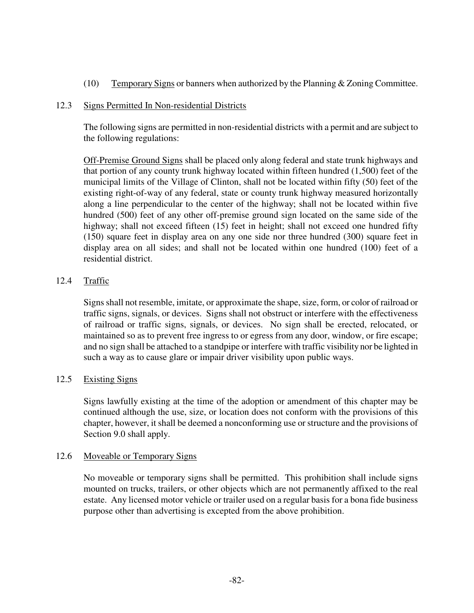(10) Temporary Signs or banners when authorized by the Planning  $&$  Zoning Committee.

## 12.3 Signs Permitted In Non-residential Districts

The following signs are permitted in non-residential districts with a permit and are subject to the following regulations:

Off-Premise Ground Signs shall be placed only along federal and state trunk highways and that portion of any county trunk highway located within fifteen hundred (1,500) feet of the municipal limits of the Village of Clinton, shall not be located within fifty (50) feet of the existing right-of-way of any federal, state or county trunk highway measured horizontally along a line perpendicular to the center of the highway; shall not be located within five hundred (500) feet of any other off-premise ground sign located on the same side of the highway; shall not exceed fifteen (15) feet in height; shall not exceed one hundred fifty (150) square feet in display area on any one side nor three hundred (300) square feet in display area on all sides; and shall not be located within one hundred (100) feet of a residential district.

# 12.4 Traffic

Signs shall not resemble, imitate, or approximate the shape, size, form, or color of railroad or traffic signs, signals, or devices. Signs shall not obstruct or interfere with the effectiveness of railroad or traffic signs, signals, or devices. No sign shall be erected, relocated, or maintained so as to prevent free ingress to or egress from any door, window, or fire escape; and no sign shall be attached to a standpipe or interfere with traffic visibility nor be lighted in such a way as to cause glare or impair driver visibility upon public ways.

# 12.5 Existing Signs

Signs lawfully existing at the time of the adoption or amendment of this chapter may be continued although the use, size, or location does not conform with the provisions of this chapter, however, it shall be deemed a nonconforming use or structure and the provisions of Section 9.0 shall apply.

# 12.6 Moveable or Temporary Signs

No moveable or temporary signs shall be permitted. This prohibition shall include signs mounted on trucks, trailers, or other objects which are not permanently affixed to the real estate. Any licensed motor vehicle or trailer used on a regular basis for a bona fide business purpose other than advertising is excepted from the above prohibition.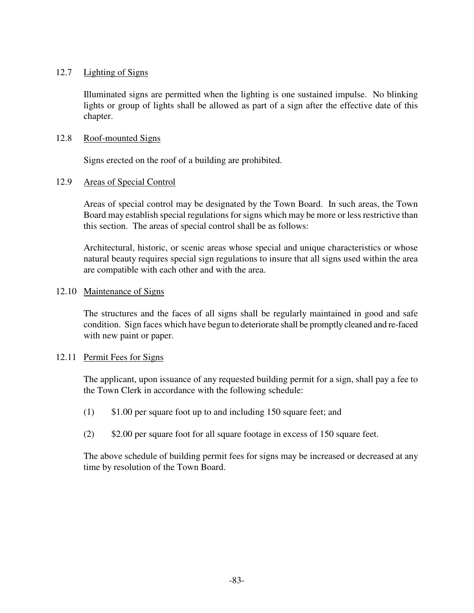## 12.7 Lighting of Signs

Illuminated signs are permitted when the lighting is one sustained impulse. No blinking lights or group of lights shall be allowed as part of a sign after the effective date of this chapter.

## 12.8 Roof-mounted Signs

Signs erected on the roof of a building are prohibited.

### 12.9 Areas of Special Control

Areas of special control may be designated by the Town Board. In such areas, the Town Board may establish special regulations for signs which may be more or less restrictive than this section. The areas of special control shall be as follows:

Architectural, historic, or scenic areas whose special and unique characteristics or whose natural beauty requires special sign regulations to insure that all signs used within the area are compatible with each other and with the area.

### 12.10 Maintenance of Signs

The structures and the faces of all signs shall be regularly maintained in good and safe condition. Sign faces which have begun to deteriorate shall be promptly cleaned and re-faced with new paint or paper.

### 12.11 Permit Fees for Signs

The applicant, upon issuance of any requested building permit for a sign, shall pay a fee to the Town Clerk in accordance with the following schedule:

- (1) \$1.00 per square foot up to and including 150 square feet; and
- (2) \$2.00 per square foot for all square footage in excess of 150 square feet.

The above schedule of building permit fees for signs may be increased or decreased at any time by resolution of the Town Board.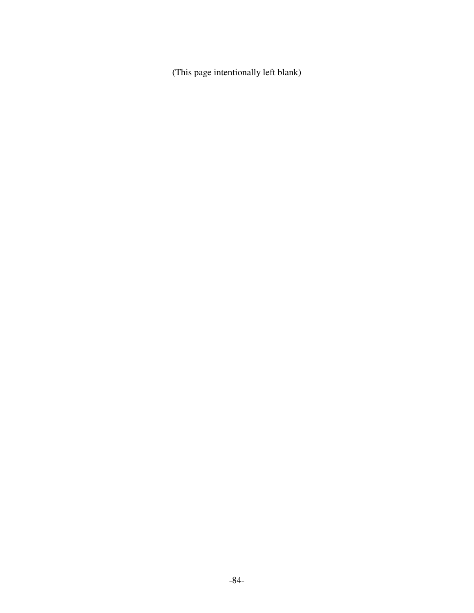(This page intentionally left blank)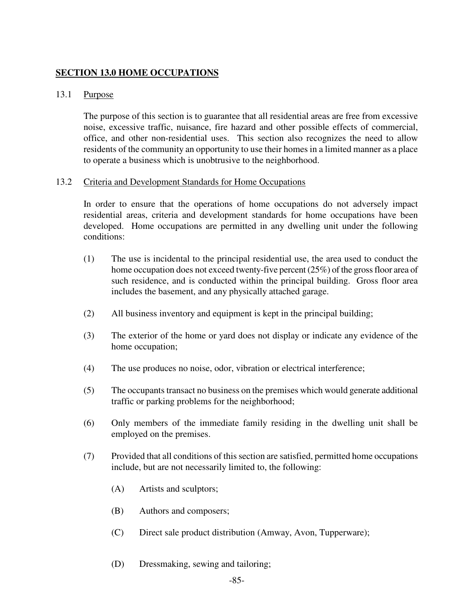# **SECTION 13.0 HOME OCCUPATIONS**

### 13.1 Purpose

The purpose of this section is to guarantee that all residential areas are free from excessive noise, excessive traffic, nuisance, fire hazard and other possible effects of commercial, office, and other non-residential uses. This section also recognizes the need to allow residents of the community an opportunity to use their homes in a limited manner as a place to operate a business which is unobtrusive to the neighborhood.

#### 13.2 Criteria and Development Standards for Home Occupations

In order to ensure that the operations of home occupations do not adversely impact residential areas, criteria and development standards for home occupations have been developed. Home occupations are permitted in any dwelling unit under the following conditions:

- (1) The use is incidental to the principal residential use, the area used to conduct the home occupation does not exceed twenty-five percent (25%) of the gross floor area of such residence, and is conducted within the principal building. Gross floor area includes the basement, and any physically attached garage.
- (2) All business inventory and equipment is kept in the principal building;
- (3) The exterior of the home or yard does not display or indicate any evidence of the home occupation;
- (4) The use produces no noise, odor, vibration or electrical interference;
- (5) The occupants transact no business on the premises which would generate additional traffic or parking problems for the neighborhood;
- (6) Only members of the immediate family residing in the dwelling unit shall be employed on the premises.
- (7) Provided that all conditions of this section are satisfied, permitted home occupations include, but are not necessarily limited to, the following:
	- (A) Artists and sculptors;
	- (B) Authors and composers;
	- (C) Direct sale product distribution (Amway, Avon, Tupperware);
	- (D) Dressmaking, sewing and tailoring;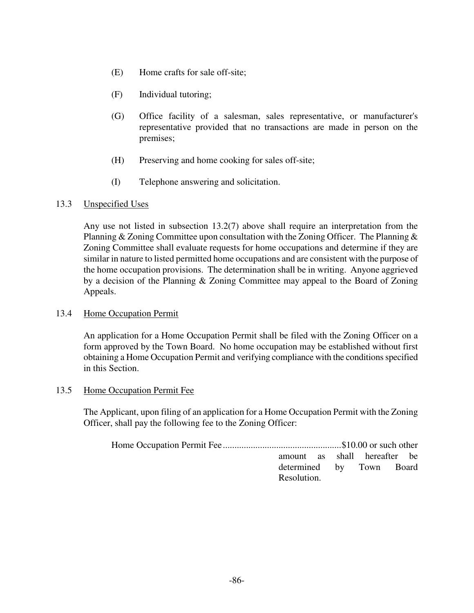- (E) Home crafts for sale off-site;
- (F) Individual tutoring;
- (G) Office facility of a salesman, sales representative, or manufacturer's representative provided that no transactions are made in person on the premises;
- (H) Preserving and home cooking for sales off-site;
- (I) Telephone answering and solicitation.

### 13.3 Unspecified Uses

Any use not listed in subsection 13.2(7) above shall require an interpretation from the Planning  $&$  Zoning Committee upon consultation with the Zoning Officer. The Planning  $&$ Zoning Committee shall evaluate requests for home occupations and determine if they are similar in nature to listed permitted home occupations and are consistent with the purpose of the home occupation provisions. The determination shall be in writing. Anyone aggrieved by a decision of the Planning & Zoning Committee may appeal to the Board of Zoning Appeals.

### 13.4 Home Occupation Permit

An application for a Home Occupation Permit shall be filed with the Zoning Officer on a form approved by the Town Board. No home occupation may be established without first obtaining a Home Occupation Permit and verifying compliance with the conditions specified in this Section.

# 13.5 Home Occupation Permit Fee

The Applicant, upon filing of an application for a Home Occupation Permit with the Zoning Officer, shall pay the following fee to the Zoning Officer:

| amount as shall hereafter be |  |  |  |
|------------------------------|--|--|--|
| determined by Town Board     |  |  |  |
| Resolution.                  |  |  |  |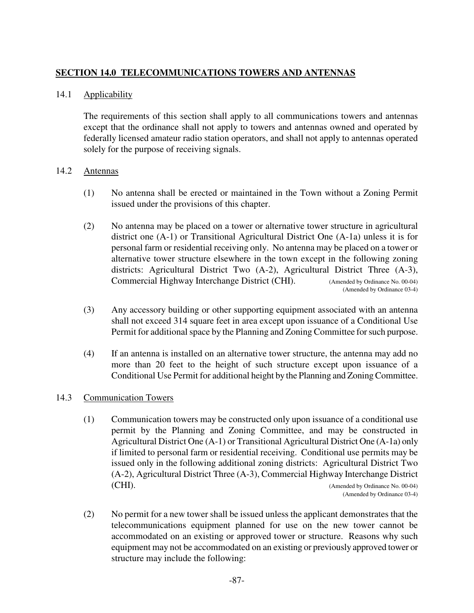# **SECTION 14.0 TELECOMMUNICATIONS TOWERS AND ANTENNAS**

## 14.1 Applicability

The requirements of this section shall apply to all communications towers and antennas except that the ordinance shall not apply to towers and antennas owned and operated by federally licensed amateur radio station operators, and shall not apply to antennas operated solely for the purpose of receiving signals.

### 14.2 Antennas

- (1) No antenna shall be erected or maintained in the Town without a Zoning Permit issued under the provisions of this chapter.
- (2) No antenna may be placed on a tower or alternative tower structure in agricultural district one (A-1) or Transitional Agricultural District One (A-1a) unless it is for personal farm or residential receiving only. No antenna may be placed on a tower or alternative tower structure elsewhere in the town except in the following zoning districts: Agricultural District Two (A-2), Agricultural District Three (A-3), Commercial Highway Interchange District (CHI). (Amended by Ordinance No. 00-04) (Amended by Ordinance 03-4)
- (3) Any accessory building or other supporting equipment associated with an antenna shall not exceed 314 square feet in area except upon issuance of a Conditional Use Permit for additional space by the Planning and Zoning Committee for such purpose.
- (4) If an antenna is installed on an alternative tower structure, the antenna may add no more than 20 feet to the height of such structure except upon issuance of a Conditional Use Permit for additional height by the Planning and Zoning Committee.

### 14.3 Communication Towers

- (1) Communication towers may be constructed only upon issuance of a conditional use permit by the Planning and Zoning Committee, and may be constructed in Agricultural District One (A-1) or Transitional Agricultural District One (A-1a) only if limited to personal farm or residential receiving. Conditional use permits may be issued only in the following additional zoning districts: Agricultural District Two (A-2), Agricultural District Three (A-3), Commercial Highway Interchange District (CHI). (Amended by Ordinance No. 00-04) (Amended by Ordinance 03-4)
- (2) No permit for a new tower shall be issued unless the applicant demonstrates that the telecommunications equipment planned for use on the new tower cannot be accommodated on an existing or approved tower or structure. Reasons why such equipment may not be accommodated on an existing or previously approved tower or structure may include the following: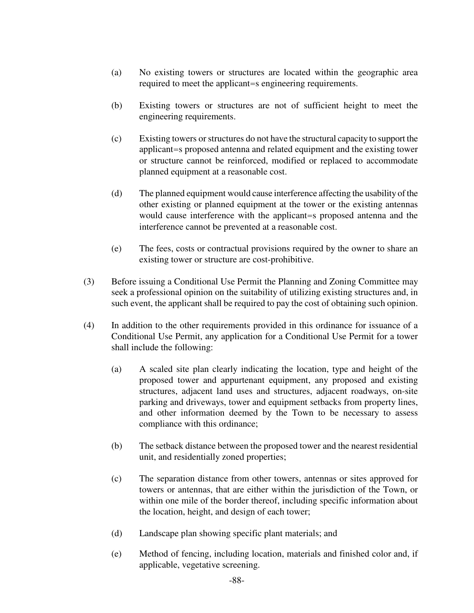- (a) No existing towers or structures are located within the geographic area required to meet the applicant=s engineering requirements.
- (b) Existing towers or structures are not of sufficient height to meet the engineering requirements.
- (c) Existing towers or structures do not have the structural capacity to support the applicant=s proposed antenna and related equipment and the existing tower or structure cannot be reinforced, modified or replaced to accommodate planned equipment at a reasonable cost.
- (d) The planned equipment would cause interference affecting the usability of the other existing or planned equipment at the tower or the existing antennas would cause interference with the applicant=s proposed antenna and the interference cannot be prevented at a reasonable cost.
- (e) The fees, costs or contractual provisions required by the owner to share an existing tower or structure are cost-prohibitive.
- (3) Before issuing a Conditional Use Permit the Planning and Zoning Committee may seek a professional opinion on the suitability of utilizing existing structures and, in such event, the applicant shall be required to pay the cost of obtaining such opinion.
- (4) In addition to the other requirements provided in this ordinance for issuance of a Conditional Use Permit, any application for a Conditional Use Permit for a tower shall include the following:
	- (a) A scaled site plan clearly indicating the location, type and height of the proposed tower and appurtenant equipment, any proposed and existing structures, adjacent land uses and structures, adjacent roadways, on-site parking and driveways, tower and equipment setbacks from property lines, and other information deemed by the Town to be necessary to assess compliance with this ordinance;
	- (b) The setback distance between the proposed tower and the nearest residential unit, and residentially zoned properties;
	- (c) The separation distance from other towers, antennas or sites approved for towers or antennas, that are either within the jurisdiction of the Town, or within one mile of the border thereof, including specific information about the location, height, and design of each tower;
	- (d) Landscape plan showing specific plant materials; and
	- (e) Method of fencing, including location, materials and finished color and, if applicable, vegetative screening.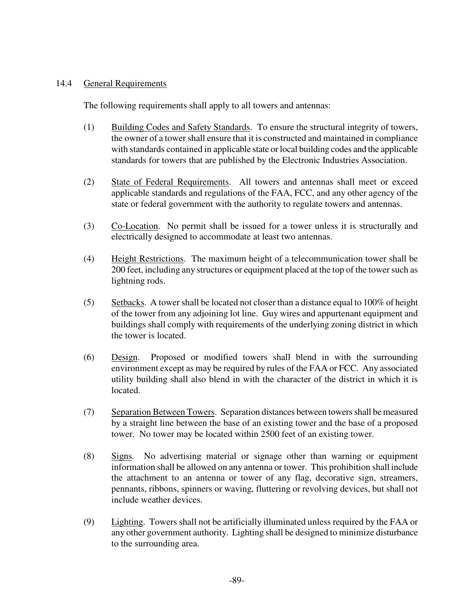### 14.4 General Requirements

The following requirements shall apply to all towers and antennas:

- (1) Building Codes and Safety Standards. To ensure the structural integrity of towers, the owner of a tower shall ensure that it is constructed and maintained in compliance with standards contained in applicable state or local building codes and the applicable standards for towers that are published by the Electronic Industries Association.
- (2) State of Federal Requirements. All towers and antennas shall meet or exceed applicable standards and regulations of the FAA, FCC, and any other agency of the state or federal government with the authority to regulate towers and antennas.
- (3) Co-Location. No permit shall be issued for a tower unless it is structurally and electrically designed to accommodate at least two antennas.
- (4) Height Restrictions. The maximum height of a telecommunication tower shall be 200 feet, including any structures or equipment placed at the top of the tower such as lightning rods.
- (5) Setbacks. A tower shall be located not closer than a distance equal to 100% of height of the tower from any adjoining lot line. Guy wires and appurtenant equipment and buildings shall comply with requirements of the underlying zoning district in which the tower is located.
- (6) Design. Proposed or modified towers shall blend in with the surrounding environment except as may be required by rules of the FAA or FCC. Any associated utility building shall also blend in with the character of the district in which it is located.
- (7) Separation Between Towers. Separation distances between towers shall be measured by a straight line between the base of an existing tower and the base of a proposed tower. No tower may be located within 2500 feet of an existing tower.
- (8) Signs. No advertising material or signage other than warning or equipment information shall be allowed on any antenna or tower. This prohibition shall include the attachment to an antenna or tower of any flag, decorative sign, streamers, pennants, ribbons, spinners or waving, fluttering or revolving devices, but shall not include weather devices.
- (9) Lighting. Towers shall not be artificially illuminated unless required by the FAA or any other government authority. Lighting shall be designed to minimize disturbance to the surrounding area.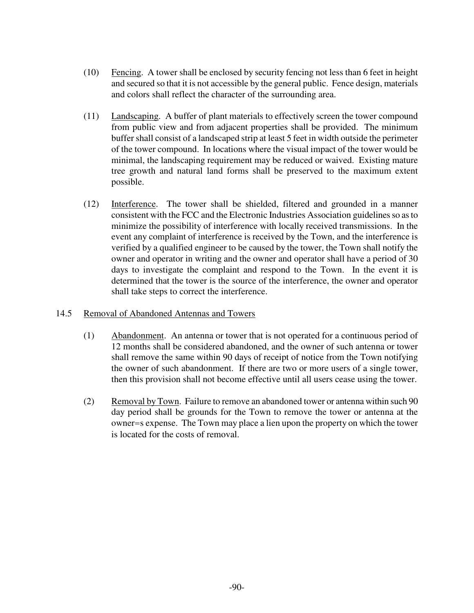- (10) Fencing. A tower shall be enclosed by security fencing not less than 6 feet in height and secured so that it is not accessible by the general public. Fence design, materials and colors shall reflect the character of the surrounding area.
- (11) Landscaping. A buffer of plant materials to effectively screen the tower compound from public view and from adjacent properties shall be provided. The minimum buffer shall consist of a landscaped strip at least 5 feet in width outside the perimeter of the tower compound. In locations where the visual impact of the tower would be minimal, the landscaping requirement may be reduced or waived. Existing mature tree growth and natural land forms shall be preserved to the maximum extent possible.
- (12) Interference. The tower shall be shielded, filtered and grounded in a manner consistent with the FCC and the Electronic Industries Association guidelines so as to minimize the possibility of interference with locally received transmissions. In the event any complaint of interference is received by the Town, and the interference is verified by a qualified engineer to be caused by the tower, the Town shall notify the owner and operator in writing and the owner and operator shall have a period of 30 days to investigate the complaint and respond to the Town. In the event it is determined that the tower is the source of the interference, the owner and operator shall take steps to correct the interference.

### 14.5 Removal of Abandoned Antennas and Towers

- (1) Abandonment. An antenna or tower that is not operated for a continuous period of 12 months shall be considered abandoned, and the owner of such antenna or tower shall remove the same within 90 days of receipt of notice from the Town notifying the owner of such abandonment. If there are two or more users of a single tower, then this provision shall not become effective until all users cease using the tower.
- (2) Removal by Town. Failure to remove an abandoned tower or antenna within such 90 day period shall be grounds for the Town to remove the tower or antenna at the owner=s expense. The Town may place a lien upon the property on which the tower is located for the costs of removal.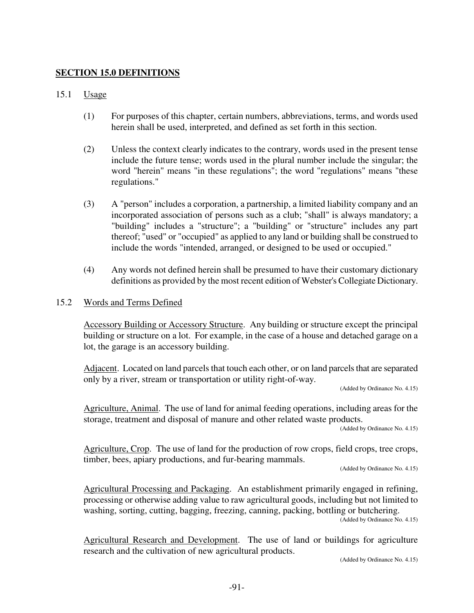# **SECTION 15.0 DEFINITIONS**

## 15.1 Usage

- (1) For purposes of this chapter, certain numbers, abbreviations, terms, and words used herein shall be used, interpreted, and defined as set forth in this section.
- (2) Unless the context clearly indicates to the contrary, words used in the present tense include the future tense; words used in the plural number include the singular; the word "herein" means "in these regulations"; the word "regulations" means "these regulations."
- (3) A "person" includes a corporation, a partnership, a limited liability company and an incorporated association of persons such as a club; "shall" is always mandatory; a "building" includes a "structure"; a "building" or "structure" includes any part thereof; "used" or "occupied" as applied to any land or building shall be construed to include the words "intended, arranged, or designed to be used or occupied."
- (4) Any words not defined herein shall be presumed to have their customary dictionary definitions as provided by the most recent edition of Webster's Collegiate Dictionary.

## 15.2 Words and Terms Defined

Accessory Building or Accessory Structure. Any building or structure except the principal building or structure on a lot. For example, in the case of a house and detached garage on a lot, the garage is an accessory building.

Adjacent. Located on land parcels that touch each other, or on land parcels that are separated only by a river, stream or transportation or utility right-of-way.

(Added by Ordinance No. 4.15)

Agriculture, Animal. The use of land for animal feeding operations, including areas for the storage, treatment and disposal of manure and other related waste products.

(Added by Ordinance No. 4.15)

Agriculture, Crop. The use of land for the production of row crops, field crops, tree crops, timber, bees, apiary productions, and fur-bearing mammals.

(Added by Ordinance No. 4.15)

Agricultural Processing and Packaging. An establishment primarily engaged in refining, processing or otherwise adding value to raw agricultural goods, including but not limited to washing, sorting, cutting, bagging, freezing, canning, packing, bottling or butchering.

(Added by Ordinance No. 4.15)

Agricultural Research and Development. The use of land or buildings for agriculture research and the cultivation of new agricultural products.

(Added by Ordinance No. 4.15)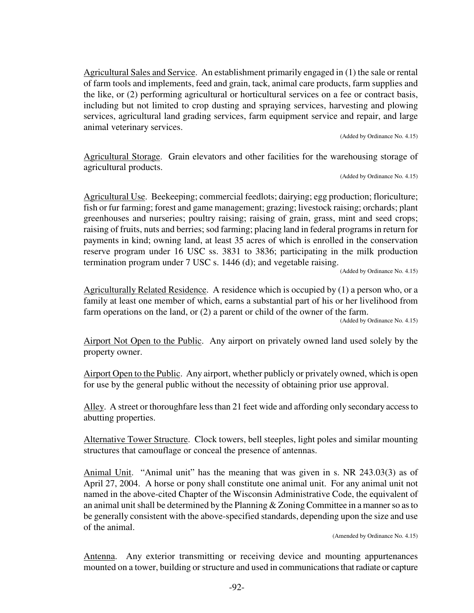Agricultural Sales and Service. An establishment primarily engaged in (1) the sale or rental of farm tools and implements, feed and grain, tack, animal care products, farm supplies and the like, or (2) performing agricultural or horticultural services on a fee or contract basis, including but not limited to crop dusting and spraying services, harvesting and plowing services, agricultural land grading services, farm equipment service and repair, and large animal veterinary services.

(Added by Ordinance No. 4.15)

Agricultural Storage. Grain elevators and other facilities for the warehousing storage of agricultural products.

(Added by Ordinance No. 4.15)

Agricultural Use. Beekeeping; commercial feedlots; dairying; egg production; floriculture; fish or fur farming; forest and game management; grazing; livestock raising; orchards; plant greenhouses and nurseries; poultry raising; raising of grain, grass, mint and seed crops; raising of fruits, nuts and berries; sod farming; placing land in federal programs in return for payments in kind; owning land, at least 35 acres of which is enrolled in the conservation reserve program under 16 USC ss. 3831 to 3836; participating in the milk production termination program under 7 USC s. 1446 (d); and vegetable raising.

(Added by Ordinance No. 4.15)

Agriculturally Related Residence. A residence which is occupied by (1) a person who, or a family at least one member of which, earns a substantial part of his or her livelihood from farm operations on the land, or (2) a parent or child of the owner of the farm.

(Added by Ordinance No. 4.15)

Airport Not Open to the Public. Any airport on privately owned land used solely by the property owner.

Airport Open to the Public. Any airport, whether publicly or privately owned, which is open for use by the general public without the necessity of obtaining prior use approval.

Alley. A street or thoroughfare less than 21 feet wide and affording only secondary access to abutting properties.

Alternative Tower Structure. Clock towers, bell steeples, light poles and similar mounting structures that camouflage or conceal the presence of antennas.

Animal Unit. "Animal unit" has the meaning that was given in s. NR 243.03(3) as of April 27, 2004. A horse or pony shall constitute one animal unit. For any animal unit not named in the above-cited Chapter of the Wisconsin Administrative Code, the equivalent of an animal unit shall be determined by the Planning & Zoning Committee in a manner so as to be generally consistent with the above-specified standards, depending upon the size and use of the animal.

(Amended by Ordinance No. 4.15)

Antenna. Any exterior transmitting or receiving device and mounting appurtenances mounted on a tower, building or structure and used in communications that radiate or capture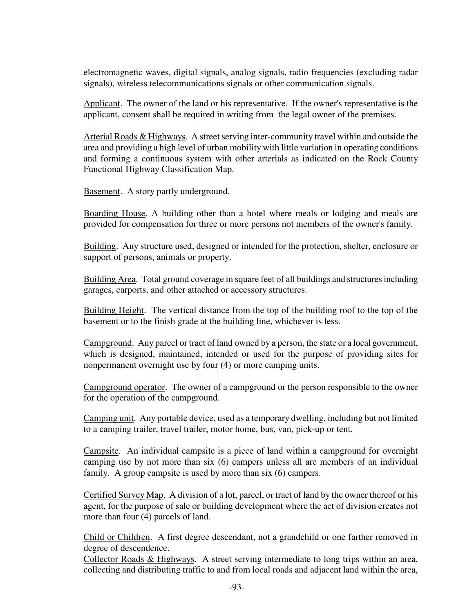electromagnetic waves, digital signals, analog signals, radio frequencies (excluding radar signals), wireless telecommunications signals or other communication signals.

Applicant. The owner of the land or his representative. If the owner's representative is the applicant, consent shall be required in writing from the legal owner of the premises.

Arterial Roads & Highways. A street serving inter-community travel within and outside the area and providing a high level of urban mobility with little variation in operating conditions and forming a continuous system with other arterials as indicated on the Rock County Functional Highway Classification Map.

Basement. A story partly underground.

Boarding House. A building other than a hotel where meals or lodging and meals are provided for compensation for three or more persons not members of the owner's family.

Building. Any structure used, designed or intended for the protection, shelter, enclosure or support of persons, animals or property.

Building Area. Total ground coverage in square feet of all buildings and structures including garages, carports, and other attached or accessory structures.

Building Height. The vertical distance from the top of the building roof to the top of the basement or to the finish grade at the building line, whichever is less.

Campground. Any parcel or tract of land owned by a person, the state or a local government, which is designed, maintained, intended or used for the purpose of providing sites for nonpermanent overnight use by four (4) or more camping units.

Campground operator. The owner of a campground or the person responsible to the owner for the operation of the campground.

Camping unit. Any portable device, used as a temporary dwelling, including but not limited to a camping trailer, travel trailer, motor home, bus, van, pick-up or tent.

Campsite. An individual campsite is a piece of land within a campground for overnight camping use by not more than six (6) campers unless all are members of an individual family. A group campsite is used by more than six (6) campers.

Certified Survey Map. A division of a lot, parcel, or tract of land by the owner thereof or his agent, for the purpose of sale or building development where the act of division creates not more than four (4) parcels of land.

Child or Children. A first degree descendant, not a grandchild or one farther removed in degree of descendence.

Collector Roads & Highways. A street serving intermediate to long trips within an area, collecting and distributing traffic to and from local roads and adjacent land within the area,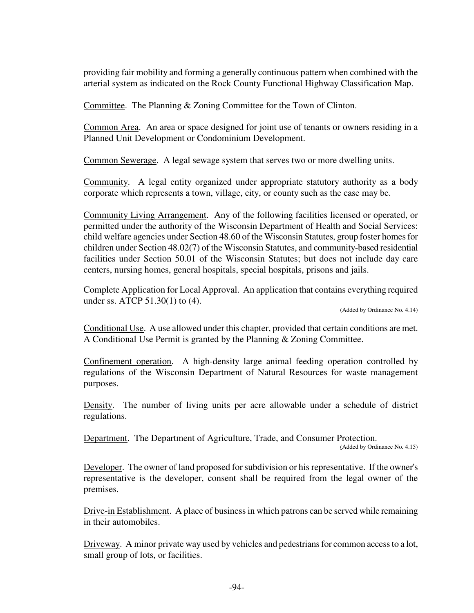providing fair mobility and forming a generally continuous pattern when combined with the arterial system as indicated on the Rock County Functional Highway Classification Map.

Committee. The Planning & Zoning Committee for the Town of Clinton.

Common Area. An area or space designed for joint use of tenants or owners residing in a Planned Unit Development or Condominium Development.

Common Sewerage. A legal sewage system that serves two or more dwelling units.

Community. A legal entity organized under appropriate statutory authority as a body corporate which represents a town, village, city, or county such as the case may be.

Community Living Arrangement. Any of the following facilities licensed or operated, or permitted under the authority of the Wisconsin Department of Health and Social Services: child welfare agencies under Section 48.60 of the Wisconsin Statutes, group foster homes for children under Section 48.02(7) of the Wisconsin Statutes, and community-based residential facilities under Section 50.01 of the Wisconsin Statutes; but does not include day care centers, nursing homes, general hospitals, special hospitals, prisons and jails.

Complete Application for Local Approval. An application that contains everything required under ss. ATCP 51.30(1) to (4).

(Added by Ordinance No. 4.14)

Conditional Use. A use allowed under this chapter, provided that certain conditions are met. A Conditional Use Permit is granted by the Planning & Zoning Committee.

Confinement operation. A high-density large animal feeding operation controlled by regulations of the Wisconsin Department of Natural Resources for waste management purposes.

Density. The number of living units per acre allowable under a schedule of district regulations.

Department. The Department of Agriculture, Trade, and Consumer Protection.

(Added by Ordinance No. 4.15)

Developer. The owner of land proposed for subdivision or his representative. If the owner's representative is the developer, consent shall be required from the legal owner of the premises.

Drive-in Establishment. A place of business in which patrons can be served while remaining in their automobiles.

Driveway. A minor private way used by vehicles and pedestrians for common access to a lot, small group of lots, or facilities.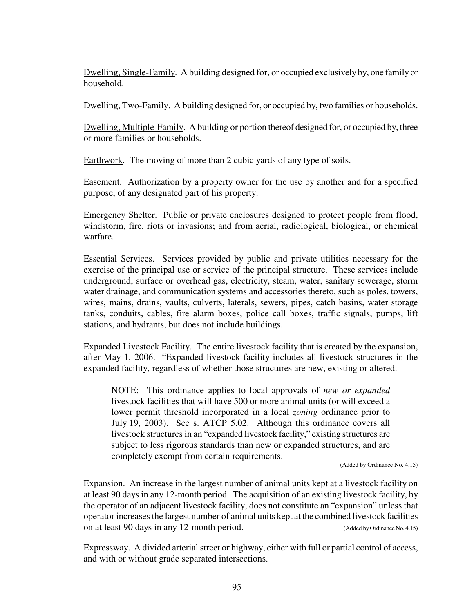Dwelling, Single-Family. A building designed for, or occupied exclusively by, one family or household.

Dwelling, Two-Family. A building designed for, or occupied by, two families or households.

Dwelling, Multiple-Family. A building or portion thereof designed for, or occupied by, three or more families or households.

Earthwork. The moving of more than 2 cubic yards of any type of soils.

Easement. Authorization by a property owner for the use by another and for a specified purpose, of any designated part of his property.

Emergency Shelter. Public or private enclosures designed to protect people from flood, windstorm, fire, riots or invasions; and from aerial, radiological, biological, or chemical warfare.

Essential Services. Services provided by public and private utilities necessary for the exercise of the principal use or service of the principal structure. These services include underground, surface or overhead gas, electricity, steam, water, sanitary sewerage, storm water drainage, and communication systems and accessories thereto, such as poles, towers, wires, mains, drains, vaults, culverts, laterals, sewers, pipes, catch basins, water storage tanks, conduits, cables, fire alarm boxes, police call boxes, traffic signals, pumps, lift stations, and hydrants, but does not include buildings.

Expanded Livestock Facility. The entire livestock facility that is created by the expansion, after May 1, 2006. "Expanded livestock facility includes all livestock structures in the expanded facility, regardless of whether those structures are new, existing or altered.

NOTE: This ordinance applies to local approvals of *new or expanded* livestock facilities that will have 500 or more animal units (or will exceed a lower permit threshold incorporated in a local *zoning* ordinance prior to July 19, 2003). See s. ATCP 5.02. Although this ordinance covers all livestock structures in an "expanded livestock facility," existing structures are subject to less rigorous standards than new or expanded structures, and are completely exempt from certain requirements.

(Added by Ordinance No. 4.15)

Expansion. An increase in the largest number of animal units kept at a livestock facility on at least 90 days in any 12-month period. The acquisition of an existing livestock facility, by the operator of an adjacent livestock facility, does not constitute an "expansion" unless that operator increases the largest number of animal units kept at the combined livestock facilities on at least 90 days in any 12-month period. (Added by Ordinance No. 4.15)

Expressway. A divided arterial street or highway, either with full or partial control of access, and with or without grade separated intersections.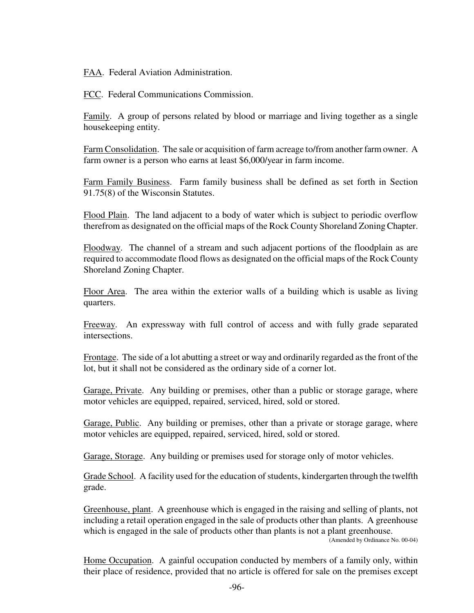FAA. Federal Aviation Administration.

FCC. Federal Communications Commission.

Family. A group of persons related by blood or marriage and living together as a single housekeeping entity.

Farm Consolidation. The sale or acquisition of farm acreage to/from another farm owner. A farm owner is a person who earns at least \$6,000/year in farm income.

Farm Family Business. Farm family business shall be defined as set forth in Section 91.75(8) of the Wisconsin Statutes.

Flood Plain. The land adjacent to a body of water which is subject to periodic overflow therefrom as designated on the official maps of the Rock County Shoreland Zoning Chapter.

Floodway. The channel of a stream and such adjacent portions of the floodplain as are required to accommodate flood flows as designated on the official maps of the Rock County Shoreland Zoning Chapter.

Floor Area. The area within the exterior walls of a building which is usable as living quarters.

Freeway. An expressway with full control of access and with fully grade separated intersections.

Frontage. The side of a lot abutting a street or way and ordinarily regarded as the front of the lot, but it shall not be considered as the ordinary side of a corner lot.

Garage, Private. Any building or premises, other than a public or storage garage, where motor vehicles are equipped, repaired, serviced, hired, sold or stored.

Garage, Public. Any building or premises, other than a private or storage garage, where motor vehicles are equipped, repaired, serviced, hired, sold or stored.

Garage, Storage. Any building or premises used for storage only of motor vehicles.

Grade School. A facility used for the education of students, kindergarten through the twelfth grade.

Greenhouse, plant. A greenhouse which is engaged in the raising and selling of plants, not including a retail operation engaged in the sale of products other than plants. A greenhouse which is engaged in the sale of products other than plants is not a plant greenhouse.

(Amended by Ordinance No. 00-04)

Home Occupation. A gainful occupation conducted by members of a family only, within their place of residence, provided that no article is offered for sale on the premises except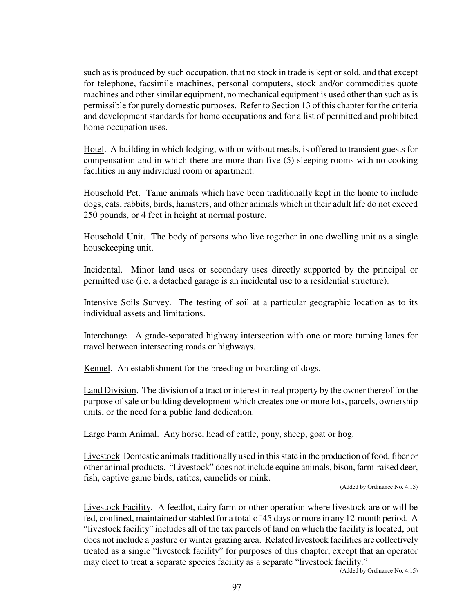such as is produced by such occupation, that no stock in trade is kept or sold, and that except for telephone, facsimile machines, personal computers, stock and/or commodities quote machines and other similar equipment, no mechanical equipment is used other than such as is permissible for purely domestic purposes. Refer to Section 13 of this chapter for the criteria and development standards for home occupations and for a list of permitted and prohibited home occupation uses.

Hotel. A building in which lodging, with or without meals, is offered to transient guests for compensation and in which there are more than five (5) sleeping rooms with no cooking facilities in any individual room or apartment.

Household Pet. Tame animals which have been traditionally kept in the home to include dogs, cats, rabbits, birds, hamsters, and other animals which in their adult life do not exceed 250 pounds, or 4 feet in height at normal posture.

Household Unit. The body of persons who live together in one dwelling unit as a single housekeeping unit.

Incidental. Minor land uses or secondary uses directly supported by the principal or permitted use (i.e. a detached garage is an incidental use to a residential structure).

Intensive Soils Survey. The testing of soil at a particular geographic location as to its individual assets and limitations.

Interchange. A grade-separated highway intersection with one or more turning lanes for travel between intersecting roads or highways.

Kennel. An establishment for the breeding or boarding of dogs.

Land Division. The division of a tract or interest in real property by the owner thereof for the purpose of sale or building development which creates one or more lots, parcels, ownership units, or the need for a public land dedication.

Large Farm Animal. Any horse, head of cattle, pony, sheep, goat or hog.

Livestock Domestic animals traditionally used in this state in the production of food, fiber or other animal products. "Livestock" does not include equine animals, bison, farm-raised deer, fish, captive game birds, ratites, camelids or mink.

(Added by Ordinance No. 4.15)

Livestock Facility. A feedlot, dairy farm or other operation where livestock are or will be fed, confined, maintained or stabled for a total of 45 days or more in any 12-month period. A "livestock facility" includes all of the tax parcels of land on which the facility is located, but does not include a pasture or winter grazing area. Related livestock facilities are collectively treated as a single "livestock facility" for purposes of this chapter, except that an operator may elect to treat a separate species facility as a separate "livestock facility."

(Added by Ordinance No. 4.15)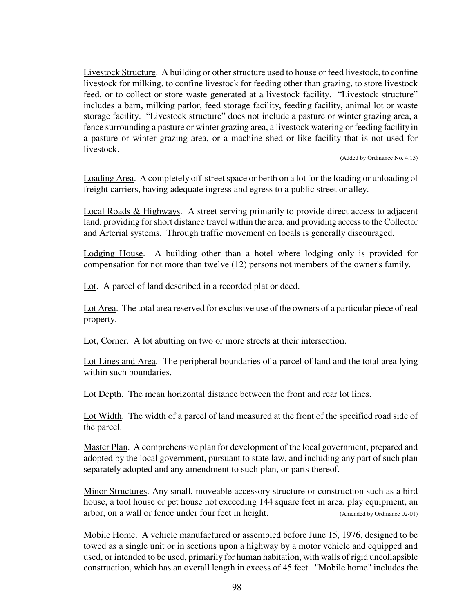Livestock Structure. A building or other structure used to house or feed livestock, to confine livestock for milking, to confine livestock for feeding other than grazing, to store livestock feed, or to collect or store waste generated at a livestock facility. "Livestock structure" includes a barn, milking parlor, feed storage facility, feeding facility, animal lot or waste storage facility. "Livestock structure" does not include a pasture or winter grazing area, a fence surrounding a pasture or winter grazing area, a livestock watering or feeding facility in a pasture or winter grazing area, or a machine shed or like facility that is not used for livestock.

(Added by Ordinance No. 4.15)

Loading Area. A completely off-street space or berth on a lot for the loading or unloading of freight carriers, having adequate ingress and egress to a public street or alley.

Local Roads & Highways. A street serving primarily to provide direct access to adjacent land, providing for short distance travel within the area, and providing access to the Collector and Arterial systems. Through traffic movement on locals is generally discouraged.

Lodging House. A building other than a hotel where lodging only is provided for compensation for not more than twelve (12) persons not members of the owner's family.

Lot. A parcel of land described in a recorded plat or deed.

Lot Area. The total area reserved for exclusive use of the owners of a particular piece of real property.

Lot, Corner. A lot abutting on two or more streets at their intersection.

Lot Lines and Area. The peripheral boundaries of a parcel of land and the total area lying within such boundaries.

Lot Depth. The mean horizontal distance between the front and rear lot lines.

Lot Width. The width of a parcel of land measured at the front of the specified road side of the parcel.

Master Plan. A comprehensive plan for development of the local government, prepared and adopted by the local government, pursuant to state law, and including any part of such plan separately adopted and any amendment to such plan, or parts thereof.

Minor Structures. Any small, moveable accessory structure or construction such as a bird house, a tool house or pet house not exceeding 144 square feet in area, play equipment, an arbor, on a wall or fence under four feet in height. (Amended by Ordinance 02-01)

Mobile Home. A vehicle manufactured or assembled before June 15, 1976, designed to be towed as a single unit or in sections upon a highway by a motor vehicle and equipped and used, or intended to be used, primarily for human habitation, with walls of rigid uncollapsible construction, which has an overall length in excess of 45 feet. "Mobile home" includes the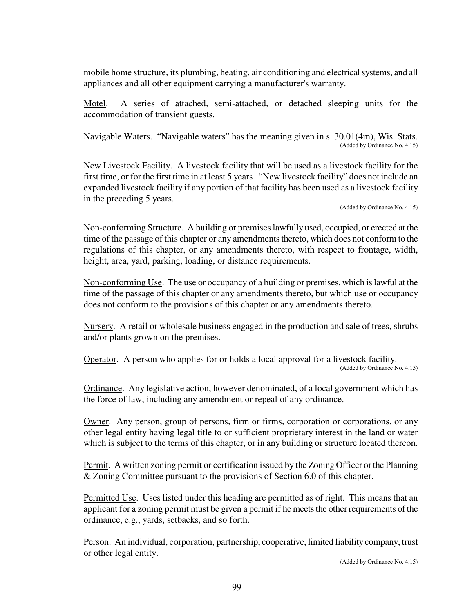mobile home structure, its plumbing, heating, air conditioning and electrical systems, and all appliances and all other equipment carrying a manufacturer's warranty.

Motel. A series of attached, semi-attached, or detached sleeping units for the accommodation of transient guests.

Navigable Waters. "Navigable waters" has the meaning given in s. 30.01(4m), Wis. Stats. (Added by Ordinance No. 4.15)

New Livestock Facility. A livestock facility that will be used as a livestock facility for the first time, or for the first time in at least 5 years. "New livestock facility" does not include an expanded livestock facility if any portion of that facility has been used as a livestock facility in the preceding 5 years.

(Added by Ordinance No. 4.15)

Non-conforming Structure. A building or premises lawfully used, occupied, or erected at the time of the passage of this chapter or any amendments thereto, which does not conform to the regulations of this chapter, or any amendments thereto, with respect to frontage, width, height, area, yard, parking, loading, or distance requirements.

Non-conforming Use. The use or occupancy of a building or premises, which is lawful at the time of the passage of this chapter or any amendments thereto, but which use or occupancy does not conform to the provisions of this chapter or any amendments thereto.

Nursery. A retail or wholesale business engaged in the production and sale of trees, shrubs and/or plants grown on the premises.

Operator. A person who applies for or holds a local approval for a livestock facility. (Added by Ordinance No. 4.15)

Ordinance. Any legislative action, however denominated, of a local government which has the force of law, including any amendment or repeal of any ordinance.

Owner. Any person, group of persons, firm or firms, corporation or corporations, or any other legal entity having legal title to or sufficient proprietary interest in the land or water which is subject to the terms of this chapter, or in any building or structure located thereon.

Permit. A written zoning permit or certification issued by the Zoning Officer or the Planning & Zoning Committee pursuant to the provisions of Section 6.0 of this chapter.

Permitted Use. Uses listed under this heading are permitted as of right. This means that an applicant for a zoning permit must be given a permit if he meets the other requirements of the ordinance, e.g., yards, setbacks, and so forth.

Person. An individual, corporation, partnership, cooperative, limited liability company, trust or other legal entity.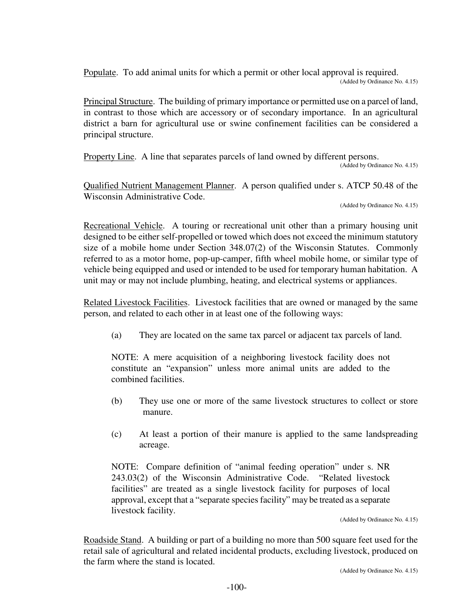Populate. To add animal units for which a permit or other local approval is required. (Added by Ordinance No. 4.15)

Principal Structure. The building of primary importance or permitted use on a parcel of land, in contrast to those which are accessory or of secondary importance. In an agricultural district a barn for agricultural use or swine confinement facilities can be considered a principal structure.

Property Line. A line that separates parcels of land owned by different persons.

(Added by Ordinance No. 4.15)

Qualified Nutrient Management Planner. A person qualified under s. ATCP 50.48 of the Wisconsin Administrative Code.

(Added by Ordinance No. 4.15)

Recreational Vehicle. A touring or recreational unit other than a primary housing unit designed to be either self-propelled or towed which does not exceed the minimum statutory size of a mobile home under Section 348.07(2) of the Wisconsin Statutes. Commonly referred to as a motor home, pop-up-camper, fifth wheel mobile home, or similar type of vehicle being equipped and used or intended to be used for temporary human habitation. A unit may or may not include plumbing, heating, and electrical systems or appliances.

Related Livestock Facilities. Livestock facilities that are owned or managed by the same person, and related to each other in at least one of the following ways:

(a) They are located on the same tax parcel or adjacent tax parcels of land.

NOTE: A mere acquisition of a neighboring livestock facility does not constitute an "expansion" unless more animal units are added to the combined facilities.

- (b) They use one or more of the same livestock structures to collect or store manure.
- (c) At least a portion of their manure is applied to the same landspreading acreage.

NOTE: Compare definition of "animal feeding operation" under s. NR 243.03(2) of the Wisconsin Administrative Code. "Related livestock facilities" are treated as a single livestock facility for purposes of local approval, except that a "separate species facility" may be treated as a separate livestock facility.

(Added by Ordinance No. 4.15)

Roadside Stand. A building or part of a building no more than 500 square feet used for the retail sale of agricultural and related incidental products, excluding livestock, produced on the farm where the stand is located.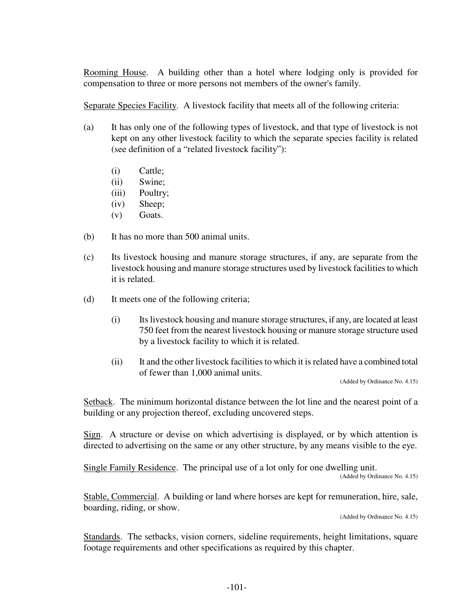Rooming House. A building other than a hotel where lodging only is provided for compensation to three or more persons not members of the owner's family.

Separate Species Facility. A livestock facility that meets all of the following criteria:

- (a) It has only one of the following types of livestock, and that type of livestock is not kept on any other livestock facility to which the separate species facility is related (see definition of a "related livestock facility"):
	- (i) Cattle;
	- (ii) Swine;
	- (iii) Poultry;
	- (iv) Sheep;
	- (v) Goats.
- (b) It has no more than 500 animal units.
- (c) Its livestock housing and manure storage structures, if any, are separate from the livestock housing and manure storage structures used by livestock facilities to which it is related.
- (d) It meets one of the following criteria;
	- (i) Its livestock housing and manure storage structures, if any, are located at least 750 feet from the nearest livestock housing or manure storage structure used by a livestock facility to which it is related.
	- (ii) It and the other livestock facilities to which it is related have a combined total of fewer than 1,000 animal units.

(Added by Ordinance No. 4.15)

Setback. The minimum horizontal distance between the lot line and the nearest point of a building or any projection thereof, excluding uncovered steps.

Sign. A structure or devise on which advertising is displayed, or by which attention is directed to advertising on the same or any other structure, by any means visible to the eye.

Single Family Residence. The principal use of a lot only for one dwelling unit.

(Added by Ordinance No. 4.15)

Stable, Commercial. A building or land where horses are kept for remuneration, hire, sale, boarding, riding, or show.

(Added by Ordinance No. 4.15)

Standards. The setbacks, vision corners, sideline requirements, height limitations, square footage requirements and other specifications as required by this chapter.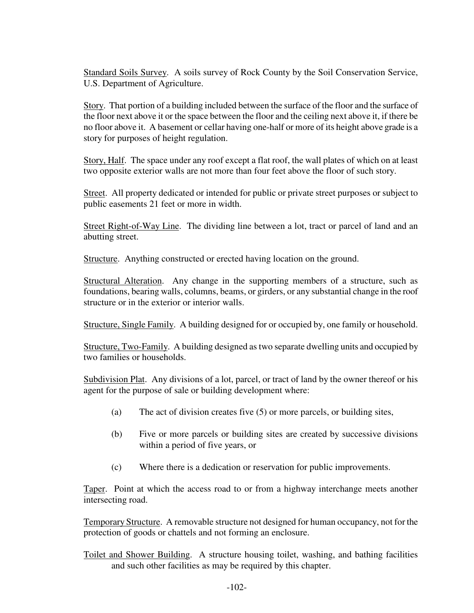Standard Soils Survey. A soils survey of Rock County by the Soil Conservation Service, U.S. Department of Agriculture.

Story. That portion of a building included between the surface of the floor and the surface of the floor next above it or the space between the floor and the ceiling next above it, if there be no floor above it. A basement or cellar having one-half or more of its height above grade is a story for purposes of height regulation.

Story, Half. The space under any roof except a flat roof, the wall plates of which on at least two opposite exterior walls are not more than four feet above the floor of such story.

Street. All property dedicated or intended for public or private street purposes or subject to public easements 21 feet or more in width.

Street Right-of-Way Line. The dividing line between a lot, tract or parcel of land and an abutting street.

Structure. Anything constructed or erected having location on the ground.

Structural Alteration. Any change in the supporting members of a structure, such as foundations, bearing walls, columns, beams, or girders, or any substantial change in the roof structure or in the exterior or interior walls.

Structure, Single Family. A building designed for or occupied by, one family or household.

Structure, Two-Family. A building designed as two separate dwelling units and occupied by two families or households.

Subdivision Plat. Any divisions of a lot, parcel, or tract of land by the owner thereof or his agent for the purpose of sale or building development where:

- (a) The act of division creates five (5) or more parcels, or building sites,
- (b) Five or more parcels or building sites are created by successive divisions within a period of five years, or
- (c) Where there is a dedication or reservation for public improvements.

Taper. Point at which the access road to or from a highway interchange meets another intersecting road.

Temporary Structure. A removable structure not designed for human occupancy, not for the protection of goods or chattels and not forming an enclosure.

Toilet and Shower Building. A structure housing toilet, washing, and bathing facilities and such other facilities as may be required by this chapter.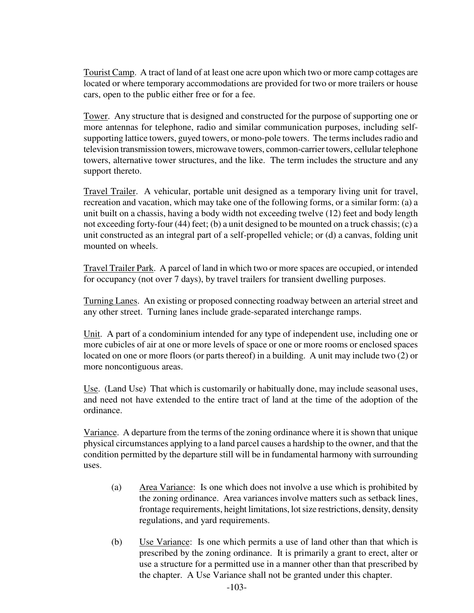Tourist Camp. A tract of land of at least one acre upon which two or more camp cottages are located or where temporary accommodations are provided for two or more trailers or house cars, open to the public either free or for a fee.

Tower. Any structure that is designed and constructed for the purpose of supporting one or more antennas for telephone, radio and similar communication purposes, including selfsupporting lattice towers, guyed towers, or mono-pole towers. The terms includes radio and television transmission towers, microwave towers, common-carrier towers, cellular telephone towers, alternative tower structures, and the like. The term includes the structure and any support thereto.

Travel Trailer. A vehicular, portable unit designed as a temporary living unit for travel, recreation and vacation, which may take one of the following forms, or a similar form: (a) a unit built on a chassis, having a body width not exceeding twelve (12) feet and body length not exceeding forty-four (44) feet; (b) a unit designed to be mounted on a truck chassis; (c) a unit constructed as an integral part of a self-propelled vehicle; or (d) a canvas, folding unit mounted on wheels.

Travel Trailer Park. A parcel of land in which two or more spaces are occupied, or intended for occupancy (not over 7 days), by travel trailers for transient dwelling purposes.

Turning Lanes. An existing or proposed connecting roadway between an arterial street and any other street. Turning lanes include grade-separated interchange ramps.

Unit. A part of a condominium intended for any type of independent use, including one or more cubicles of air at one or more levels of space or one or more rooms or enclosed spaces located on one or more floors (or parts thereof) in a building. A unit may include two (2) or more noncontiguous areas.

Use. (Land Use) That which is customarily or habitually done, may include seasonal uses, and need not have extended to the entire tract of land at the time of the adoption of the ordinance.

Variance. A departure from the terms of the zoning ordinance where it is shown that unique physical circumstances applying to a land parcel causes a hardship to the owner, and that the condition permitted by the departure still will be in fundamental harmony with surrounding uses.

- (a) Area Variance: Is one which does not involve a use which is prohibited by the zoning ordinance. Area variances involve matters such as setback lines, frontage requirements, height limitations, lot size restrictions, density, density regulations, and yard requirements.
- (b) Use Variance: Is one which permits a use of land other than that which is prescribed by the zoning ordinance. It is primarily a grant to erect, alter or use a structure for a permitted use in a manner other than that prescribed by the chapter. A Use Variance shall not be granted under this chapter.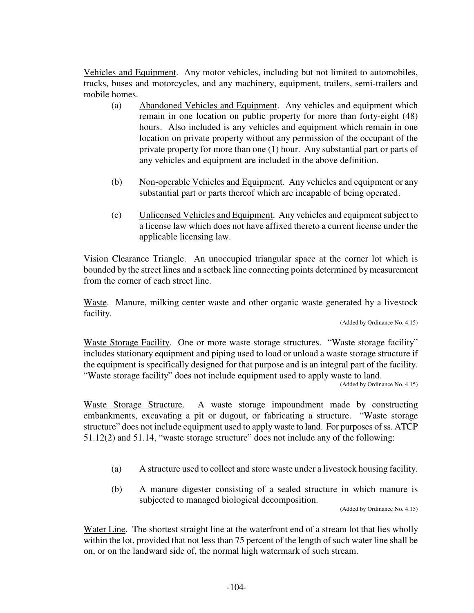Vehicles and Equipment. Any motor vehicles, including but not limited to automobiles, trucks, buses and motorcycles, and any machinery, equipment, trailers, semi-trailers and mobile homes.

- (a) Abandoned Vehicles and Equipment. Any vehicles and equipment which remain in one location on public property for more than forty-eight (48) hours. Also included is any vehicles and equipment which remain in one location on private property without any permission of the occupant of the private property for more than one (1) hour. Any substantial part or parts of any vehicles and equipment are included in the above definition.
- (b) Non-operable Vehicles and Equipment. Any vehicles and equipment or any substantial part or parts thereof which are incapable of being operated.
- (c) Unlicensed Vehicles and Equipment. Any vehicles and equipment subject to a license law which does not have affixed thereto a current license under the applicable licensing law.

Vision Clearance Triangle. An unoccupied triangular space at the corner lot which is bounded by the street lines and a setback line connecting points determined by measurement from the corner of each street line.

Waste. Manure, milking center waste and other organic waste generated by a livestock facility.

(Added by Ordinance No. 4.15)

Waste Storage Facility. One or more waste storage structures. "Waste storage facility" includes stationary equipment and piping used to load or unload a waste storage structure if the equipment is specifically designed for that purpose and is an integral part of the facility. "Waste storage facility" does not include equipment used to apply waste to land.

(Added by Ordinance No. 4.15)

Waste Storage Structure. A waste storage impoundment made by constructing embankments, excavating a pit or dugout, or fabricating a structure. "Waste storage structure" does not include equipment used to apply waste to land. For purposes of ss. ATCP 51.12(2) and 51.14, "waste storage structure" does not include any of the following:

- (a) A structure used to collect and store waste under a livestock housing facility.
- (b) A manure digester consisting of a sealed structure in which manure is subjected to managed biological decomposition.

(Added by Ordinance No. 4.15)

Water Line. The shortest straight line at the waterfront end of a stream lot that lies wholly within the lot, provided that not less than 75 percent of the length of such water line shall be on, or on the landward side of, the normal high watermark of such stream.